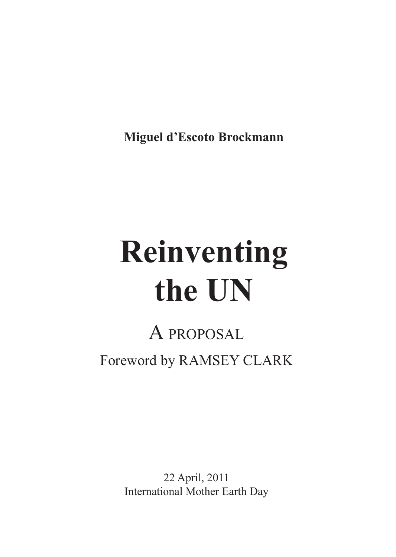**Miguel d'Escoto Brockmann**

# **Reinventing the UN**

### A proposal Foreword by Ramsey Clark

22 April, 2011 International Mother Earth Day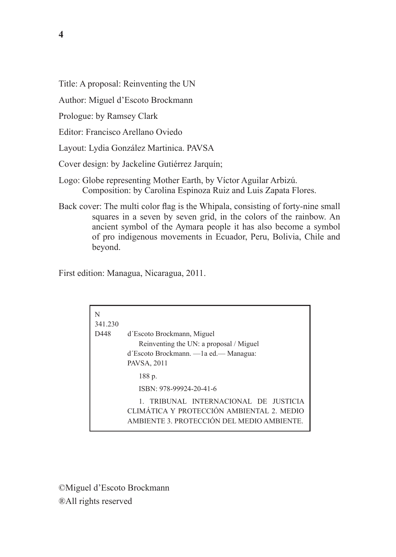Title: A proposal: Reinventing the UN

Author: Miguel d'Escoto Brockmann

Prologue: by Ramsey Clark

Editor: Francisco Arellano Oviedo

Layout: Lydia González Martinica. PAVSA

Cover design: by Jackeline Gutiérrez Jarquín;

Logo: Globe representing Mother Earth, by Víctor Aguilar Arbizú. Composition: by Carolina Espinoza Ruiz and Luis Zapata Flores.

Back cover: The multi color flag is the Whipala, consisting of forty-nine small squares in a seven by seven grid, in the colors of the rainbow. An ancient symbol of the Aymara people it has also become a symbol of pro indigenous movements in Ecuador, Peru, Bolivia, Chile and beyond.

First edition: Managua, Nicaragua, 2011.

| N<br>341.230 |                                                                                                                                 |
|--------------|---------------------------------------------------------------------------------------------------------------------------------|
| D448         | d'Escoto Brockmann, Miguel<br>Reinventing the UN: a proposal / Miguel<br>d'Escoto Brockmann. — la ed. — Managua:<br>PAVSA, 2011 |
|              | 188 p.<br>ISBN: 978-99924-20-41-6<br>1 TRIBUNAL INTERNACIONAL DE JUSTICIA<br>CLIMÁTICA Y PROTECCIÓN AMBIENTAL 2. MEDIO          |
|              | AMBIENTE 3 PROTECCIÓN DEL MEDIO AMBIENTE                                                                                        |

©Miguel d'Escoto Brockmann ®All rights reserved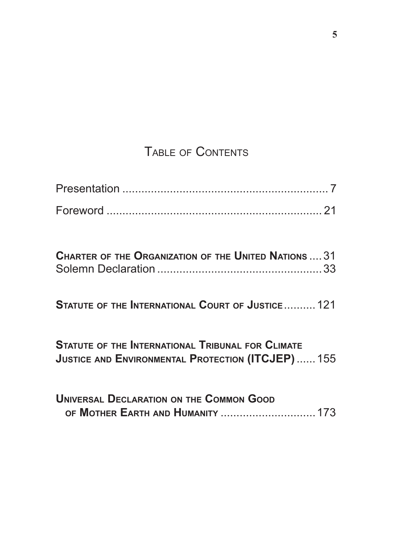#### Table of Contents

| <b>CHARTER OF THE ORGANIZATION OF THE UNITED NATIONS  31</b> |  |
|--------------------------------------------------------------|--|
|                                                              |  |

**Statute of the International Court of Justice**..........121

**Statute of the International Tribunal for Climate Justice and Environmental Protection (ITCJEP)**......155

| <b>UNIVERSAL DECLARATION ON THE COMMON GOOD</b> |  |
|-------------------------------------------------|--|
|                                                 |  |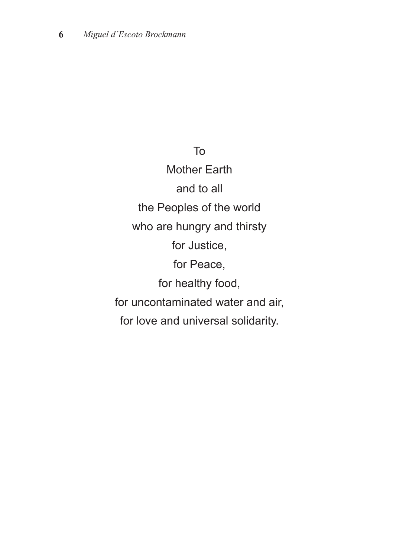To

Mother Earth and to all the Peoples of the world who are hungry and thirsty for Justice, for Peace, for healthy food, for uncontaminated water and air, for love and universal solidarity.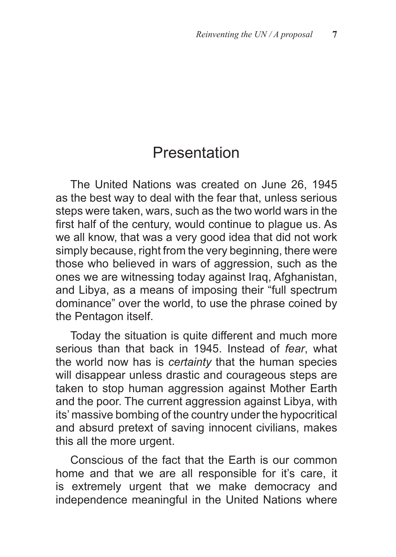#### Presentation

The United Nations was created on June 26, 1945 as the best way to deal with the fear that, unless serious steps were taken, wars, such as the two world wars in the first half of the century, would continue to plague us. As we all know, that was a very good idea that did not work simply because, right from the very beginning, there were those who believed in wars of aggression, such as the ones we are witnessing today against Iraq, Afghanistan, and Libya, as a means of imposing their "full spectrum dominance" over the world, to use the phrase coined by the Pentagon itself.

Today the situation is quite different and much more serious than that back in 1945. Instead of *fear*, what the world now has is *certainty* that the human species will disappear unless drastic and courageous steps are taken to stop human aggression against Mother Earth and the poor. The current aggression against Libya, with its' massive bombing of the country under the hypocritical and absurd pretext of saving innocent civilians, makes this all the more urgent.

Conscious of the fact that the Earth is our common home and that we are all responsible for it's care, it is extremely urgent that we make democracy and independence meaningful in the United Nations where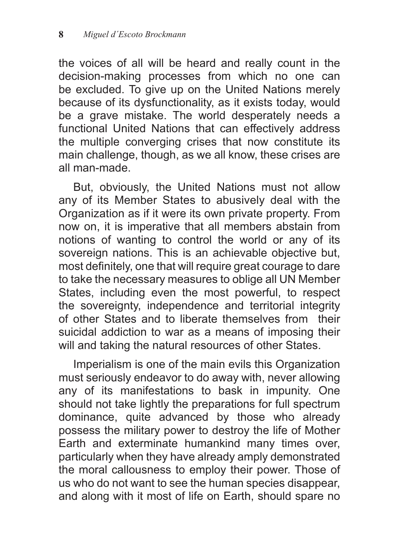the voices of all will be heard and really count in the decision-making processes from which no one can be excluded. To give up on the United Nations merely because of its dysfunctionality, as it exists today, would be a grave mistake. The world desperately needs a functional United Nations that can effectively address the multiple converging crises that now constitute its main challenge, though, as we all know, these crises are all man-made.

But, obviously, the United Nations must not allow any of its Member States to abusively deal with the Organization as if it were its own private property. From now on, it is imperative that all members abstain from notions of wanting to control the world or any of its sovereign nations. This is an achievable objective but, most definitely, one that will require great courage to dare to take the necessary measures to oblige all UN Member States, including even the most powerful, to respect the sovereignty, independence and territorial integrity of other States and to liberate themselves from their suicidal addiction to war as a means of imposing their will and taking the natural resources of other States.

Imperialism is one of the main evils this Organization must seriously endeavor to do away with, never allowing any of its manifestations to bask in impunity. One should not take lightly the preparations for full spectrum dominance, quite advanced by those who already possess the military power to destroy the life of Mother Earth and exterminate humankind many times over, particularly when they have already amply demonstrated the moral callousness to employ their power. Those of us who do not want to see the human species disappear, and along with it most of life on Earth, should spare no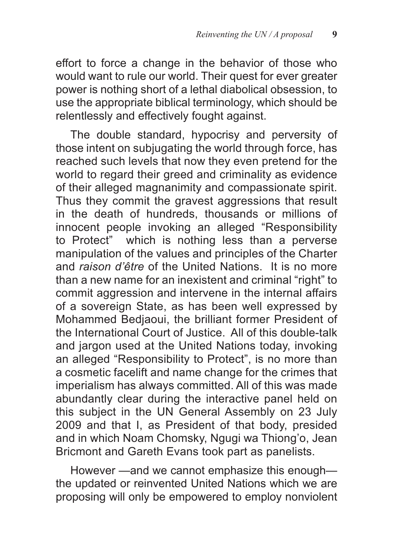effort to force a change in the behavior of those who would want to rule our world. Their quest for ever greater power is nothing short of a lethal diabolical obsession, to use the appropriate biblical terminology, which should be relentlessly and effectively fought against.

The double standard, hypocrisy and perversity of those intent on subjugating the world through force, has reached such levels that now they even pretend for the world to regard their greed and criminality as evidence of their alleged magnanimity and compassionate spirit. Thus they commit the gravest aggressions that result in the death of hundreds, thousands or millions of innocent people invoking an alleged "Responsibility to Protect" which is nothing less than a perverse manipulation of the values and principles of the Charter and *raison d'être* of the United Nations. It is no more than a new name for an inexistent and criminal "right" to commit aggression and intervene in the internal affairs of a sovereign State, as has been well expressed by Mohammed Bedjaoui, the brilliant former President of the International Court of Justice. All of this double-talk and jargon used at the United Nations today, invoking an alleged "Responsibility to Protect", is no more than a cosmetic facelift and name change for the crimes that imperialism has always committed. All of this was made abundantly clear during the interactive panel held on this subject in the UN General Assembly on 23 July 2009 and that I, as President of that body, presided and in which Noam Chomsky, Ngugi wa Thiong'o, Jean Bricmont and Gareth Evans took part as panelists.

However —and we cannot emphasize this enough the updated or reinvented United Nations which we are proposing will only be empowered to employ nonviolent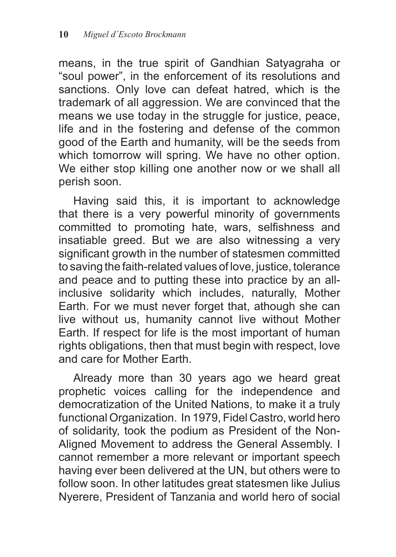means, in the true spirit of Gandhian Satyagraha or "soul power", in the enforcement of its resolutions and sanctions. Only love can defeat hatred, which is the trademark of all aggression. We are convinced that the means we use today in the struggle for justice, peace, life and in the fostering and defense of the common good of the Earth and humanity, will be the seeds from which tomorrow will spring. We have no other option. We either stop killing one another now or we shall all perish soon.

Having said this, it is important to acknowledge that there is a very powerful minority of governments committed to promoting hate, wars, selfishness and insatiable greed. But we are also witnessing a very significant growth in the number of statesmen committed to saving the faith-related values of love, justice, tolerance and peace and to putting these into practice by an allinclusive solidarity which includes, naturally, Mother Earth. For we must never forget that, athough she can live without us, humanity cannot live without Mother Earth. If respect for life is the most important of human rights obligations, then that must begin with respect, love and care for Mother Earth.

Already more than 30 years ago we heard great prophetic voices calling for the independence and democratization of the United Nations, to make it a truly functional Organization. In 1979, Fidel Castro, world hero of solidarity, took the podium as President of the Non-Aligned Movement to address the General Assembly. I cannot remember a more relevant or important speech having ever been delivered at the UN, but others were to follow soon. In other latitudes great statesmen like Julius Nyerere, President of Tanzania and world hero of social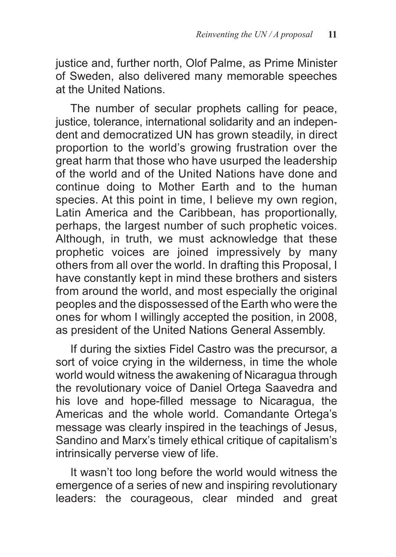justice and, further north, Olof Palme, as Prime Minister of Sweden, also delivered many memorable speeches at the United Nations.

The number of secular prophets calling for peace, justice, tolerance, international solidarity and an independent and democratized UN has grown steadily, in direct proportion to the world's growing frustration over the great harm that those who have usurped the leadership of the world and of the United Nations have done and continue doing to Mother Earth and to the human species. At this point in time, I believe my own region, Latin America and the Caribbean, has proportionally, perhaps, the largest number of such prophetic voices. Although, in truth, we must acknowledge that these prophetic voices are joined impressively by many others from all over the world. In drafting this Proposal, I have constantly kept in mind these brothers and sisters from around the world, and most especially the original peoples and the dispossessed of the Earth who were the ones for whom I willingly accepted the position, in 2008, as president of the United Nations General Assembly.

If during the sixties Fidel Castro was the precursor, a sort of voice crying in the wilderness, in time the whole world would witness the awakening of Nicaragua through the revolutionary voice of Daniel Ortega Saavedra and his love and hope-filled message to Nicaragua, the Americas and the whole world. Comandante Ortega's message was clearly inspired in the teachings of Jesus, Sandino and Marx's timely ethical critique of capitalism's intrinsically perverse view of life.

It wasn't too long before the world would witness the emergence of a series of new and inspiring revolutionary leaders: the courageous, clear minded and great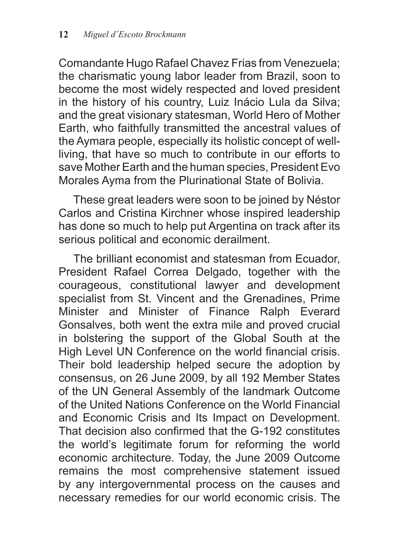Comandante Hugo Rafael Chavez Frias from Venezuela; the charismatic young labor leader from Brazil, soon to become the most widely respected and loved president in the history of his country, Luiz Inácio Lula da Silva; and the great visionary statesman, World Hero of Mother Earth, who faithfully transmitted the ancestral values of the Aymara people, especially its holistic concept of wellliving, that have so much to contribute in our efforts to save Mother Earth and the human species, President Evo Morales Ayma from the Plurinational State of Bolivia.

These great leaders were soon to be joined by Néstor Carlos and Cristina Kirchner whose inspired leadership has done so much to help put Argentina on track after its serious political and economic derailment.

The brilliant economist and statesman from Ecuador, President Rafael Correa Delgado, together with the courageous, constitutional lawyer and development specialist from St. Vincent and the Grenadines, Prime Minister and Minister of Finance Ralph Everard Gonsalves, both went the extra mile and proved crucial in bolstering the support of the Global South at the High Level UN Conference on the world financial crisis. Their bold leadership helped secure the adoption by consensus, on 26 June 2009, by all 192 Member States of the UN General Assembly of the landmark Outcome of the United Nations Conference on the World Financial and Economic Crisis and Its Impact on Development. That decision also confirmed that the G-192 constitutes the world's legitimate forum for reforming the world economic architecture. Today, the June 2009 Outcome remains the most comprehensive statement issued by any intergovernmental process on the causes and necessary remedies for our world economic crisis. The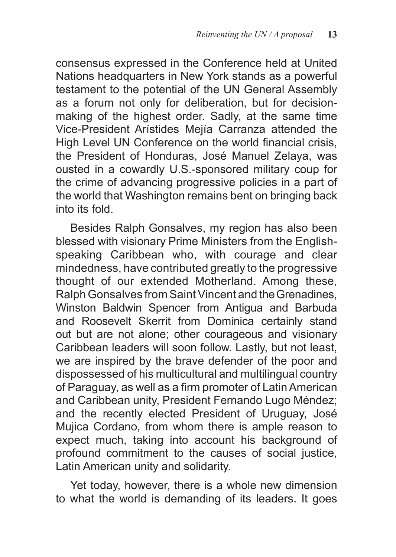consensus expressed in the Conference held at United Nations headquarters in New York stands as a powerful testament to the potential of the UN General Assembly as a forum not only for deliberation, but for decisionmaking of the highest order. Sadly, at the same time Vice-President Arístides Mejía Carranza attended the High Level UN Conference on the world financial crisis, the President of Honduras, José Manuel Zelaya, was ousted in a cowardly U.S.-sponsored military coup for the crime of advancing progressive policies in a part of the world that Washington remains bent on bringing back into its fold.

Besides Ralph Gonsalves, my region has also been blessed with visionary Prime Ministers from the Englishspeaking Caribbean who, with courage and clear mindedness, have contributed greatly to the progressive thought of our extended Motherland. Among these, Ralph Gonsalves from Saint Vincent and the Grenadines, Winston Baldwin Spencer from Antigua and Barbuda and Roosevelt Skerrit from Dominica certainly stand out but are not alone; other courageous and visionary Caribbean leaders will soon follow. Lastly, but not least, we are inspired by the brave defender of the poor and dispossessed of his multicultural and multilingual country of Paraguay, as well as a firm promoter of Latin American and Caribbean unity, President Fernando Lugo Méndez; and the recently elected President of Uruguay, José Mujica Cordano, from whom there is ample reason to expect much, taking into account his background of profound commitment to the causes of social justice, Latin American unity and solidarity.

Yet today, however, there is a whole new dimension to what the world is demanding of its leaders. It goes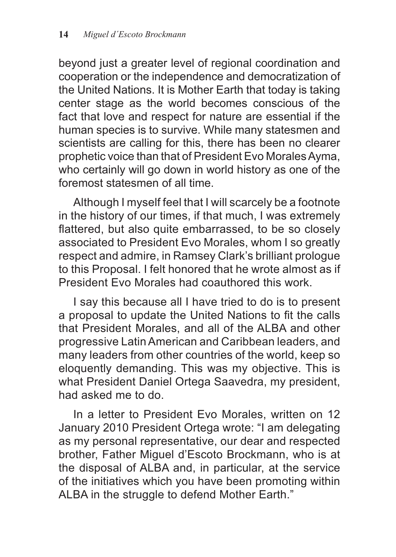beyond just a greater level of regional coordination and cooperation or the independence and democratization of the United Nations. It is Mother Earth that today is taking center stage as the world becomes conscious of the fact that love and respect for nature are essential if the human species is to survive. While many statesmen and scientists are calling for this, there has been no clearer prophetic voice than that of President Evo Morales Ayma, who certainly will go down in world history as one of the foremost statesmen of all time.

Although I myself feel that I will scarcely be a footnote in the history of our times, if that much, I was extremely flattered, but also quite embarrassed, to be so closely associated to President Evo Morales, whom I so greatly respect and admire, in Ramsey Clark's brilliant prologue to this Proposal. I felt honored that he wrote almost as if President Evo Morales had coauthored this work.

I say this because all I have tried to do is to present a proposal to update the United Nations to fit the calls that President Morales, and all of the ALBA and other progressive Latin American and Caribbean leaders, and many leaders from other countries of the world, keep so eloquently demanding. This was my objective. This is what President Daniel Ortega Saavedra, my president, had asked me to do.

In a letter to President Evo Morales, written on 12 January 2010 President Ortega wrote: "I am delegating as my personal representative, our dear and respected brother, Father Miguel d'Escoto Brockmann, who is at the disposal of ALBA and, in particular, at the service of the initiatives which you have been promoting within ALBA in the struggle to defend Mother Earth."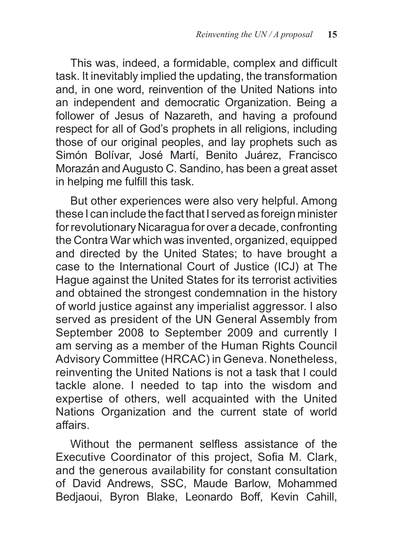This was, indeed, a formidable, complex and difficult task. It inevitably implied the updating, the transformation and, in one word, reinvention of the United Nations into an independent and democratic Organization. Being a follower of Jesus of Nazareth, and having a profound respect for all of God's prophets in all religions, including those of our original peoples, and lay prophets such as Simón Bolívar, José Martí, Benito Juárez, Francisco Morazán and Augusto C. Sandino, has been a great asset in helping me fulfill this task.

But other experiences were also very helpful. Among these I can include the fact that I served as foreign minister for revolutionary Nicaragua for over a decade, confronting the Contra War which was invented, organized, equipped and directed by the United States; to have brought a case to the International Court of Justice (ICJ) at The Hague against the United States for its terrorist activities and obtained the strongest condemnation in the history of world justice against any imperialist aggressor. I also served as president of the UN General Assembly from September 2008 to September 2009 and currently I am serving as a member of the Human Rights Council Advisory Committee (HRCAC) in Geneva. Nonetheless, reinventing the United Nations is not a task that I could tackle alone. I needed to tap into the wisdom and expertise of others, well acquainted with the United Nations Organization and the current state of world affairs.

Without the permanent selfless assistance of the Executive Coordinator of this project, Sofia M. Clark, and the generous availability for constant consultation of David Andrews, SSC, Maude Barlow, Mohammed Bedjaoui, Byron Blake, Leonardo Boff, Kevin Cahill,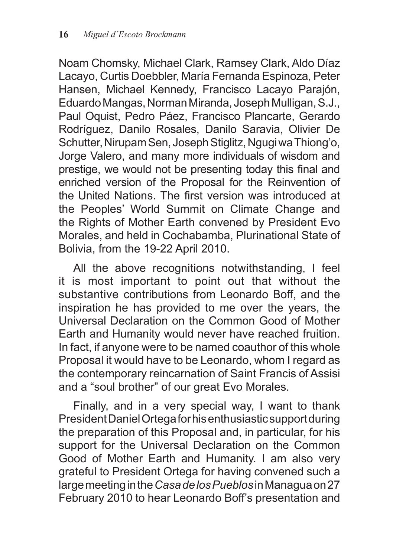Noam Chomsky, Michael Clark, Ramsey Clark, Aldo Díaz Lacayo, Curtis Doebbler, María Fernanda Espinoza, Peter Hansen, Michael Kennedy, Francisco Lacayo Parajón, Eduardo Mangas, Norman Miranda, Joseph Mulligan, S.J., Paul Oquist, Pedro Páez, Francisco Plancarte, Gerardo Rodríguez, Danilo Rosales, Danilo Saravia, Olivier De Schutter, Nirupam Sen, Joseph Stiglitz, Ngugi wa Thiong'o, Jorge Valero, and many more individuals of wisdom and prestige, we would not be presenting today this final and enriched version of the Proposal for the Reinvention of the United Nations. The first version was introduced at the Peoples' World Summit on Climate Change and the Rights of Mother Earth convened by President Evo Morales, and held in Cochabamba, Plurinational State of Bolivia, from the 19-22 April 2010.

All the above recognitions notwithstanding, I feel it is most important to point out that without the substantive contributions from Leonardo Boff, and the inspiration he has provided to me over the years, the Universal Declaration on the Common Good of Mother Earth and Humanity would never have reached fruition. In fact, if anyone were to be named coauthor of this whole Proposal it would have to be Leonardo, whom I regard as the contemporary reincarnation of Saint Francis of Assisi and a "soul brother" of our great Evo Morales.

Finally, and in a very special way, I want to thank President Daniel Ortega for his enthusiastic support during the preparation of this Proposal and, in particular, for his support for the Universal Declaration on the Common Good of Mother Earth and Humanity. I am also very grateful to President Ortega for having convened such a large meeting in the *Casa de los Pueblos* in Managua on 27 February 2010 to hear Leonardo Boff's presentation and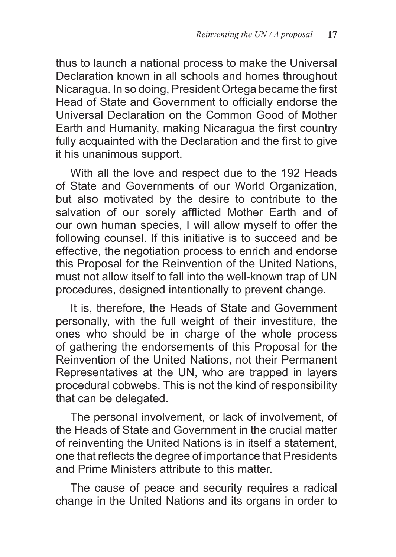thus to launch a national process to make the Universal Declaration known in all schools and homes throughout Nicaragua. In so doing, President Ortega became the first Head of State and Government to officially endorse the Universal Declaration on the Common Good of Mother Earth and Humanity, making Nicaragua the first country fully acquainted with the Declaration and the first to give it his unanimous support.

With all the love and respect due to the 192 Heads of State and Governments of our World Organization, but also motivated by the desire to contribute to the salvation of our sorely afflicted Mother Earth and of our own human species, I will allow myself to offer the following counsel. If this initiative is to succeed and be effective, the negotiation process to enrich and endorse this Proposal for the Reinvention of the United Nations, must not allow itself to fall into the well-known trap of UN procedures, designed intentionally to prevent change.

It is, therefore, the Heads of State and Government personally, with the full weight of their investiture, the ones who should be in charge of the whole process of gathering the endorsements of this Proposal for the Reinvention of the United Nations, not their Permanent Representatives at the UN, who are trapped in layers procedural cobwebs. This is not the kind of responsibility that can be delegated.

The personal involvement, or lack of involvement, of the Heads of State and Government in the crucial matter of reinventing the United Nations is in itself a statement, one that reflects the degree of importance that Presidents and Prime Ministers attribute to this matter.

The cause of peace and security requires a radical change in the United Nations and its organs in order to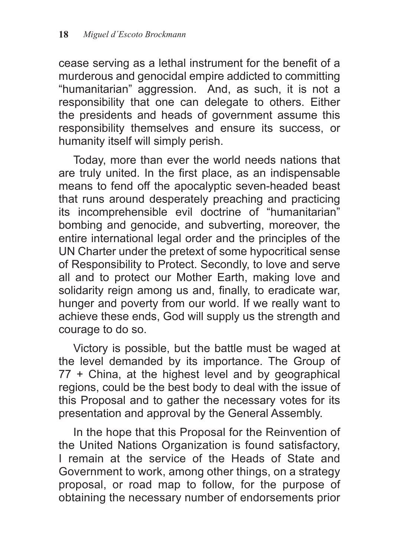cease serving as a lethal instrument for the benefit of a murderous and genocidal empire addicted to committing "humanitarian" aggression. And, as such, it is not a responsibility that one can delegate to others. Either the presidents and heads of government assume this responsibility themselves and ensure its success, or humanity itself will simply perish.

Today, more than ever the world needs nations that are truly united. In the first place, as an indispensable means to fend off the apocalyptic seven-headed beast that runs around desperately preaching and practicing its incomprehensible evil doctrine of "humanitarian" bombing and genocide, and subverting, moreover, the entire international legal order and the principles of the UN Charter under the pretext of some hypocritical sense of Responsibility to Protect. Secondly, to love and serve all and to protect our Mother Earth, making love and solidarity reign among us and, finally, to eradicate war, hunger and poverty from our world. If we really want to achieve these ends, God will supply us the strength and courage to do so.

Victory is possible, but the battle must be waged at the level demanded by its importance. The Group of 77 + China, at the highest level and by geographical regions, could be the best body to deal with the issue of this Proposal and to gather the necessary votes for its presentation and approval by the General Assembly.

In the hope that this Proposal for the Reinvention of the United Nations Organization is found satisfactory, I remain at the service of the Heads of State and Government to work, among other things, on a strategy proposal, or road map to follow, for the purpose of obtaining the necessary number of endorsements prior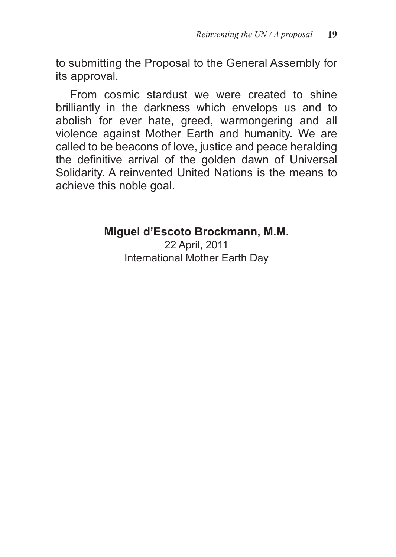to submitting the Proposal to the General Assembly for its approval.

From cosmic stardust we were created to shine brilliantly in the darkness which envelops us and to abolish for ever hate, greed, warmongering and all violence against Mother Earth and humanity. We are called to be beacons of love, justice and peace heralding the definitive arrival of the golden dawn of Universal Solidarity. A reinvented United Nations is the means to achieve this noble goal.

#### **Miguel d'Escoto Brockmann, M.M.**

22 April, 2011 International Mother Earth Day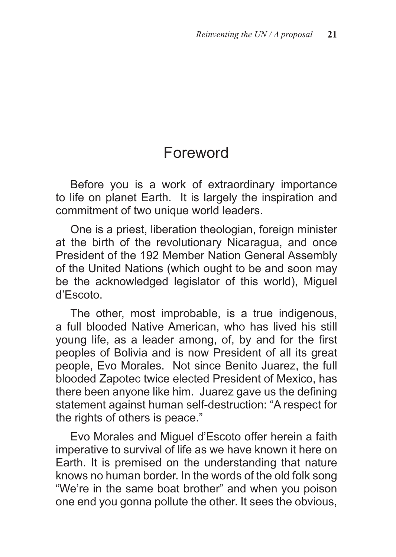#### Foreword

Before you is a work of extraordinary importance to life on planet Earth. It is largely the inspiration and commitment of two unique world leaders.

One is a priest, liberation theologian, foreign minister at the birth of the revolutionary Nicaragua, and once President of the 192 Member Nation General Assembly of the United Nations (which ought to be and soon may be the acknowledged legislator of this world), Miguel d'Escoto.

The other, most improbable, is a true indigenous, a full blooded Native American, who has lived his still young life, as a leader among, of, by and for the first peoples of Bolivia and is now President of all its great people, Evo Morales. Not since Benito Juarez, the full blooded Zapotec twice elected President of Mexico, has there been anyone like him. Juarez gave us the defining statement against human self-destruction: "A respect for the rights of others is peace."

Evo Morales and Miguel d'Escoto offer herein a faith imperative to survival of life as we have known it here on Earth. It is premised on the understanding that nature knows no human border. In the words of the old folk song "We're in the same boat brother" and when you poison one end you gonna pollute the other. It sees the obvious,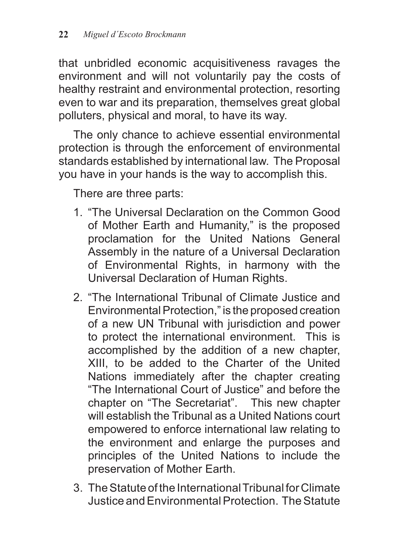that unbridled economic acquisitiveness ravages the environment and will not voluntarily pay the costs of healthy restraint and environmental protection, resorting even to war and its preparation, themselves great global polluters, physical and moral, to have its way.

The only chance to achieve essential environmental protection is through the enforcement of environmental standards established by international law. The Proposal you have in your hands is the way to accomplish this.

There are three parts:

- 1. "The Universal Declaration on the Common Good of Mother Earth and Humanity," is the proposed proclamation for the United Nations General Assembly in the nature of a Universal Declaration of Environmental Rights, in harmony with the Universal Declaration of Human Rights.
- 2. "The International Tribunal of Climate Justice and Environmental Protection," is the proposed creation of a new UN Tribunal with jurisdiction and power to protect the international environment. This is accomplished by the addition of a new chapter, XIII, to be added to the Charter of the United Nations immediately after the chapter creating "The International Court of Justice" and before the chapter on "The Secretariat". This new chapter will establish the Tribunal as a United Nations court empowered to enforce international law relating to the environment and enlarge the purposes and principles of the United Nations to include the preservation of Mother Earth.
- 3. The Statute of the International Tribunal for Climate Justice and Environmental Protection. The Statute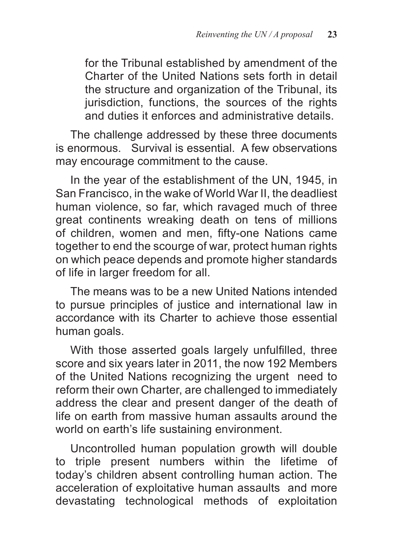for the Tribunal established by amendment of the Charter of the United Nations sets forth in detail the structure and organization of the Tribunal, its jurisdiction, functions, the sources of the rights and duties it enforces and administrative details.

The challenge addressed by these three documents is enormous. Survival is essential. A few observations may encourage commitment to the cause.

In the year of the establishment of the UN, 1945, in San Francisco, in the wake of World War II, the deadliest human violence, so far, which ravaged much of three great continents wreaking death on tens of millions of children, women and men, fifty-one Nations came together to end the scourge of war, protect human rights on which peace depends and promote higher standards of life in larger freedom for all.

The means was to be a new United Nations intended to pursue principles of justice and international law in accordance with its Charter to achieve those essential human goals.

With those asserted goals largely unfulfilled, three score and six years later in 2011, the now 192 Members of the United Nations recognizing the urgent need to reform their own Charter, are challenged to immediately address the clear and present danger of the death of life on earth from massive human assaults around the world on earth's life sustaining environment.

Uncontrolled human population growth will double to triple present numbers within the lifetime of today's children absent controlling human action. The acceleration of exploitative human assaults and more devastating technological methods of exploitation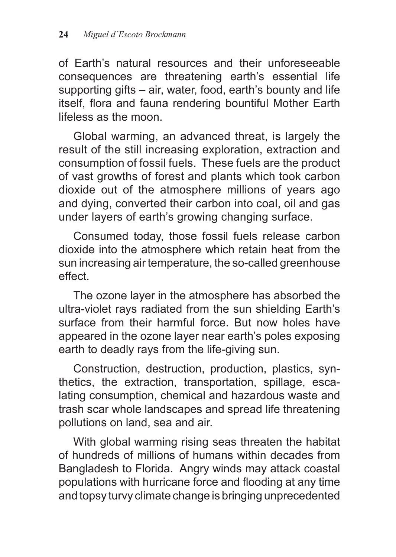of Earth's natural resources and their unforeseeable consequences are threatening earth's essential life supporting gifts – air, water, food, earth's bounty and life itself, flora and fauna rendering bountiful Mother Earth lifeless as the moon.

Global warming, an advanced threat, is largely the result of the still increasing exploration, extraction and consumption of fossil fuels. These fuels are the product of vast growths of forest and plants which took carbon dioxide out of the atmosphere millions of years ago and dying, converted their carbon into coal, oil and gas under layers of earth's growing changing surface.

Consumed today, those fossil fuels release carbon dioxide into the atmosphere which retain heat from the sun increasing air temperature, the so-called greenhouse effect.

The ozone layer in the atmosphere has absorbed the ultra-violet rays radiated from the sun shielding Earth's surface from their harmful force. But now holes have appeared in the ozone layer near earth's poles exposing earth to deadly rays from the life-giving sun.

Construction, destruction, production, plastics, synthetics, the extraction, transportation, spillage, escalating consumption, chemical and hazardous waste and trash scar whole landscapes and spread life threatening pollutions on land, sea and air.

With global warming rising seas threaten the habitat of hundreds of millions of humans within decades from Bangladesh to Florida. Angry winds may attack coastal populations with hurricane force and flooding at any time and topsy turvy climate change is bringing unprecedented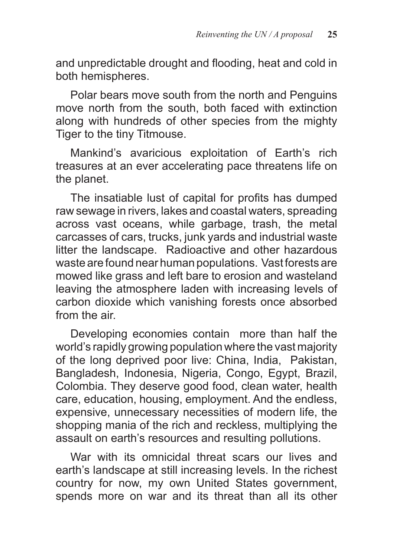and unpredictable drought and flooding, heat and cold in both hemispheres.

Polar bears move south from the north and Penguins move north from the south, both faced with extinction along with hundreds of other species from the mighty Tiger to the tiny Titmouse.

Mankind's avaricious exploitation of Earth's rich treasures at an ever accelerating pace threatens life on the planet.

The insatiable lust of capital for profits has dumped raw sewage in rivers, lakes and coastal waters, spreading across vast oceans, while garbage, trash, the metal carcasses of cars, trucks, junk yards and industrial waste litter the landscape. Radioactive and other hazardous waste are found near human populations. Vast forests are mowed like grass and left bare to erosion and wasteland leaving the atmosphere laden with increasing levels of carbon dioxide which vanishing forests once absorbed from the air.

Developing economies contain more than half the world's rapidly growing population where the vast majority of the long deprived poor live: China, India, Pakistan, Bangladesh, Indonesia, Nigeria, Congo, Egypt, Brazil, Colombia. They deserve good food, clean water, health care, education, housing, employment. And the endless, expensive, unnecessary necessities of modern life, the shopping mania of the rich and reckless, multiplying the assault on earth's resources and resulting pollutions.

War with its omnicidal threat scars our lives and earth's landscape at still increasing levels. In the richest country for now, my own United States government, spends more on war and its threat than all its other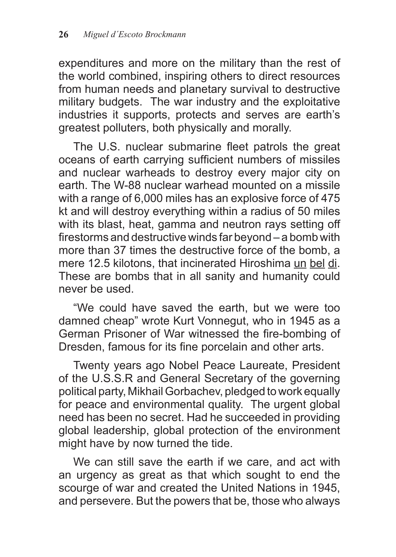expenditures and more on the military than the rest of the world combined, inspiring others to direct resources from human needs and planetary survival to destructive military budgets. The war industry and the exploitative industries it supports, protects and serves are earth's greatest polluters, both physically and morally.

The U.S. nuclear submarine fleet patrols the great oceans of earth carrying sufficient numbers of missiles and nuclear warheads to destroy every major city on earth. The W-88 nuclear warhead mounted on a missile with a range of 6,000 miles has an explosive force of 475 kt and will destroy everything within a radius of 50 miles with its blast, heat, gamma and neutron rays setting off firestorms and destructive winds far beyond – a bomb with more than 37 times the destructive force of the bomb, a mere 12.5 kilotons, that incinerated Hiroshima un bel di. These are bombs that in all sanity and humanity could never be used.

"We could have saved the earth, but we were too damned cheap" wrote Kurt Vonnegut, who in 1945 as a German Prisoner of War witnessed the fire-bombing of Dresden, famous for its fine porcelain and other arts.

Twenty years ago Nobel Peace Laureate, President of the U.S.S.R and General Secretary of the governing political party, Mikhail Gorbachev, pledged to work equally for peace and environmental quality. The urgent global need has been no secret. Had he succeeded in providing global leadership, global protection of the environment might have by now turned the tide.

We can still save the earth if we care, and act with an urgency as great as that which sought to end the scourge of war and created the United Nations in 1945, and persevere. But the powers that be, those who always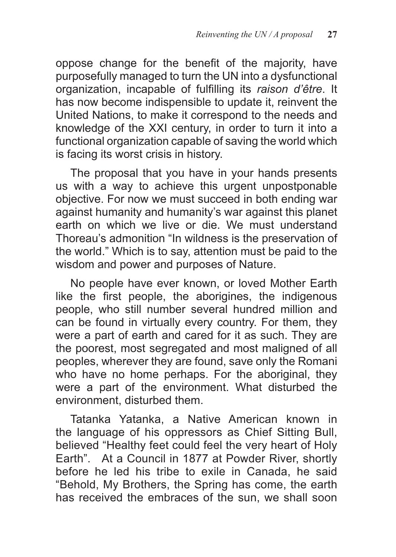oppose change for the benefit of the majority, have purposefully managed to turn the UN into a dysfunctional organization, incapable of fulfilling its *raison d'être*. It has now become indispensible to update it, reinvent the United Nations, to make it correspond to the needs and knowledge of the XXI century, in order to turn it into a functional organization capable of saving the world which is facing its worst crisis in history.

The proposal that you have in your hands presents us with a way to achieve this urgent unpostponable objective. For now we must succeed in both ending war against humanity and humanity's war against this planet earth on which we live or die. We must understand Thoreau's admonition "In wildness is the preservation of the world." Which is to say, attention must be paid to the wisdom and power and purposes of Nature.

No people have ever known, or loved Mother Earth like the first people, the aborigines, the indigenous people, who still number several hundred million and can be found in virtually every country. For them, they were a part of earth and cared for it as such. They are the poorest, most segregated and most maligned of all peoples, wherever they are found, save only the Romani who have no home perhaps. For the aboriginal, they were a part of the environment. What disturbed the environment, disturbed them.

Tatanka Yatanka, a Native American known in the language of his oppressors as Chief Sitting Bull, believed "Healthy feet could feel the very heart of Holy Earth". At a Council in 1877 at Powder River, shortly before he led his tribe to exile in Canada, he said "Behold, My Brothers, the Spring has come, the earth has received the embraces of the sun, we shall soon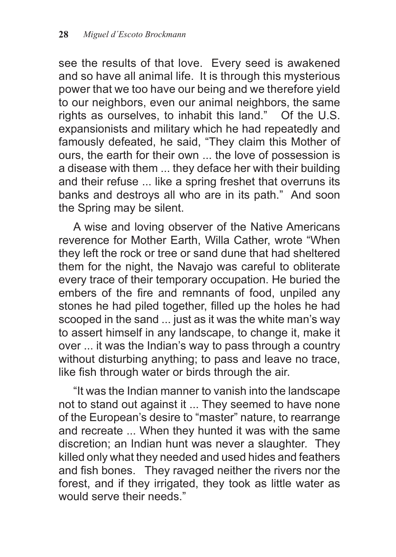see the results of that love. Every seed is awakened and so have all animal life. It is through this mysterious power that we too have our being and we therefore yield to our neighbors, even our animal neighbors, the same rights as ourselves, to inhabit this land." Of the U.S. expansionists and military which he had repeatedly and famously defeated, he said, "They claim this Mother of ours, the earth for their own ... the love of possession is a disease with them ... they deface her with their building and their refuse ... like a spring freshet that overruns its banks and destroys all who are in its path." And soon the Spring may be silent.

A wise and loving observer of the Native Americans reverence for Mother Earth, Willa Cather, wrote "When they left the rock or tree or sand dune that had sheltered them for the night, the Navajo was careful to obliterate every trace of their temporary occupation. He buried the embers of the fire and remnants of food, unpiled any stones he had piled together, filled up the holes he had scooped in the sand ... just as it was the white man's way to assert himself in any landscape, to change it, make it over ... it was the Indian's way to pass through a country without disturbing anything; to pass and leave no trace, like fish through water or birds through the air.

"It was the Indian manner to vanish into the landscape not to stand out against it ... They seemed to have none of the European's desire to "master" nature, to rearrange and recreate ... When they hunted it was with the same discretion; an Indian hunt was never a slaughter. They killed only what they needed and used hides and feathers and fish bones. They ravaged neither the rivers nor the forest, and if they irrigated, they took as little water as would serve their needs."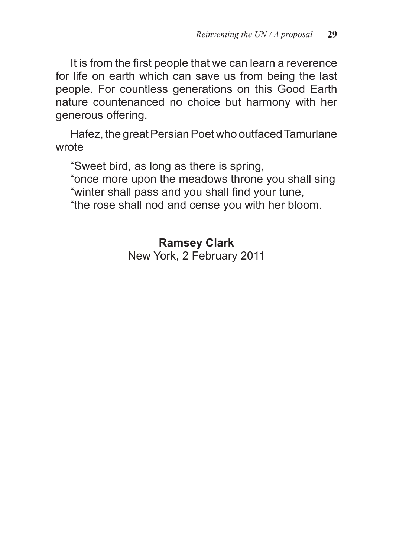It is from the first people that we can learn a reverence for life on earth which can save us from being the last people. For countless generations on this Good Earth nature countenanced no choice but harmony with her generous offering.

Hafez, the great Persian Poet who outfaced Tamurlane wrote

"Sweet bird, as long as there is spring,

"once more upon the meadows throne you shall sing "winter shall pass and you shall find your tune,

"the rose shall nod and cense you with her bloom.

**Ramsey Clark**

New York, 2 February 2011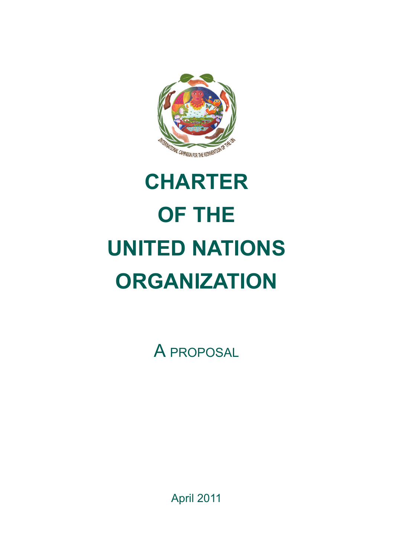

## **CHARTER OF THE UNITED NATIONS ORGANIZATION**

A proposal

April 2011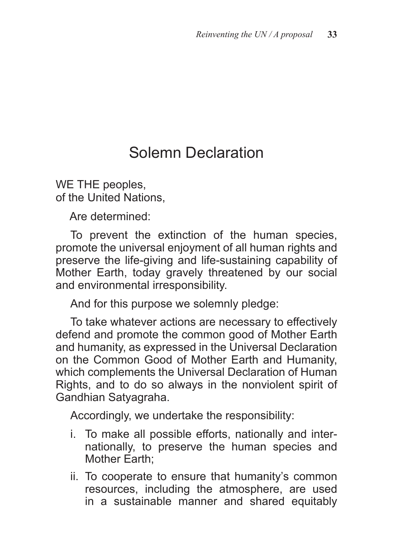#### Solemn Declaration

WE THE peoples, of the United Nations,

Are determined:

To prevent the extinction of the human species, promote the universal enjoyment of all human rights and preserve the life-giving and life-sustaining capability of Mother Earth, today gravely threatened by our social and environmental irresponsibility.

And for this purpose we solemnly pledge:

To take whatever actions are necessary to effectively defend and promote the common good of Mother Earth and humanity, as expressed in the Universal Declaration on the Common Good of Mother Earth and Humanity, which complements the Universal Declaration of Human Rights, and to do so always in the nonviolent spirit of Gandhian Satyagraha.

Accordingly, we undertake the responsibility:

- i. To make all possible efforts, nationally and internationally, to preserve the human species and Mother Earth;
- ii. To cooperate to ensure that humanity's common resources, including the atmosphere, are used in a sustainable manner and shared equitably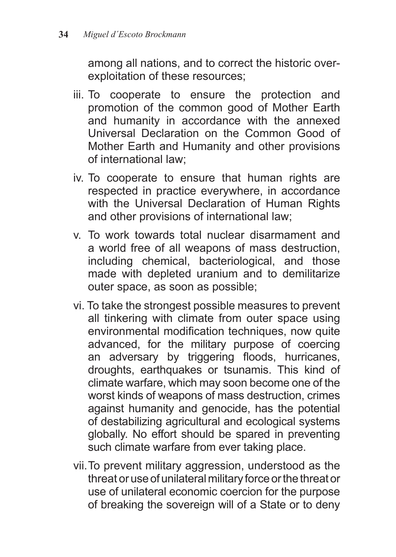among all nations, and to correct the historic overexploitation of these resources;

- iii. To cooperate to ensure the protection and promotion of the common good of Mother Earth and humanity in accordance with the annexed Universal Declaration on the Common Good of Mother Earth and Humanity and other provisions of international law;
- iv. To cooperate to ensure that human rights are respected in practice everywhere, in accordance with the Universal Declaration of Human Rights and other provisions of international law;
- v. To work towards total nuclear disarmament and a world free of all weapons of mass destruction, including chemical, bacteriological, and those made with depleted uranium and to demilitarize outer space, as soon as possible;
- vi. To take the strongest possible measures to prevent all tinkering with climate from outer space using environmental modification techniques, now quite advanced, for the military purpose of coercing an adversary by triggering floods, hurricanes, droughts, earthquakes or tsunamis. This kind of climate warfare, which may soon become one of the worst kinds of weapons of mass destruction, crimes against humanity and genocide, has the potential of destabilizing agricultural and ecological systems globally. No effort should be spared in preventing such climate warfare from ever taking place.
- vii.To prevent military aggression, understood as the threat or use of unilateral military force or the threat or use of unilateral economic coercion for the purpose of breaking the sovereign will of a State or to deny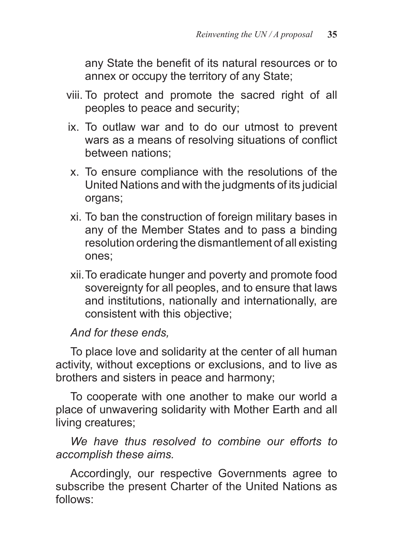any State the benefit of its natural resources or to annex or occupy the territory of any State;

- viii. To protect and promote the sacred right of all peoples to peace and security;
- ix. To outlaw war and to do our utmost to prevent wars as a means of resolving situations of conflict between nations;
- x. To ensure compliance with the resolutions of the United Nations and with the judgments of its judicial organs;
- xi. To ban the construction of foreign military bases in any of the Member States and to pass a binding resolution ordering the dismantlement of all existing ones;
- xii.To eradicate hunger and poverty and promote food sovereignty for all peoples, and to ensure that laws and institutions, nationally and internationally, are consistent with this objective;

*And for these ends,* 

To place love and solidarity at the center of all human activity, without exceptions or exclusions, and to live as brothers and sisters in peace and harmony;

To cooperate with one another to make our world a place of unwavering solidarity with Mother Earth and all living creatures;

*We have thus resolved to combine our efforts to accomplish these aims.*

Accordingly, our respective Governments agree to subscribe the present Charter of the United Nations as follows: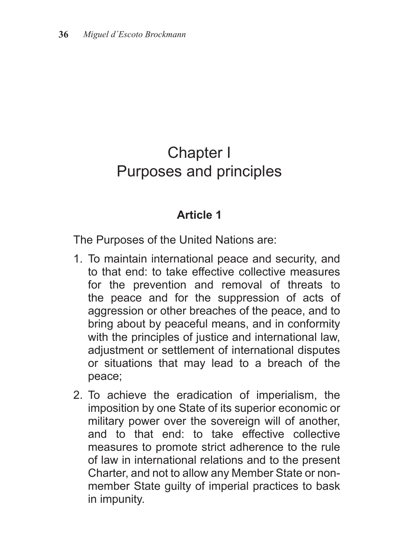#### Chapter I Purposes and principles

#### **Article 1**

The Purposes of the United Nations are:

- 1. To maintain international peace and security, and to that end: to take effective collective measures for the prevention and removal of threats to the peace and for the suppression of acts of aggression or other breaches of the peace, and to bring about by peaceful means, and in conformity with the principles of justice and international law, adjustment or settlement of international disputes or situations that may lead to a breach of the peace;
- 2. To achieve the eradication of imperialism, the imposition by one State of its superior economic or military power over the sovereign will of another, and to that end: to take effective collective measures to promote strict adherence to the rule of law in international relations and to the present Charter, and not to allow any Member State or nonmember State guilty of imperial practices to bask in impunity.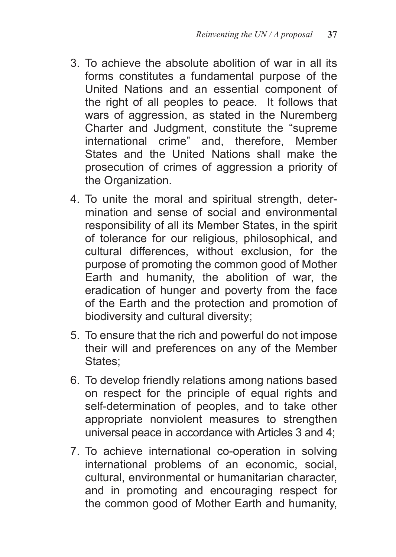- 3. To achieve the absolute abolition of war in all its forms constitutes a fundamental purpose of the United Nations and an essential component of the right of all peoples to peace. It follows that wars of aggression, as stated in the Nuremberg Charter and Judgment, constitute the "supreme international crime" and, therefore, Member States and the United Nations shall make the prosecution of crimes of aggression a priority of the Organization.
- 4. To unite the moral and spiritual strength, determination and sense of social and environmental responsibility of all its Member States, in the spirit of tolerance for our religious, philosophical, and cultural differences, without exclusion, for the purpose of promoting the common good of Mother Earth and humanity, the abolition of war, the eradication of hunger and poverty from the face of the Earth and the protection and promotion of biodiversity and cultural diversity;
- 5. To ensure that the rich and powerful do not impose their will and preferences on any of the Member States:
- 6. To develop friendly relations among nations based on respect for the principle of equal rights and self-determination of peoples, and to take other appropriate nonviolent measures to strengthen universal peace in accordance with Articles 3 and 4;
- 7. To achieve international co-operation in solving international problems of an economic, social, cultural, environmental or humanitarian character, and in promoting and encouraging respect for the common good of Mother Earth and humanity,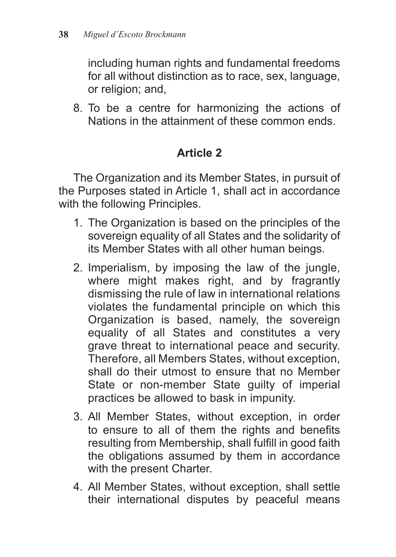including human rights and fundamental freedoms for all without distinction as to race, sex, language, or religion; and,

8. To be a centre for harmonizing the actions of Nations in the attainment of these common ends.

# **Article 2**

The Organization and its Member States, in pursuit of the Purposes stated in Article 1, shall act in accordance with the following Principles.

- 1. The Organization is based on the principles of the sovereign equality of all States and the solidarity of its Member States with all other human beings.
- 2. Imperialism, by imposing the law of the jungle, where might makes right, and by fragrantly dismissing the rule of law in international relations violates the fundamental principle on which this Organization is based, namely, the sovereign equality of all States and constitutes a very grave threat to international peace and security. Therefore, all Members States, without exception, shall do their utmost to ensure that no Member State or non-member State guilty of imperial practices be allowed to bask in impunity.
- 3. All Member States, without exception, in order to ensure to all of them the rights and benefits resulting from Membership, shall fulfill in good faith the obligations assumed by them in accordance with the present Charter.
- 4. All Member States, without exception, shall settle their international disputes by peaceful means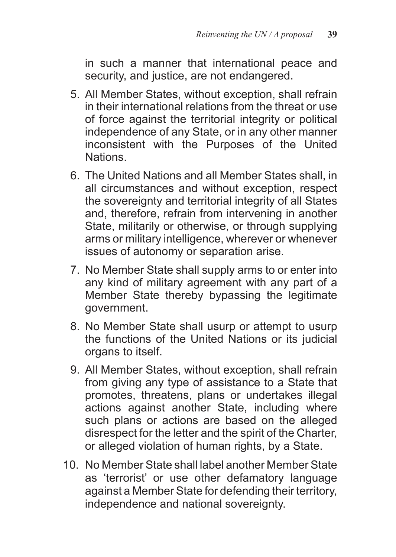in such a manner that international peace and security, and justice, are not endangered.

- 5. All Member States, without exception, shall refrain in their international relations from the threat or use of force against the territorial integrity or political independence of any State, or in any other manner inconsistent with the Purposes of the United Nations.
- 6. The United Nations and all Member States shall, in all circumstances and without exception, respect the sovereignty and territorial integrity of all States and, therefore, refrain from intervening in another State, militarily or otherwise, or through supplying arms or military intelligence, wherever or whenever issues of autonomy or separation arise.
- 7. No Member State shall supply arms to or enter into any kind of military agreement with any part of a Member State thereby bypassing the legitimate government.
- 8. No Member State shall usurp or attempt to usurp the functions of the United Nations or its judicial organs to itself.
- 9. All Member States, without exception, shall refrain from giving any type of assistance to a State that promotes, threatens, plans or undertakes illegal actions against another State, including where such plans or actions are based on the alleged disrespect for the letter and the spirit of the Charter, or alleged violation of human rights, by a State.
- 10. No Member State shall label another Member State as 'terrorist' or use other defamatory language against a Member State for defending their territory, independence and national sovereignty.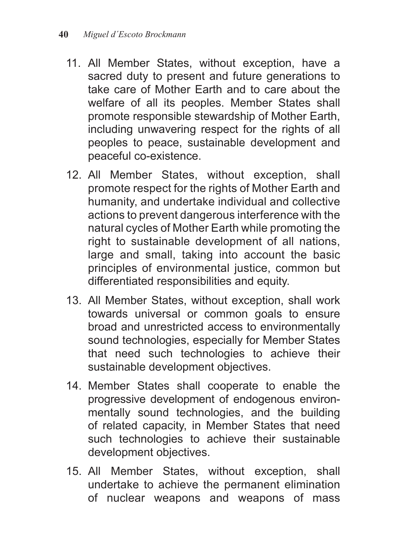- 11. All Member States, without exception, have a sacred duty to present and future generations to take care of Mother Earth and to care about the welfare of all its peoples. Member States shall promote responsible stewardship of Mother Earth, including unwavering respect for the rights of all peoples to peace, sustainable development and peaceful co-existence.
- 12. All Member States, without exception, shall promote respect for the rights of Mother Earth and humanity, and undertake individual and collective actions to prevent dangerous interference with the natural cycles of Mother Earth while promoting the right to sustainable development of all nations, large and small, taking into account the basic principles of environmental justice, common but differentiated responsibilities and equity.
- 13. All Member States, without exception, shall work towards universal or common goals to ensure broad and unrestricted access to environmentally sound technologies, especially for Member States that need such technologies to achieve their sustainable development objectives.
- 14. Member States shall cooperate to enable the progressive development of endogenous environmentally sound technologies, and the building of related capacity, in Member States that need such technologies to achieve their sustainable development objectives.
- 15. All Member States, without exception, shall undertake to achieve the permanent elimination of nuclear weapons and weapons of mass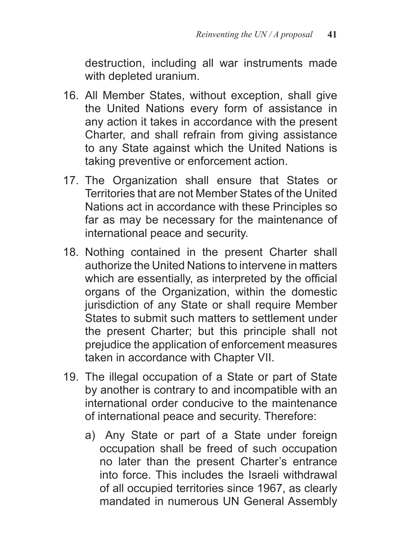destruction, including all war instruments made with depleted uranium.

- 16. All Member States, without exception, shall give the United Nations every form of assistance in any action it takes in accordance with the present Charter, and shall refrain from giving assistance to any State against which the United Nations is taking preventive or enforcement action.
- 17. The Organization shall ensure that States or Territories that are not Member States of the United Nations act in accordance with these Principles so far as may be necessary for the maintenance of international peace and security.
- 18. Nothing contained in the present Charter shall authorize the United Nations to intervene in matters which are essentially, as interpreted by the official organs of the Organization, within the domestic jurisdiction of any State or shall require Member States to submit such matters to settlement under the present Charter; but this principle shall not prejudice the application of enforcement measures taken in accordance with Chapter VII.
- 19. The illegal occupation of a State or part of State by another is contrary to and incompatible with an international order conducive to the maintenance of international peace and security. Therefore:
	- a) Any State or part of a State under foreign occupation shall be freed of such occupation no later than the present Charter's entrance into force. This includes the Israeli withdrawal of all occupied territories since 1967, as clearly mandated in numerous UN General Assembly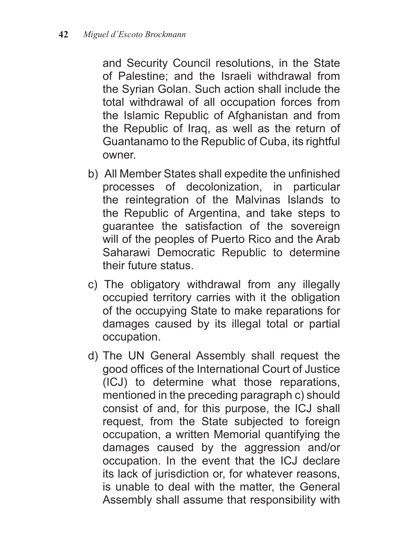and Security Council resolutions, in the State of Palestine; and the Israeli withdrawal from the Syrian Golan. Such action shall include the total withdrawal of all occupation forces from the Islamic Republic of Afghanistan and from the Republic of Iraq, as well as the return of Guantanamo to the Republic of Cuba, its rightful owner.

- b) All Member States shall expedite the unfinished processes of decolonization, in particular the reintegration of the Malvinas Islands to the Republic of Argentina, and take steps to guarantee the satisfaction of the sovereign will of the peoples of Puerto Rico and the Arab Saharawi Democratic Republic to determine their future status.
- c) The obligatory withdrawal from any illegally occupied territory carries with it the obligation of the occupying State to make reparations for damages caused by its illegal total or partial occupation.
- d) The UN General Assembly shall request the good offices of the International Court of Justice (ICJ) to determine what those reparations, mentioned in the preceding paragraph c) should consist of and, for this purpose, the ICJ shall request, from the State subjected to foreign occupation, a written Memorial quantifying the damages caused by the aggression and/or occupation. In the event that the ICJ declare its lack of jurisdiction or, for whatever reasons, is unable to deal with the matter, the General Assembly shall assume that responsibility with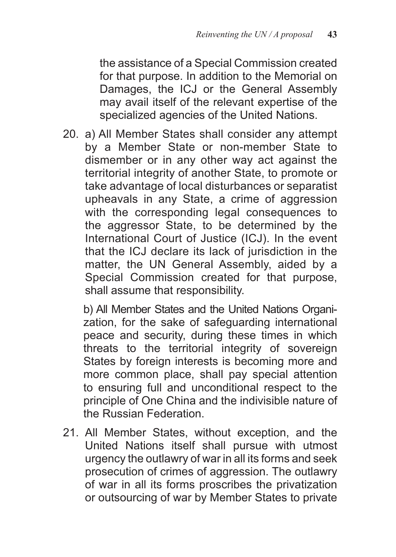the assistance of a Special Commission created for that purpose. In addition to the Memorial on Damages, the ICJ or the General Assembly may avail itself of the relevant expertise of the specialized agencies of the United Nations.

20. a) All Member States shall consider any attempt by a Member State or non-member State to dismember or in any other way act against the territorial integrity of another State, to promote or take advantage of local disturbances or separatist upheavals in any State, a crime of aggression with the corresponding legal consequences to the aggressor State, to be determined by the International Court of Justice (ICJ). In the event that the ICJ declare its lack of jurisdiction in the matter, the UN General Assembly, aided by a Special Commission created for that purpose, shall assume that responsibility.

b) All Member States and the United Nations Organization, for the sake of safeguarding international peace and security, during these times in which threats to the territorial integrity of sovereign States by foreign interests is becoming more and more common place, shall pay special attention to ensuring full and unconditional respect to the principle of One China and the indivisible nature of the Russian Federation.

21. All Member States, without exception, and the United Nations itself shall pursue with utmost urgency the outlawry of war in all its forms and seek prosecution of crimes of aggression. The outlawry of war in all its forms proscribes the privatization or outsourcing of war by Member States to private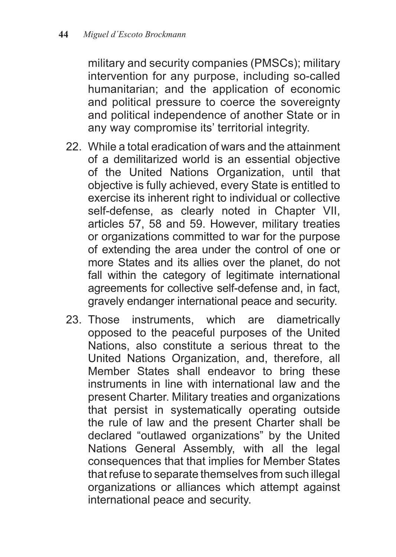military and security companies (PMSCs); military intervention for any purpose, including so-called humanitarian; and the application of economic and political pressure to coerce the sovereignty and political independence of another State or in any way compromise its' territorial integrity.

- 22. While a total eradication of wars and the attainment of a demilitarized world is an essential objective of the United Nations Organization, until that objective is fully achieved, every State is entitled to exercise its inherent right to individual or collective self-defense, as clearly noted in Chapter VII, articles 57, 58 and 59. However, military treaties or organizations committed to war for the purpose of extending the area under the control of one or more States and its allies over the planet, do not fall within the category of legitimate international agreements for collective self-defense and, in fact, gravely endanger international peace and security.
- 23. Those instruments, which are diametrically opposed to the peaceful purposes of the United Nations, also constitute a serious threat to the United Nations Organization, and, therefore, all Member States shall endeavor to bring these instruments in line with international law and the present Charter. Military treaties and organizations that persist in systematically operating outside the rule of law and the present Charter shall be declared "outlawed organizations" by the United Nations General Assembly, with all the legal consequences that that implies for Member States that refuse to separate themselves from such illegal organizations or alliances which attempt against international peace and security.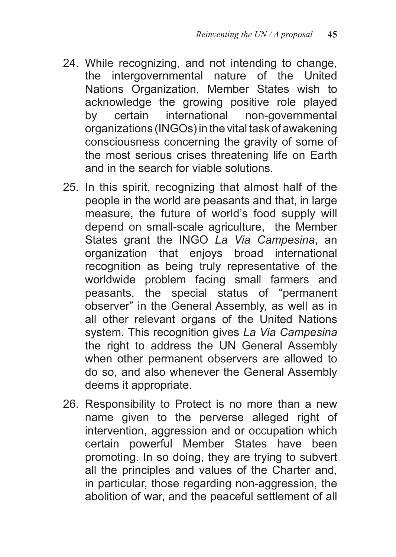- 24. While recognizing, and not intending to change, the intergovernmental nature of the United Nations Organization, Member States wish to acknowledge the growing positive role played by certain international non-governmental organizations (INGOs) in the vital task of awakening consciousness concerning the gravity of some of the most serious crises threatening life on Earth and in the search for viable solutions.
- 25. In this spirit, recognizing that almost half of the people in the world are peasants and that, in large measure, the future of world's food supply will depend on small-scale agriculture, the Member States grant the INGO *La Via Campesina*, an organization that enjoys broad international recognition as being truly representative of the worldwide problem facing small farmers and peasants, the special status of "permanent observer" in the General Assembly, as well as in all other relevant organs of the United Nations system. This recognition gives *La Via Campesina*  the right to address the UN General Assembly when other permanent observers are allowed to do so, and also whenever the General Assembly deems it appropriate.
- 26. Responsibility to Protect is no more than a new name given to the perverse alleged right of intervention, aggression and or occupation which certain powerful Member States have been promoting. In so doing, they are trying to subvert all the principles and values of the Charter and, in particular, those regarding non-aggression, the abolition of war, and the peaceful settlement of all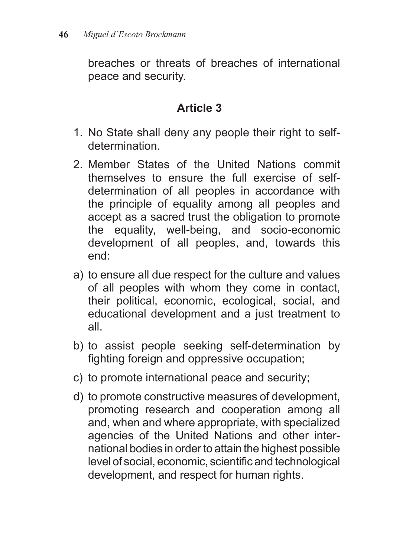breaches or threats of breaches of international peace and security.

- 1. No State shall deny any people their right to selfdetermination.
- 2. Member States of the United Nations commit themselves to ensure the full exercise of selfdetermination of all peoples in accordance with the principle of equality among all peoples and accept as a sacred trust the obligation to promote the equality, well-being, and socio-economic development of all peoples, and, towards this end:
- a) to ensure all due respect for the culture and values of all peoples with whom they come in contact, their political, economic, ecological, social, and educational development and a just treatment to all.
- b) to assist people seeking self-determination by fighting foreign and oppressive occupation;
- c) to promote international peace and security;
- d) to promote constructive measures of development, promoting research and cooperation among all and, when and where appropriate, with specialized agencies of the United Nations and other international bodies in order to attain the highest possible level of social, economic, scientific and technological development, and respect for human rights.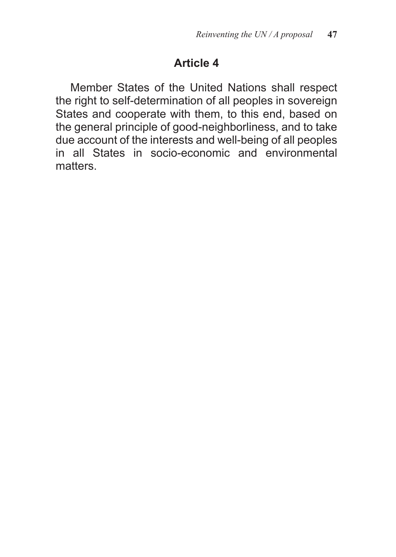Member States of the United Nations shall respect the right to self-determination of all peoples in sovereign States and cooperate with them, to this end, based on the general principle of good-neighborliness, and to take due account of the interests and well-being of all peoples in all States in socio-economic and environmental matters.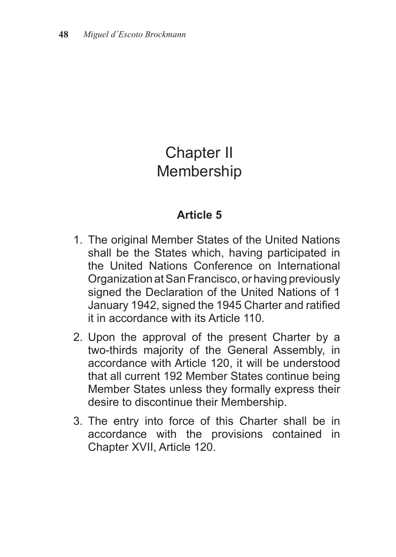# Chapter II **Membership**

- 1. The original Member States of the United Nations shall be the States which, having participated in the United Nations Conference on International Organization at San Francisco, or having previously signed the Declaration of the United Nations of 1 January 1942, signed the 1945 Charter and ratified it in accordance with its Article 110.
- 2. Upon the approval of the present Charter by a two-thirds majority of the General Assembly, in accordance with Article 120, it will be understood that all current 192 Member States continue being Member States unless they formally express their desire to discontinue their Membership.
- 3. The entry into force of this Charter shall be in accordance with the provisions contained in Chapter XVII, Article 120.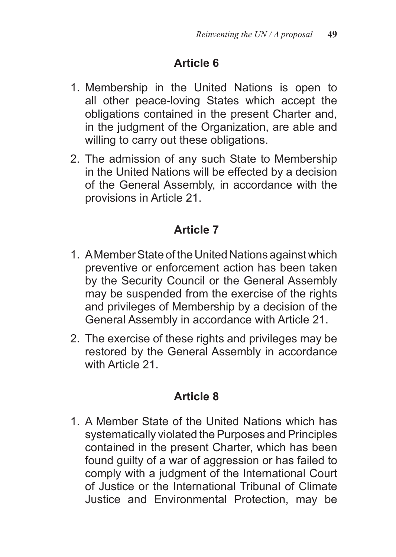- 1. Membership in the United Nations is open to all other peace-loving States which accept the obligations contained in the present Charter and, in the judgment of the Organization, are able and willing to carry out these obligations.
- 2. The admission of any such State to Membership in the United Nations will be effected by a decision of the General Assembly, in accordance with the provisions in Article 21.

# **Article 7**

- 1. A Member State of the United Nations against which preventive or enforcement action has been taken by the Security Council or the General Assembly may be suspended from the exercise of the rights and privileges of Membership by a decision of the General Assembly in accordance with Article 21.
- 2. The exercise of these rights and privileges may be restored by the General Assembly in accordance with Article 21

# **Article 8**

1. A Member State of the United Nations which has systematically violated the Purposes and Principles contained in the present Charter, which has been found guilty of a war of aggression or has failed to comply with a judgment of the International Court of Justice or the International Tribunal of Climate Justice and Environmental Protection, may be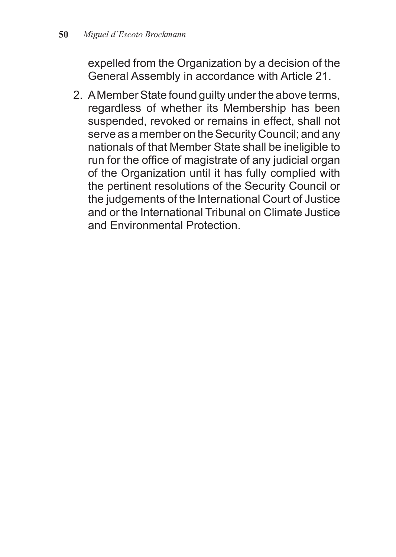expelled from the Organization by a decision of the General Assembly in accordance with Article 21.

2. A Member State found guilty under the above terms, regardless of whether its Membership has been suspended, revoked or remains in effect, shall not serve as a member on the Security Council; and any nationals of that Member State shall be ineligible to run for the office of magistrate of any judicial organ of the Organization until it has fully complied with the pertinent resolutions of the Security Council or the judgements of the International Court of Justice and or the International Tribunal on Climate Justice and Environmental Protection.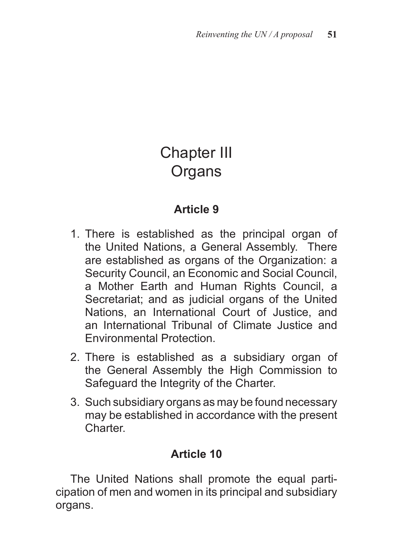# Chapter III **Organs**

## **Article 9**

- 1. There is established as the principal organ of the United Nations, a General Assembly. There are established as organs of the Organization: a Security Council, an Economic and Social Council, a Mother Earth and Human Rights Council, a Secretariat; and as judicial organs of the United Nations, an International Court of Justice, and an International Tribunal of Climate Justice and Environmental Protection.
- 2. There is established as a subsidiary organ of the General Assembly the High Commission to Safeguard the Integrity of the Charter.
- 3. Such subsidiary organs as may be found necessary may be established in accordance with the present Charter.

# **Article 10**

The United Nations shall promote the equal participation of men and women in its principal and subsidiary organs.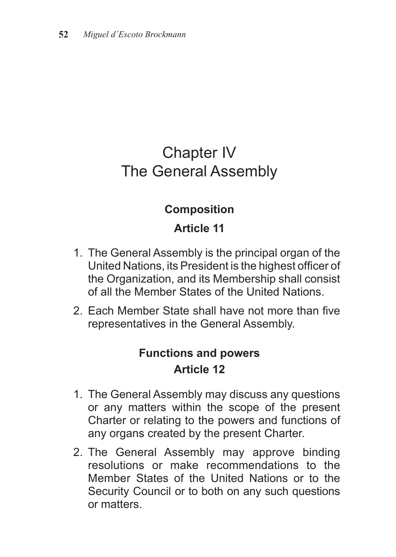# Chapter IV The General Assembly

#### **Composition**

# **Article 11**

- 1. The General Assembly is the principal organ of the United Nations, its President is the highest officer of the Organization, and its Membership shall consist of all the Member States of the United Nations.
- 2. Each Member State shall have not more than five representatives in the General Assembly.

# **Functions and powers Article 12**

- 1. The General Assembly may discuss any questions or any matters within the scope of the present Charter or relating to the powers and functions of any organs created by the present Charter.
- 2. The General Assembly may approve binding resolutions or make recommendations to the Member States of the United Nations or to the Security Council or to both on any such questions or matters.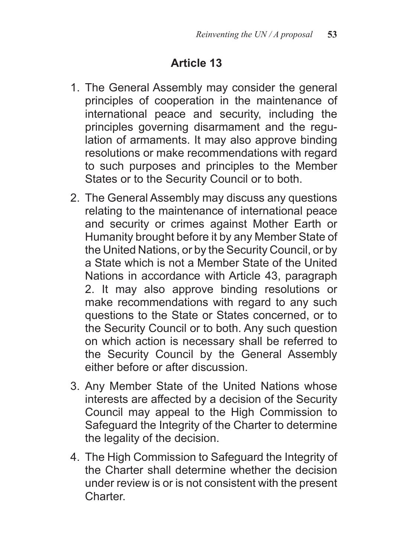- 1. The General Assembly may consider the general principles of cooperation in the maintenance of international peace and security, including the principles governing disarmament and the regulation of armaments. It may also approve binding resolutions or make recommendations with regard to such purposes and principles to the Member States or to the Security Council or to both.
- 2. The General Assembly may discuss any questions relating to the maintenance of international peace and security or crimes against Mother Earth or Humanity brought before it by any Member State of the United Nations, or by the Security Council, or by a State which is not a Member State of the United Nations in accordance with Article 43, paragraph 2. It may also approve binding resolutions or make recommendations with regard to any such questions to the State or States concerned, or to the Security Council or to both. Any such question on which action is necessary shall be referred to the Security Council by the General Assembly either before or after discussion.
- 3. Any Member State of the United Nations whose interests are affected by a decision of the Security Council may appeal to the High Commission to Safeguard the Integrity of the Charter to determine the legality of the decision.
- 4. The High Commission to Safeguard the Integrity of the Charter shall determine whether the decision under review is or is not consistent with the present Charter.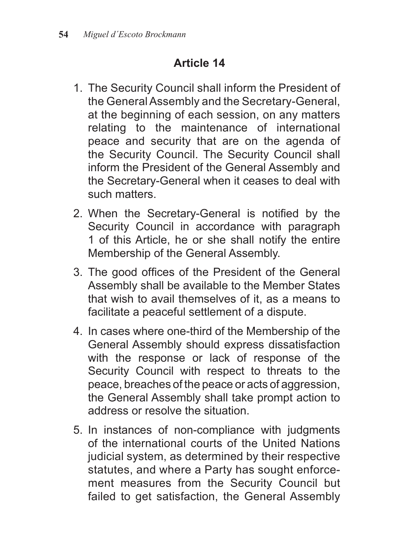- 1. The Security Council shall inform the President of the General Assembly and the Secretary-General, at the beginning of each session, on any matters relating to the maintenance of international peace and security that are on the agenda of the Security Council. The Security Council shall inform the President of the General Assembly and the Secretary-General when it ceases to deal with such matters.
- 2. When the Secretary-General is notified by the Security Council in accordance with paragraph 1 of this Article, he or she shall notify the entire Membership of the General Assembly.
- 3. The good offices of the President of the General Assembly shall be available to the Member States that wish to avail themselves of it, as a means to facilitate a peaceful settlement of a dispute.
- 4. In cases where one-third of the Membership of the General Assembly should express dissatisfaction with the response or lack of response of the Security Council with respect to threats to the peace, breaches of the peace or acts of aggression, the General Assembly shall take prompt action to address or resolve the situation.
- 5. In instances of non-compliance with judgments of the international courts of the United Nations judicial system, as determined by their respective statutes, and where a Party has sought enforcement measures from the Security Council but failed to get satisfaction, the General Assembly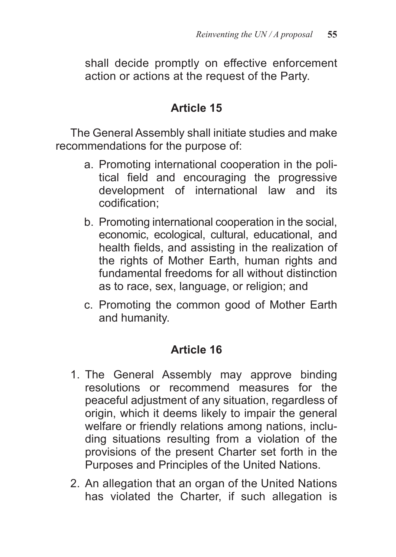shall decide promptly on effective enforcement action or actions at the request of the Party.

#### **Article 15**

The General Assembly shall initiate studies and make recommendations for the purpose of:

- a. Promoting international cooperation in the political field and encouraging the progressive development of international law and its codification;
- b. Promoting international cooperation in the social, economic, ecological, cultural, educational, and health fields, and assisting in the realization of the rights of Mother Earth, human rights and fundamental freedoms for all without distinction as to race, sex, language, or religion; and
- c. Promoting the common good of Mother Earth and humanity.

- 1. The General Assembly may approve binding resolutions or recommend measures for the peaceful adjustment of any situation, regardless of origin, which it deems likely to impair the general welfare or friendly relations among nations, including situations resulting from a violation of the provisions of the present Charter set forth in the Purposes and Principles of the United Nations.
- 2. An allegation that an organ of the United Nations has violated the Charter, if such allegation is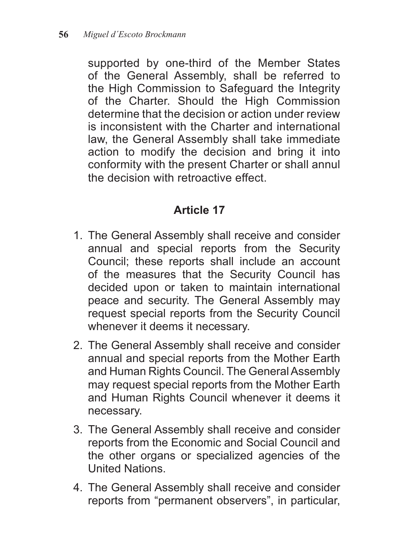supported by one-third of the Member States of the General Assembly, shall be referred to the High Commission to Safeguard the Integrity of the Charter. Should the High Commission determine that the decision or action under review is inconsistent with the Charter and international law, the General Assembly shall take immediate action to modify the decision and bring it into conformity with the present Charter or shall annul the decision with retroactive effect.

- 1. The General Assembly shall receive and consider annual and special reports from the Security Council; these reports shall include an account of the measures that the Security Council has decided upon or taken to maintain international peace and security. The General Assembly may request special reports from the Security Council whenever it deems it necessary.
- 2. The General Assembly shall receive and consider annual and special reports from the Mother Earth and Human Rights Council. The General Assembly may request special reports from the Mother Earth and Human Rights Council whenever it deems it necessary.
- 3. The General Assembly shall receive and consider reports from the Economic and Social Council and the other organs or specialized agencies of the United Nations.
- 4. The General Assembly shall receive and consider reports from "permanent observers", in particular,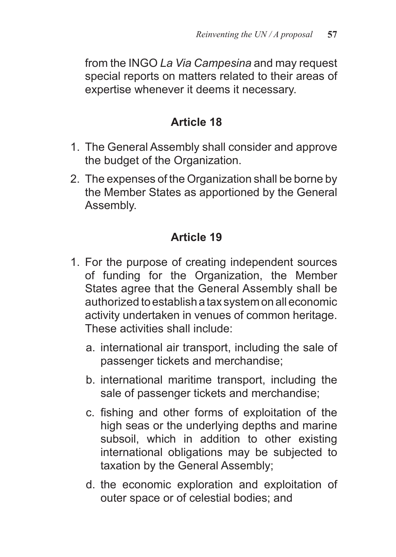from the INGO *La Via Campesina* and may request special reports on matters related to their areas of expertise whenever it deems it necessary.

## **Article 18**

- 1. The General Assembly shall consider and approve the budget of the Organization.
- 2. The expenses of the Organization shall be borne by the Member States as apportioned by the General Assembly.

- 1. For the purpose of creating independent sources of funding for the Organization, the Member States agree that the General Assembly shall be authorized to establish a tax system on all economic activity undertaken in venues of common heritage. These activities shall include:
	- a. international air transport, including the sale of passenger tickets and merchandise;
	- b. international maritime transport, including the sale of passenger tickets and merchandise;
	- c. fishing and other forms of exploitation of the high seas or the underlying depths and marine subsoil, which in addition to other existing international obligations may be subjected to taxation by the General Assembly;
	- d. the economic exploration and exploitation of outer space or of celestial bodies; and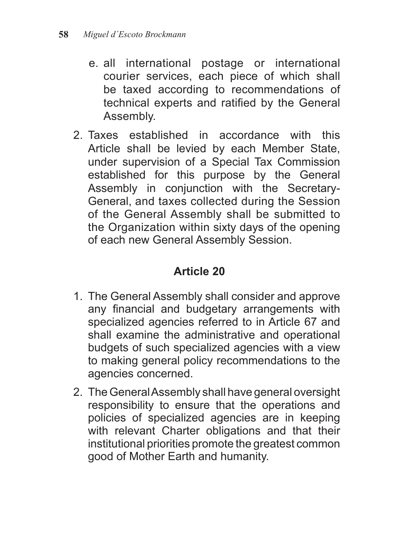- e. all international postage or international courier services, each piece of which shall be taxed according to recommendations of technical experts and ratified by the General Assembly.
- 2. Taxes established in accordance with this Article shall be levied by each Member State, under supervision of a Special Tax Commission established for this purpose by the General Assembly in conjunction with the Secretary-General, and taxes collected during the Session of the General Assembly shall be submitted to the Organization within sixty days of the opening of each new General Assembly Session.

- 1. The General Assembly shall consider and approve any financial and budgetary arrangements with specialized agencies referred to in Article 67 and shall examine the administrative and operational budgets of such specialized agencies with a view to making general policy recommendations to the agencies concerned.
- 2. The General Assembly shall have general oversight responsibility to ensure that the operations and policies of specialized agencies are in keeping with relevant Charter obligations and that their institutional priorities promote the greatest common good of Mother Earth and humanity.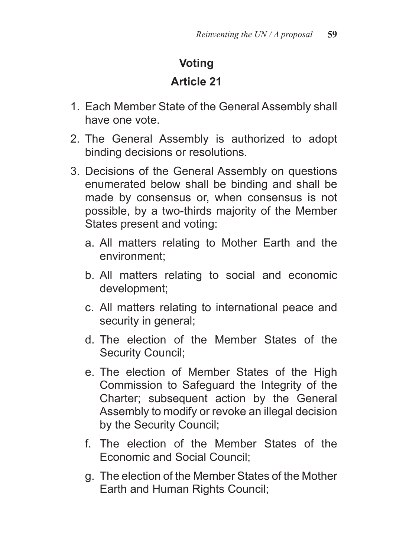# **Voting**

- 1. Each Member State of the General Assembly shall have one vote.
- 2. The General Assembly is authorized to adopt binding decisions or resolutions.
- 3. Decisions of the General Assembly on questions enumerated below shall be binding and shall be made by consensus or, when consensus is not possible, by a two-thirds majority of the Member States present and voting:
	- a. All matters relating to Mother Earth and the environment;
	- b. All matters relating to social and economic development;
	- c. All matters relating to international peace and security in general;
	- d. The election of the Member States of the Security Council;
	- e. The election of Member States of the High Commission to Safeguard the Integrity of the Charter; subsequent action by the General Assembly to modify or revoke an illegal decision by the Security Council;
	- f. The election of the Member States of the Economic and Social Council;
	- g. The election of the Member States of the Mother Earth and Human Rights Council;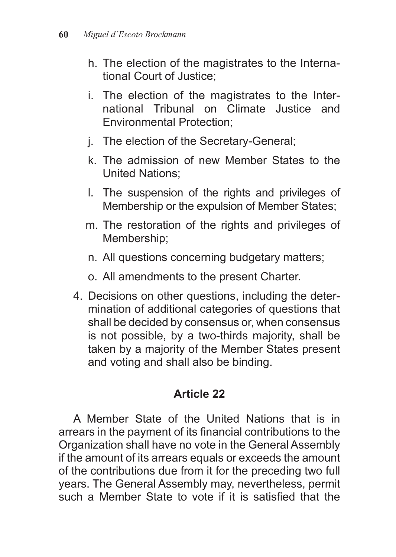- h. The election of the magistrates to the International Court of Justice;
- i. The election of the magistrates to the International Tribunal on Climate Justice and Environmental Protection;
- j. The election of the Secretary-General;
- k. The admission of new Member States to the United Nations;
- l. The suspension of the rights and privileges of Membership or the expulsion of Member States;
- m. The restoration of the rights and privileges of Membership;
- n. All questions concerning budgetary matters;
- o. All amendments to the present Charter.
- 4. Decisions on other questions, including the determination of additional categories of questions that shall be decided by consensus or, when consensus is not possible, by a two-thirds majority, shall be taken by a majority of the Member States present and voting and shall also be binding.

A Member State of the United Nations that is in arrears in the payment of its financial contributions to the Organization shall have no vote in the General Assembly if the amount of its arrears equals or exceeds the amount of the contributions due from it for the preceding two full years. The General Assembly may, nevertheless, permit such a Member State to vote if it is satisfied that the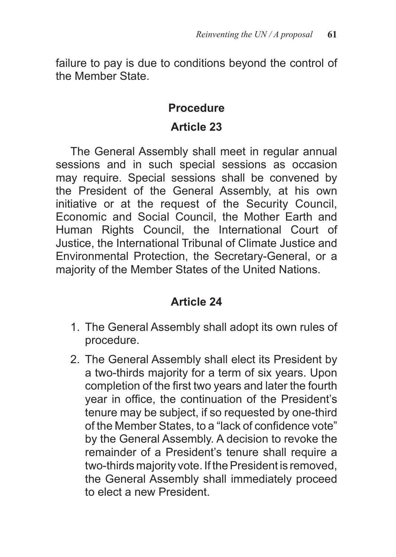failure to pay is due to conditions beyond the control of the Member State.

#### **Procedure**

#### **Article 23**

The General Assembly shall meet in regular annual sessions and in such special sessions as occasion may require. Special sessions shall be convened by the President of the General Assembly, at his own initiative or at the request of the Security Council, Economic and Social Council, the Mother Earth and Human Rights Council, the International Court of Justice, the International Tribunal of Climate Justice and Environmental Protection, the Secretary-General, or a majority of the Member States of the United Nations.

- 1. The General Assembly shall adopt its own rules of procedure.
- 2. The General Assembly shall elect its President by a two-thirds majority for a term of six years. Upon completion of the first two years and later the fourth year in office, the continuation of the President's tenure may be subject, if so requested by one-third of the Member States, to a "lack of confidence vote" by the General Assembly. A decision to revoke the remainder of a President's tenure shall require a two-thirds majority vote. If the President is removed, the General Assembly shall immediately proceed to elect a new President.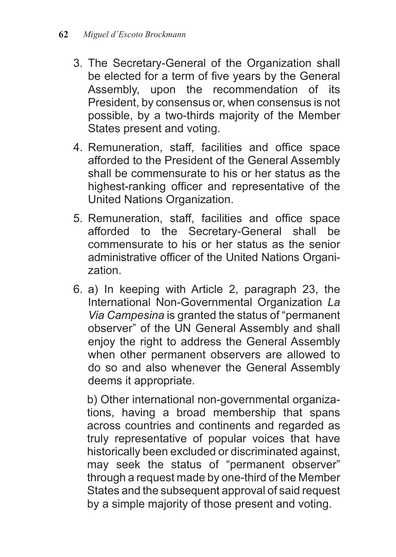- 3. The Secretary-General of the Organization shall be elected for a term of five years by the General Assembly, upon the recommendation of its President, by consensus or, when consensus is not possible, by a two-thirds majority of the Member States present and voting.
- 4. Remuneration, staff, facilities and office space afforded to the President of the General Assembly shall be commensurate to his or her status as the highest-ranking officer and representative of the United Nations Organization.
- 5. Remuneration, staff, facilities and office space afforded to the Secretary-General shall be commensurate to his or her status as the senior administrative officer of the United Nations Organization.
- 6. a) In keeping with Article 2, paragraph 23, the International Non-Governmental Organization *La Via Campesina* is granted the status of "permanent observer" of the UN General Assembly and shall enjoy the right to address the General Assembly when other permanent observers are allowed to do so and also whenever the General Assembly deems it appropriate.

b) Other international non-governmental organizations, having a broad membership that spans across countries and continents and regarded as truly representative of popular voices that have historically been excluded or discriminated against, may seek the status of "permanent observer" through a request made by one-third of the Member States and the subsequent approval of said request by a simple majority of those present and voting.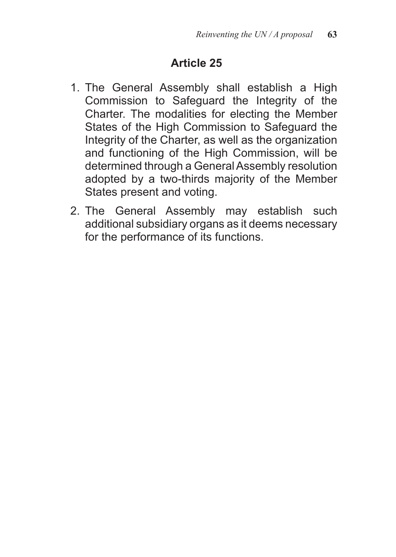- 1. The General Assembly shall establish a High Commission to Safeguard the Integrity of the Charter. The modalities for electing the Member States of the High Commission to Safeguard the Integrity of the Charter, as well as the organization and functioning of the High Commission, will be determined through a General Assembly resolution adopted by a two-thirds majority of the Member States present and voting.
- 2. The General Assembly may establish such additional subsidiary organs as it deems necessary for the performance of its functions.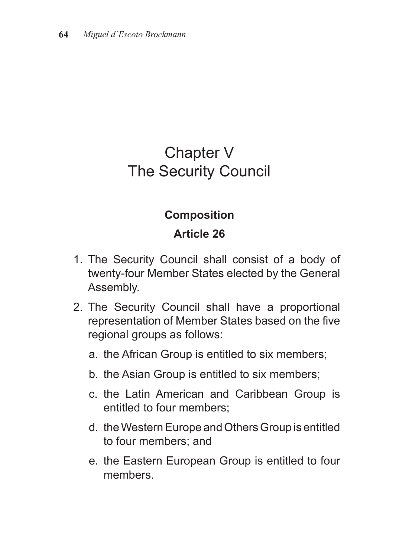# Chapter V The Security Council

#### **Composition**

- 1. The Security Council shall consist of a body of twenty-four Member States elected by the General Assembly.
- 2. The Security Council shall have a proportional representation of Member States based on the five regional groups as follows:
	- a. the African Group is entitled to six members;
	- b. the Asian Group is entitled to six members;
	- c. the Latin American and Caribbean Group is entitled to four members;
	- d. the Western Europe and Others Group is entitled to four members; and
	- e. the Eastern European Group is entitled to four members.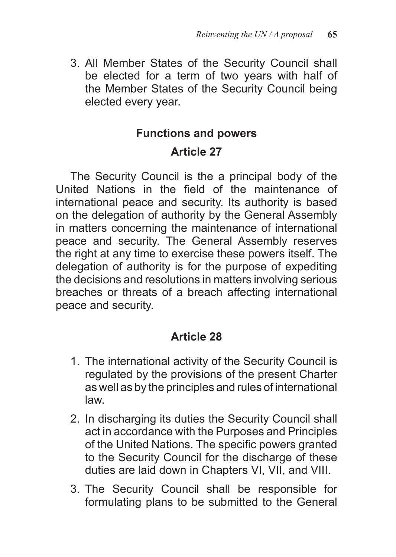3. All Member States of the Security Council shall be elected for a term of two years with half of the Member States of the Security Council being elected every year.

# **Functions and powers Article 27**

The Security Council is the a principal body of the United Nations in the field of the maintenance of international peace and security. Its authority is based on the delegation of authority by the General Assembly in matters concerning the maintenance of international peace and security. The General Assembly reserves the right at any time to exercise these powers itself. The delegation of authority is for the purpose of expediting the decisions and resolutions in matters involving serious breaches or threats of a breach affecting international peace and security.

- 1. The international activity of the Security Council is regulated by the provisions of the present Charter as well as by the principles and rules of international law.
- 2. In discharging its duties the Security Council shall act in accordance with the Purposes and Principles of the United Nations. The specific powers granted to the Security Council for the discharge of these duties are laid down in Chapters VI, VII, and VIII.
- 3. The Security Council shall be responsible for formulating plans to be submitted to the General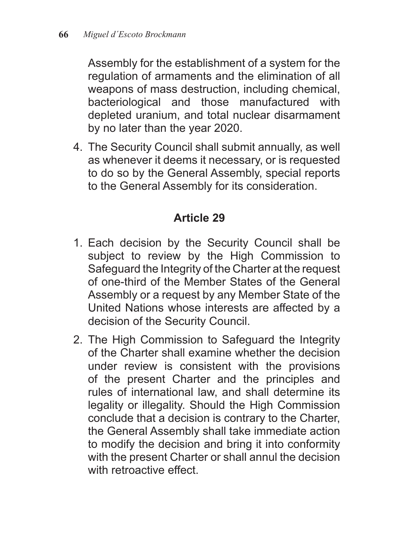Assembly for the establishment of a system for the regulation of armaments and the elimination of all weapons of mass destruction, including chemical, bacteriological and those manufactured with depleted uranium, and total nuclear disarmament by no later than the year 2020.

4. The Security Council shall submit annually, as well as whenever it deems it necessary, or is requested to do so by the General Assembly, special reports to the General Assembly for its consideration.

- 1. Each decision by the Security Council shall be subject to review by the High Commission to Safeguard the Integrity of the Charter at the request of one-third of the Member States of the General Assembly or a request by any Member State of the United Nations whose interests are affected by a decision of the Security Council.
- 2. The High Commission to Safeguard the Integrity of the Charter shall examine whether the decision under review is consistent with the provisions of the present Charter and the principles and rules of international law, and shall determine its legality or illegality. Should the High Commission conclude that a decision is contrary to the Charter, the General Assembly shall take immediate action to modify the decision and bring it into conformity with the present Charter or shall annul the decision with retroactive effect.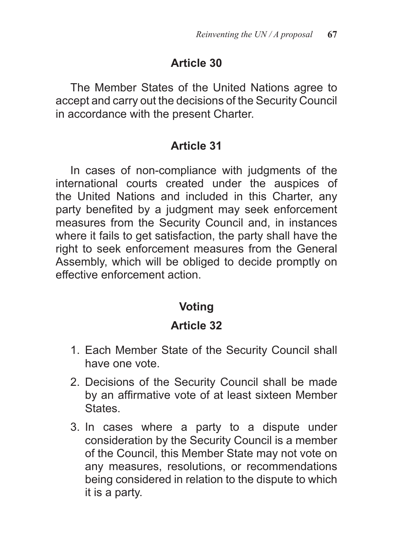The Member States of the United Nations agree to accept and carry out the decisions of the Security Council in accordance with the present Charter.

#### **Article 31**

In cases of non-compliance with judgments of the international courts created under the auspices of the United Nations and included in this Charter, any party benefited by a judgment may seek enforcement measures from the Security Council and, in instances where it fails to get satisfaction, the party shall have the right to seek enforcement measures from the General Assembly, which will be obliged to decide promptly on effective enforcement action.

# **Voting**

- 1. Each Member State of the Security Council shall have one vote.
- 2. Decisions of the Security Council shall be made by an affirmative vote of at least sixteen Member **States**
- 3. In cases where a party to a dispute under consideration by the Security Council is a member of the Council, this Member State may not vote on any measures, resolutions, or recommendations being considered in relation to the dispute to which it is a party.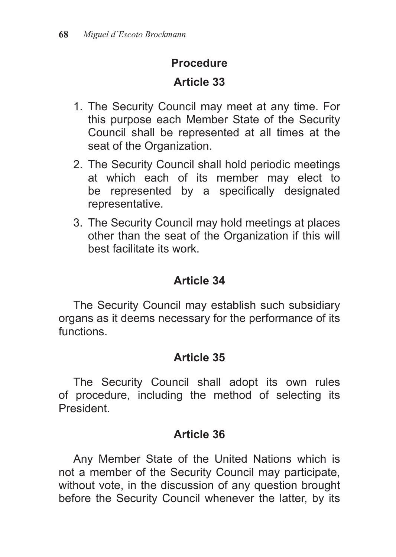## **Procedure**

# **Article 33**

- 1. The Security Council may meet at any time. For this purpose each Member State of the Security Council shall be represented at all times at the seat of the Organization.
- 2. The Security Council shall hold periodic meetings at which each of its member may elect to be represented by a specifically designated representative.
- 3. The Security Council may hold meetings at places other than the seat of the Organization if this will best facilitate its work.

# **Article 34**

The Security Council may establish such subsidiary organs as it deems necessary for the performance of its functions.

# **Article 35**

The Security Council shall adopt its own rules of procedure, including the method of selecting its President.

# **Article 36**

Any Member State of the United Nations which is not a member of the Security Council may participate, without vote, in the discussion of any question brought before the Security Council whenever the latter, by its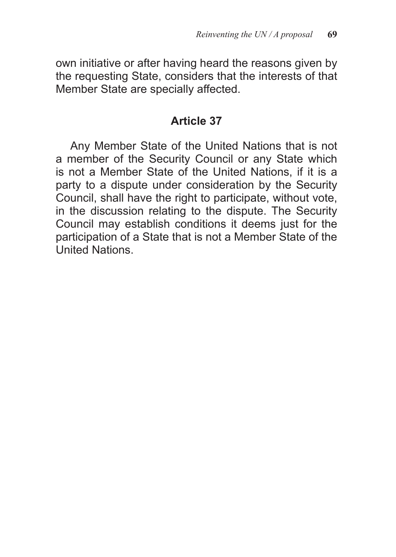own initiative or after having heard the reasons given by the requesting State, considers that the interests of that Member State are specially affected.

#### **Article 37**

Any Member State of the United Nations that is not a member of the Security Council or any State which is not a Member State of the United Nations, if it is a party to a dispute under consideration by the Security Council, shall have the right to participate, without vote, in the discussion relating to the dispute. The Security Council may establish conditions it deems just for the participation of a State that is not a Member State of the United Nations.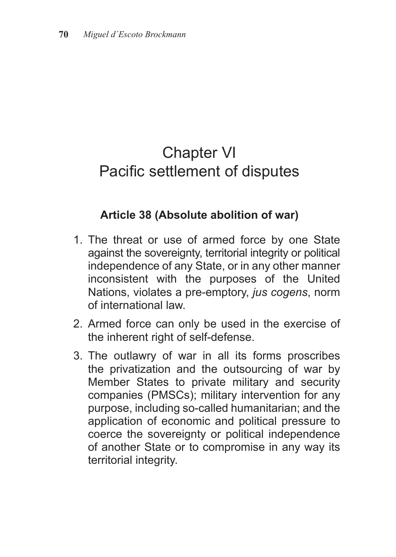# Chapter VI Pacific settlement of disputes

#### **Article 38 (Absolute abolition of war)**

- 1. The threat or use of armed force by one State against the sovereignty, territorial integrity or political independence of any State, or in any other manner inconsistent with the purposes of the United Nations, violates a pre-emptory, *jus cogens*, norm of international law.
- 2. Armed force can only be used in the exercise of the inherent right of self-defense.
- 3. The outlawry of war in all its forms proscribes the privatization and the outsourcing of war by Member States to private military and security companies (PMSCs); military intervention for any purpose, including so-called humanitarian; and the application of economic and political pressure to coerce the sovereignty or political independence of another State or to compromise in any way its territorial integrity.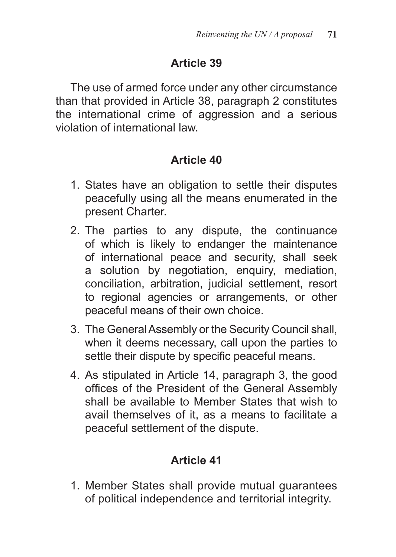The use of armed force under any other circumstance than that provided in Article 38, paragraph 2 constitutes the international crime of aggression and a serious violation of international law.

## **Article 40**

- 1. States have an obligation to settle their disputes peacefully using all the means enumerated in the present Charter.
- 2. The parties to any dispute, the continuance of which is likely to endanger the maintenance of international peace and security, shall seek a solution by negotiation, enquiry, mediation, conciliation, arbitration, judicial settlement, resort to regional agencies or arrangements, or other peaceful means of their own choice.
- 3. The General Assembly or the Security Council shall, when it deems necessary, call upon the parties to settle their dispute by specific peaceful means.
- 4. As stipulated in Article 14, paragraph 3, the good offices of the President of the General Assembly shall be available to Member States that wish to avail themselves of it, as a means to facilitate a peaceful settlement of the dispute.

# **Article 41**

1. Member States shall provide mutual guarantees of political independence and territorial integrity.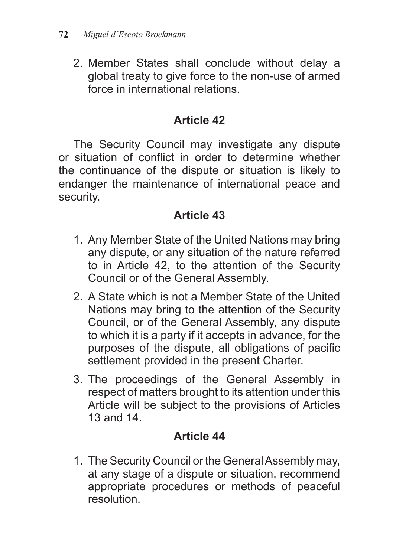2. Member States shall conclude without delay a global treaty to give force to the non-use of armed force in international relations.

## **Article 42**

The Security Council may investigate any dispute or situation of conflict in order to determine whether the continuance of the dispute or situation is likely to endanger the maintenance of international peace and security.

## **Article 43**

- 1. Any Member State of the United Nations may bring any dispute, or any situation of the nature referred to in Article 42, to the attention of the Security Council or of the General Assembly.
- 2. A State which is not a Member State of the United Nations may bring to the attention of the Security Council, or of the General Assembly, any dispute to which it is a party if it accepts in advance, for the purposes of the dispute, all obligations of pacific settlement provided in the present Charter.
- 3. The proceedings of the General Assembly in respect of matters brought to its attention under this Article will be subject to the provisions of Articles 13 and 14.

# **Article 44**

1. The Security Council or the General Assembly may, at any stage of a dispute or situation, recommend appropriate procedures or methods of peaceful resolution.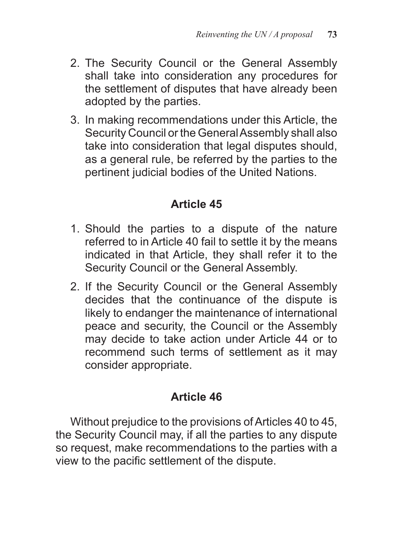- 2. The Security Council or the General Assembly shall take into consideration any procedures for the settlement of disputes that have already been adopted by the parties.
- 3. In making recommendations under this Article, the Security Council or the General Assembly shall also take into consideration that legal disputes should, as a general rule, be referred by the parties to the pertinent judicial bodies of the United Nations.

- 1. Should the parties to a dispute of the nature referred to in Article 40 fail to settle it by the means indicated in that Article, they shall refer it to the Security Council or the General Assembly.
- 2. If the Security Council or the General Assembly decides that the continuance of the dispute is likely to endanger the maintenance of international peace and security, the Council or the Assembly may decide to take action under Article 44 or to recommend such terms of settlement as it may consider appropriate.

## **Article 46**

Without prejudice to the provisions of Articles 40 to 45, the Security Council may, if all the parties to any dispute so request, make recommendations to the parties with a view to the pacific settlement of the dispute.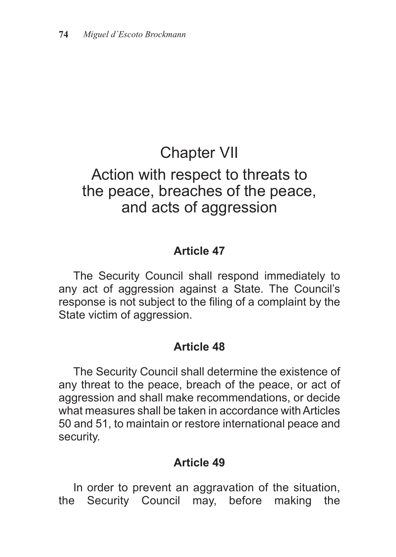## Chapter VII

## Action with respect to threats to the peace, breaches of the peace, and acts of aggression

### **Article 47**

The Security Council shall respond immediately to any act of aggression against a State. The Council's response is not subject to the filing of a complaint by the State victim of aggression.

### **Article 48**

The Security Council shall determine the existence of any threat to the peace, breach of the peace, or act of aggression and shall make recommendations, or decide what measures shall be taken in accordance with Articles 50 and 51, to maintain or restore international peace and security.

### **Article 49**

In order to prevent an aggravation of the situation, the Security Council may, before making the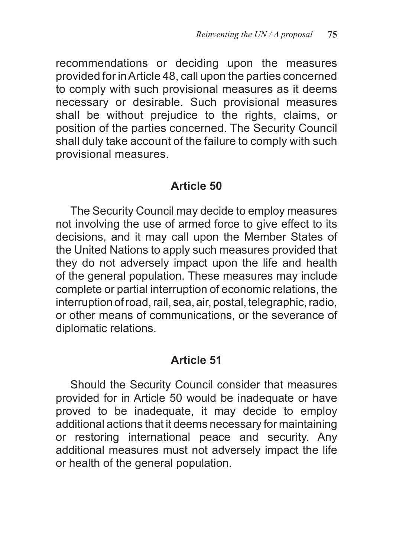recommendations or deciding upon the measures provided for in Article 48, call upon the parties concerned to comply with such provisional measures as it deems necessary or desirable. Such provisional measures shall be without prejudice to the rights, claims, or position of the parties concerned. The Security Council shall duly take account of the failure to comply with such provisional measures.

#### **Article 50**

The Security Council may decide to employ measures not involving the use of armed force to give effect to its decisions, and it may call upon the Member States of the United Nations to apply such measures provided that they do not adversely impact upon the life and health of the general population. These measures may include complete or partial interruption of economic relations, the interruption of road, rail, sea, air, postal, telegraphic, radio, or other means of communications, or the severance of diplomatic relations.

### **Article 51**

Should the Security Council consider that measures provided for in Article 50 would be inadequate or have proved to be inadequate, it may decide to employ additional actions that it deems necessary for maintaining or restoring international peace and security. Any additional measures must not adversely impact the life or health of the general population.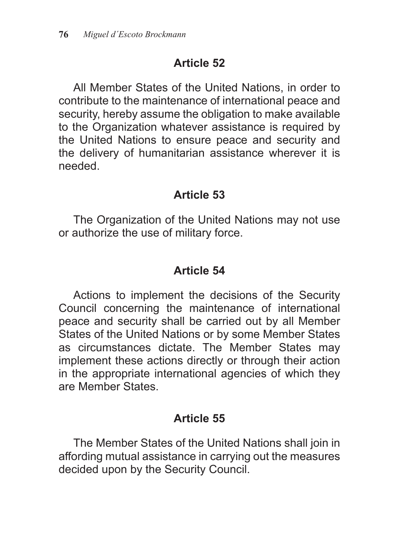All Member States of the United Nations, in order to contribute to the maintenance of international peace and security, hereby assume the obligation to make available to the Organization whatever assistance is required by the United Nations to ensure peace and security and the delivery of humanitarian assistance wherever it is needed.

### **Article 53**

The Organization of the United Nations may not use or authorize the use of military force.

## **Article 54**

Actions to implement the decisions of the Security Council concerning the maintenance of international peace and security shall be carried out by all Member States of the United Nations or by some Member States as circumstances dictate. The Member States may implement these actions directly or through their action in the appropriate international agencies of which they are Member States.

## **Article 55**

The Member States of the United Nations shall join in affording mutual assistance in carrying out the measures decided upon by the Security Council.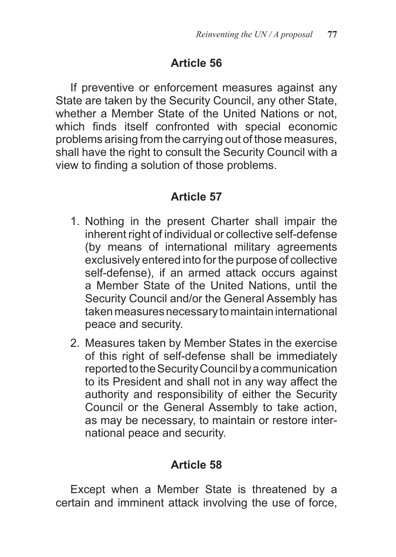If preventive or enforcement measures against any State are taken by the Security Council, any other State, whether a Member State of the United Nations or not, which finds itself confronted with special economic problems arising from the carrying out of those measures, shall have the right to consult the Security Council with a view to finding a solution of those problems.

### **Article 57**

- 1. Nothing in the present Charter shall impair the inherent right of individual or collective self-defense (by means of international military agreements exclusively entered into for the purpose of collective self-defense), if an armed attack occurs against a Member State of the United Nations, until the Security Council and/or the General Assembly has taken measures necessary to maintain international peace and security.
- 2. Measures taken by Member States in the exercise of this right of self-defense shall be immediately reported to the Security Council by a communication to its President and shall not in any way affect the authority and responsibility of either the Security Council or the General Assembly to take action, as may be necessary, to maintain or restore international peace and security.

### **Article 58**

Except when a Member State is threatened by a certain and imminent attack involving the use of force,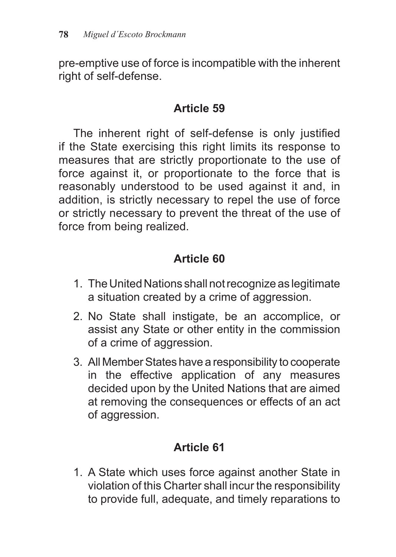pre-emptive use of force is incompatible with the inherent right of self-defense.

### **Article 59**

The inherent right of self-defense is only justified if the State exercising this right limits its response to measures that are strictly proportionate to the use of force against it, or proportionate to the force that is reasonably understood to be used against it and, in addition, is strictly necessary to repel the use of force or strictly necessary to prevent the threat of the use of force from being realized.

## **Article 60**

- 1. The United Nations shall not recognize as legitimate a situation created by a crime of aggression.
- 2. No State shall instigate, be an accomplice, or assist any State or other entity in the commission of a crime of aggression.
- 3. All Member States have a responsibility to cooperate in the effective application of any measures decided upon by the United Nations that are aimed at removing the consequences or effects of an act of aggression.

## **Article 61**

1. A State which uses force against another State in violation of this Charter shall incur the responsibility to provide full, adequate, and timely reparations to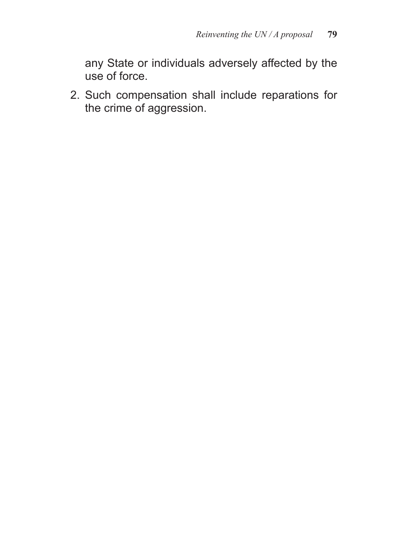any State or individuals adversely affected by the use of force.

2. Such compensation shall include reparations for the crime of aggression.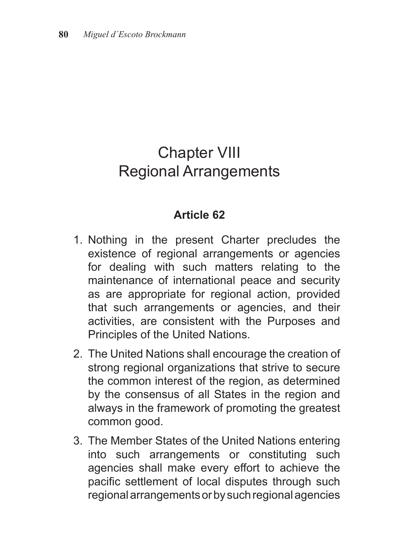## Chapter VIII Regional Arrangements

- 1. Nothing in the present Charter precludes the existence of regional arrangements or agencies for dealing with such matters relating to the maintenance of international peace and security as are appropriate for regional action, provided that such arrangements or agencies, and their activities, are consistent with the Purposes and Principles of the United Nations.
- 2. The United Nations shall encourage the creation of strong regional organizations that strive to secure the common interest of the region, as determined by the consensus of all States in the region and always in the framework of promoting the greatest common good.
- 3. The Member States of the United Nations entering into such arrangements or constituting such agencies shall make every effort to achieve the pacific settlement of local disputes through such regional arrangements or by such regional agencies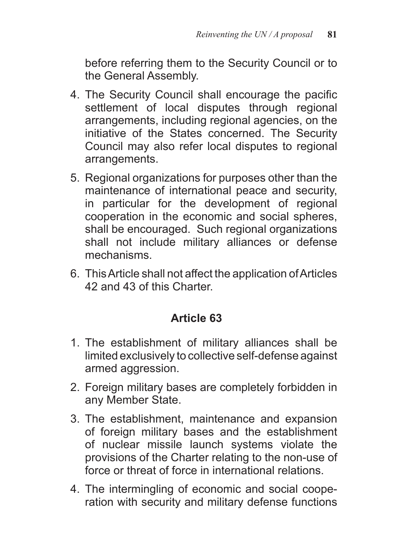before referring them to the Security Council or to the General Assembly.

- 4. The Security Council shall encourage the pacific settlement of local disputes through regional arrangements, including regional agencies, on the initiative of the States concerned. The Security Council may also refer local disputes to regional arrangements.
- 5. Regional organizations for purposes other than the maintenance of international peace and security, in particular for the development of regional cooperation in the economic and social spheres, shall be encouraged. Such regional organizations shall not include military alliances or defense mechanisms.
- 6. This Article shall not affect the application of Articles 42 and 43 of this Charter.

- 1. The establishment of military alliances shall be limited exclusively to collective self-defense against armed aggression.
- 2. Foreign military bases are completely forbidden in any Member State.
- 3. The establishment, maintenance and expansion of foreign military bases and the establishment of nuclear missile launch systems violate the provisions of the Charter relating to the non-use of force or threat of force in international relations.
- 4. The intermingling of economic and social cooperation with security and military defense functions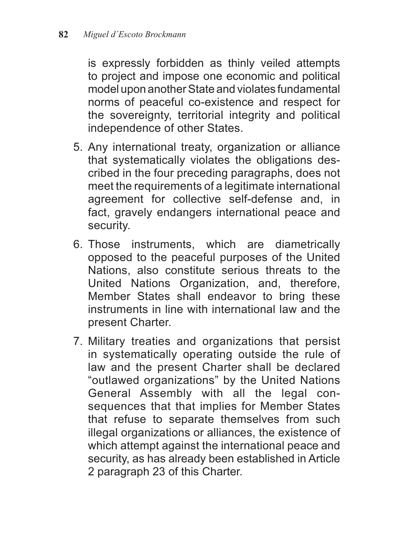is expressly forbidden as thinly veiled attempts to project and impose one economic and political model upon another State and violates fundamental norms of peaceful co-existence and respect for the sovereignty, territorial integrity and political independence of other States.

- 5. Any international treaty, organization or alliance that systematically violates the obligations described in the four preceding paragraphs, does not meet the requirements of a legitimate international agreement for collective self-defense and, in fact, gravely endangers international peace and security.
- 6. Those instruments, which are diametrically opposed to the peaceful purposes of the United Nations, also constitute serious threats to the United Nations Organization, and, therefore, Member States shall endeavor to bring these instruments in line with international law and the present Charter.
- 7. Military treaties and organizations that persist in systematically operating outside the rule of law and the present Charter shall be declared "outlawed organizations" by the United Nations General Assembly with all the legal consequences that that implies for Member States that refuse to separate themselves from such illegal organizations or alliances, the existence of which attempt against the international peace and security, as has already been established in Article 2 paragraph 23 of this Charter.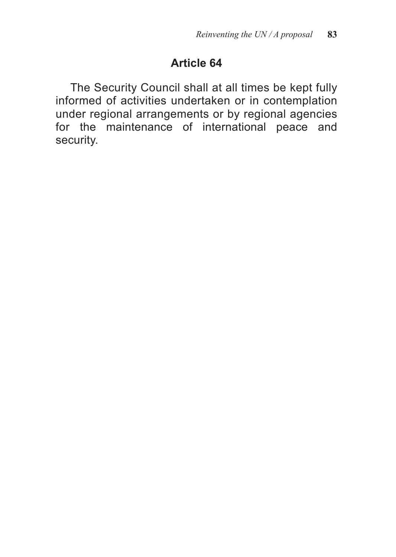The Security Council shall at all times be kept fully informed of activities undertaken or in contemplation under regional arrangements or by regional agencies for the maintenance of international peace and security.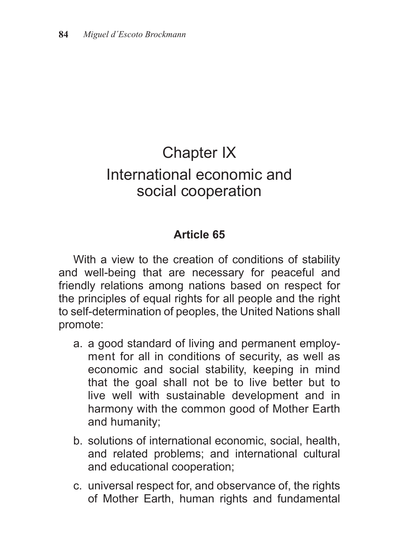## Chapter IX International economic and social cooperation

## **Article 65**

With a view to the creation of conditions of stability and well-being that are necessary for peaceful and friendly relations among nations based on respect for the principles of equal rights for all people and the right to self-determination of peoples, the United Nations shall promote:

- a. a good standard of living and permanent employment for all in conditions of security, as well as economic and social stability, keeping in mind that the goal shall not be to live better but to live well with sustainable development and in harmony with the common good of Mother Earth and humanity;
- b. solutions of international economic, social, health, and related problems; and international cultural and educational cooperation;
- c. universal respect for, and observance of, the rights of Mother Earth, human rights and fundamental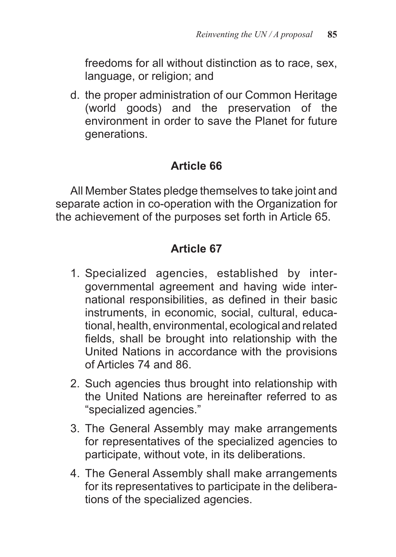freedoms for all without distinction as to race, sex, language, or religion; and

d. the proper administration of our Common Heritage (world goods) and the preservation of the environment in order to save the Planet for future generations.

## **Article 66**

All Member States pledge themselves to take joint and separate action in co-operation with the Organization for the achievement of the purposes set forth in Article 65.

- 1. Specialized agencies, established by intergovernmental agreement and having wide international responsibilities, as defined in their basic instruments, in economic, social, cultural, educational, health, environmental, ecological and related fields, shall be brought into relationship with the United Nations in accordance with the provisions of Articles 74 and 86.
- 2. Such agencies thus brought into relationship with the United Nations are hereinafter referred to as "specialized agencies."
- 3. The General Assembly may make arrangements for representatives of the specialized agencies to participate, without vote, in its deliberations.
- 4. The General Assembly shall make arrangements for its representatives to participate in the deliberations of the specialized agencies.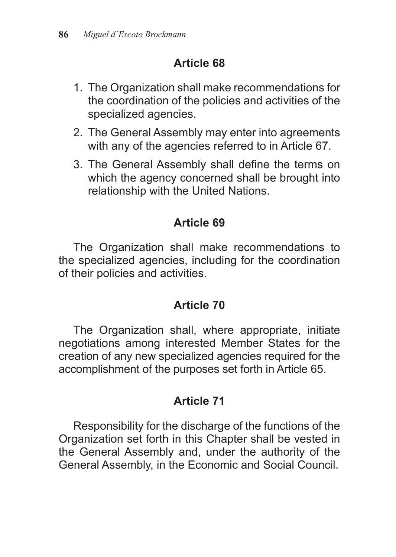- 1. The Organization shall make recommendations for the coordination of the policies and activities of the specialized agencies.
- 2. The General Assembly may enter into agreements with any of the agencies referred to in Article 67.
- 3. The General Assembly shall define the terms on which the agency concerned shall be brought into relationship with the United Nations.

## **Article 69**

The Organization shall make recommendations to the specialized agencies, including for the coordination of their policies and activities.

## **Article 70**

The Organization shall, where appropriate, initiate negotiations among interested Member States for the creation of any new specialized agencies required for the accomplishment of the purposes set forth in Article 65.

## **Article 71**

Responsibility for the discharge of the functions of the Organization set forth in this Chapter shall be vested in the General Assembly and, under the authority of the General Assembly, in the Economic and Social Council.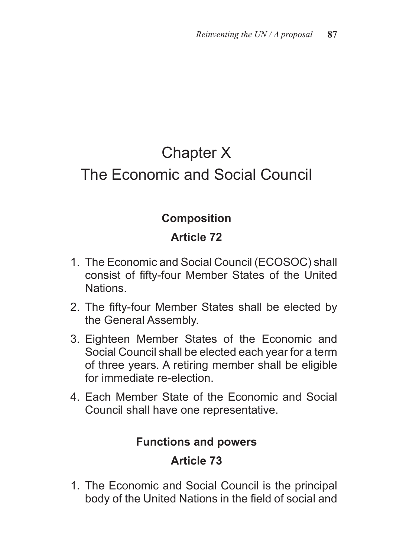# Chapter X The Economic and Social Council

## **Composition**

## **Article 72**

- 1. The Economic and Social Council (ECOSOC) shall consist of fifty-four Member States of the United Nations.
- 2. The fifty-four Member States shall be elected by the General Assembly.
- 3. Eighteen Member States of the Economic and Social Council shall be elected each year for a term of three years. A retiring member shall be eligible for immediate re-election.
- 4. Each Member State of the Economic and Social Council shall have one representative.

### **Functions and powers**

## **Article 73**

1. The Economic and Social Council is the principal body of the United Nations in the field of social and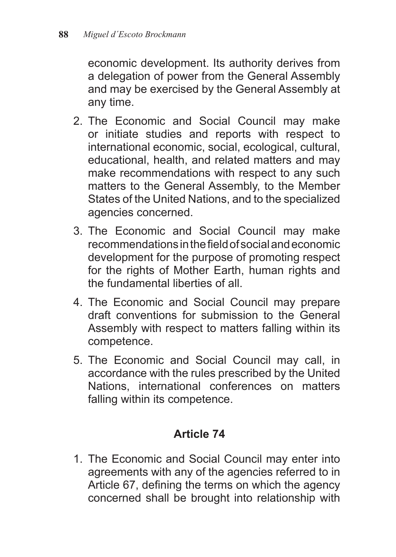economic development. Its authority derives from a delegation of power from the General Assembly and may be exercised by the General Assembly at any time.

- 2. The Economic and Social Council may make or initiate studies and reports with respect to international economic, social, ecological, cultural, educational, health, and related matters and may make recommendations with respect to any such matters to the General Assembly, to the Member States of the United Nations, and to the specialized agencies concerned.
- 3. The Economic and Social Council may make recommendations in the field of social and economic development for the purpose of promoting respect for the rights of Mother Earth, human rights and the fundamental liberties of all.
- 4. The Economic and Social Council may prepare draft conventions for submission to the General Assembly with respect to matters falling within its competence.
- 5. The Economic and Social Council may call, in accordance with the rules prescribed by the United Nations, international conferences on matters falling within its competence.

### **Article 74**

1. The Economic and Social Council may enter into agreements with any of the agencies referred to in Article 67, defining the terms on which the agency concerned shall be brought into relationship with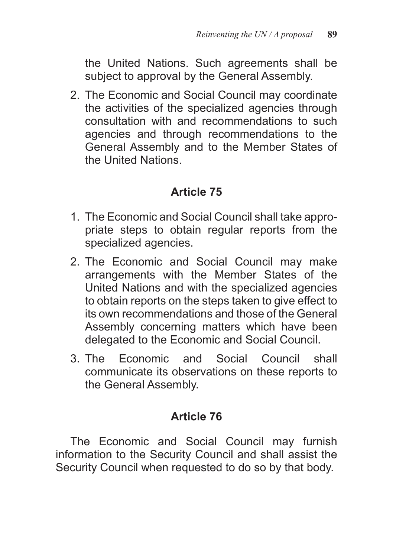the United Nations. Such agreements shall be subject to approval by the General Assembly.

2. The Economic and Social Council may coordinate the activities of the specialized agencies through consultation with and recommendations to such agencies and through recommendations to the General Assembly and to the Member States of the United Nations.

### **Article 75**

- 1. The Economic and Social Council shall take appropriate steps to obtain regular reports from the specialized agencies.
- 2. The Economic and Social Council may make arrangements with the Member States of the United Nations and with the specialized agencies to obtain reports on the steps taken to give effect to its own recommendations and those of the General Assembly concerning matters which have been delegated to the Economic and Social Council.
- 3. The Economic and Social Council shall communicate its observations on these reports to the General Assembly.

## **Article 76**

The Economic and Social Council may furnish information to the Security Council and shall assist the Security Council when requested to do so by that body.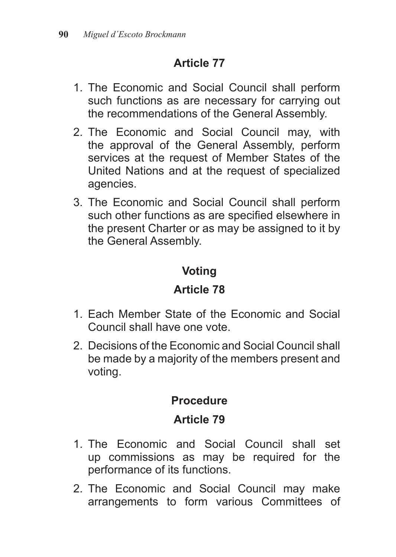- 1. The Economic and Social Council shall perform such functions as are necessary for carrying out the recommendations of the General Assembly.
- 2. The Economic and Social Council may, with the approval of the General Assembly, perform services at the request of Member States of the United Nations and at the request of specialized agencies.
- 3. The Economic and Social Council shall perform such other functions as are specified elsewhere in the present Charter or as may be assigned to it by the General Assembly.

## **Voting**

## **Article 78**

- 1. Each Member State of the Economic and Social Council shall have one vote.
- 2. Decisions of the Economic and Social Council shall be made by a majority of the members present and voting.

## **Procedure**

- 1. The Economic and Social Council shall set up commissions as may be required for the performance of its functions.
- 2. The Economic and Social Council may make arrangements to form various Committees of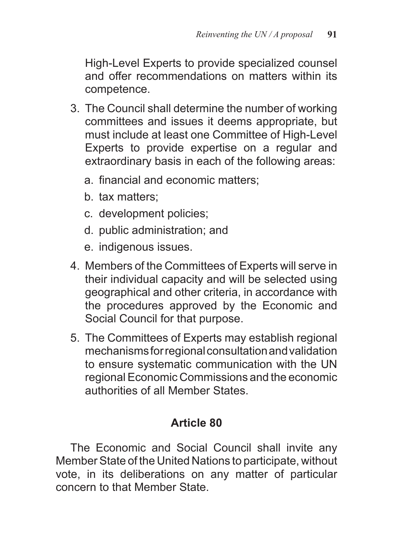High-Level Experts to provide specialized counsel and offer recommendations on matters within its competence.

- 3. The Council shall determine the number of working committees and issues it deems appropriate, but must include at least one Committee of High-Level Experts to provide expertise on a regular and extraordinary basis in each of the following areas:
	- a. financial and economic matters;
	- b. tax matters;
	- c. development policies;
	- d. public administration; and
	- e. indigenous issues.
- 4. Members of the Committees of Experts will serve in their individual capacity and will be selected using geographical and other criteria, in accordance with the procedures approved by the Economic and Social Council for that purpose.
- 5. The Committees of Experts may establish regional mechanisms for regional consultation and validation to ensure systematic communication with the UN regional Economic Commissions and the economic authorities of all Member States.

## **Article 80**

The Economic and Social Council shall invite any Member State of the United Nations to participate, without vote, in its deliberations on any matter of particular concern to that Member State.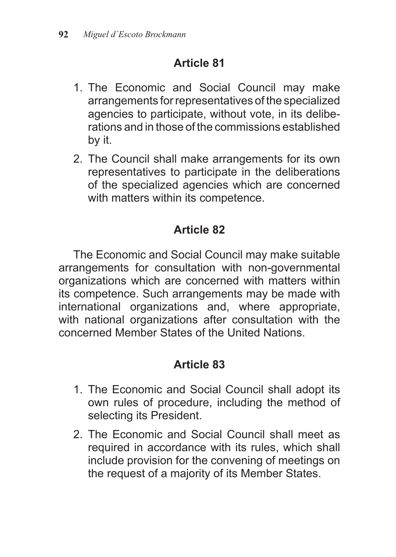- 1. The Economic and Social Council may make arrangements for representatives of the specialized agencies to participate, without vote, in its deliberations and in those of the commissions established by it.
- 2. The Council shall make arrangements for its own representatives to participate in the deliberations of the specialized agencies which are concerned with matters within its competence.

## **Article 82**

The Economic and Social Council may make suitable arrangements for consultation with non-governmental organizations which are concerned with matters within its competence. Such arrangements may be made with international organizations and, where appropriate, with national organizations after consultation with the concerned Member States of the United Nations.

- 1. The Economic and Social Council shall adopt its own rules of procedure, including the method of selecting its President.
- 2. The Economic and Social Council shall meet as required in accordance with its rules, which shall include provision for the convening of meetings on the request of a majority of its Member States.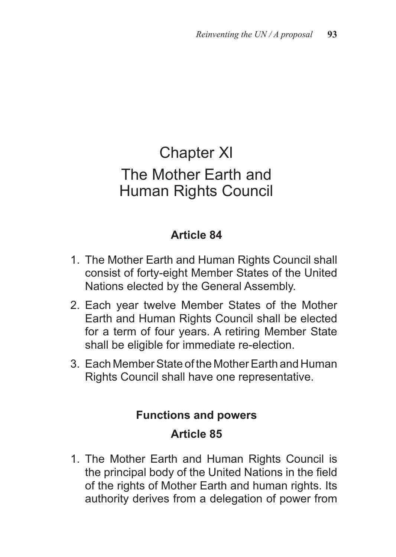## Chapter XI The Mother Earth and Human Rights Council

## **Article 84**

- 1. The Mother Earth and Human Rights Council shall consist of forty-eight Member States of the United Nations elected by the General Assembly.
- 2. Each year twelve Member States of the Mother Earth and Human Rights Council shall be elected for a term of four years. A retiring Member State shall be eligible for immediate re-election.
- 3. Each Member State of the Mother Earth and Human Rights Council shall have one representative.

## **Functions and powers Article 85**

1. The Mother Earth and Human Rights Council is the principal body of the United Nations in the field of the rights of Mother Earth and human rights. Its authority derives from a delegation of power from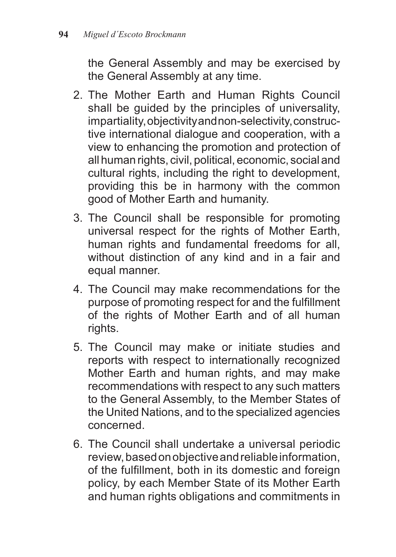the General Assembly and may be exercised by the General Assembly at any time.

- 2. The Mother Earth and Human Rights Council shall be guided by the principles of universality, impartiality, objectivity and non-selectivity, constructive international dialogue and cooperation, with a view to enhancing the promotion and protection of all human rights, civil, political, economic, social and cultural rights, including the right to development, providing this be in harmony with the common good of Mother Earth and humanity.
- 3. The Council shall be responsible for promoting universal respect for the rights of Mother Earth, human rights and fundamental freedoms for all, without distinction of any kind and in a fair and equal manner.
- 4. The Council may make recommendations for the purpose of promoting respect for and the fulfillment of the rights of Mother Earth and of all human rights.
- 5. The Council may make or initiate studies and reports with respect to internationally recognized Mother Earth and human rights, and may make recommendations with respect to any such matters to the General Assembly, to the Member States of the United Nations, and to the specialized agencies concerned.
- 6. The Council shall undertake a universal periodic review, based on objective and reliable information, of the fulfillment, both in its domestic and foreign policy, by each Member State of its Mother Earth and human rights obligations and commitments in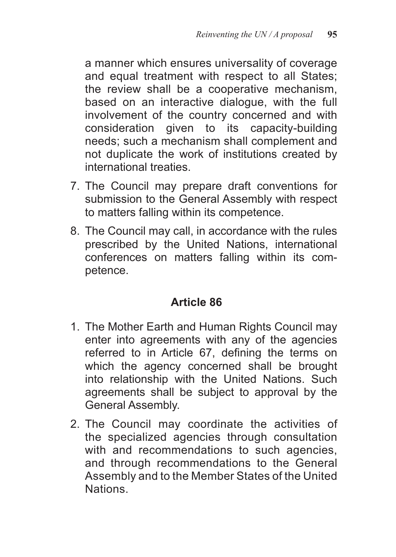a manner which ensures universality of coverage and equal treatment with respect to all States; the review shall be a cooperative mechanism, based on an interactive dialogue, with the full involvement of the country concerned and with consideration given to its capacity-building needs; such a mechanism shall complement and not duplicate the work of institutions created by international treaties.

- 7. The Council may prepare draft conventions for submission to the General Assembly with respect to matters falling within its competence.
- 8. The Council may call, in accordance with the rules prescribed by the United Nations, international conferences on matters falling within its competence.

- 1. The Mother Earth and Human Rights Council may enter into agreements with any of the agencies referred to in Article 67, defining the terms on which the agency concerned shall be brought into relationship with the United Nations. Such agreements shall be subject to approval by the General Assembly.
- 2. The Council may coordinate the activities of the specialized agencies through consultation with and recommendations to such agencies, and through recommendations to the General Assembly and to the Member States of the United Nations.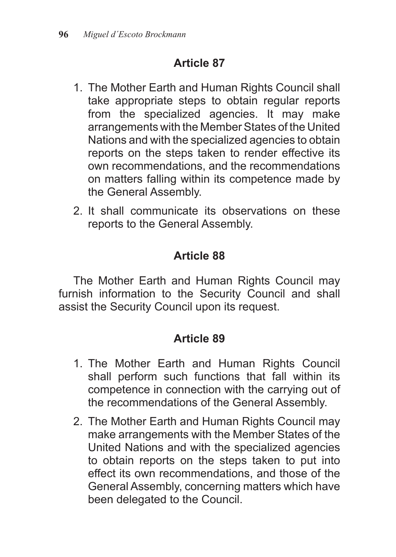- 1. The Mother Earth and Human Rights Council shall take appropriate steps to obtain regular reports from the specialized agencies. It may make arrangements with the Member States of the United Nations and with the specialized agencies to obtain reports on the steps taken to render effective its own recommendations, and the recommendations on matters falling within its competence made by the General Assembly.
- 2. It shall communicate its observations on these reports to the General Assembly.

## **Article 88**

The Mother Earth and Human Rights Council may furnish information to the Security Council and shall assist the Security Council upon its request.

- 1. The Mother Earth and Human Rights Council shall perform such functions that fall within its competence in connection with the carrying out of the recommendations of the General Assembly.
- 2. The Mother Earth and Human Rights Council may make arrangements with the Member States of the United Nations and with the specialized agencies to obtain reports on the steps taken to put into effect its own recommendations, and those of the General Assembly, concerning matters which have been delegated to the Council.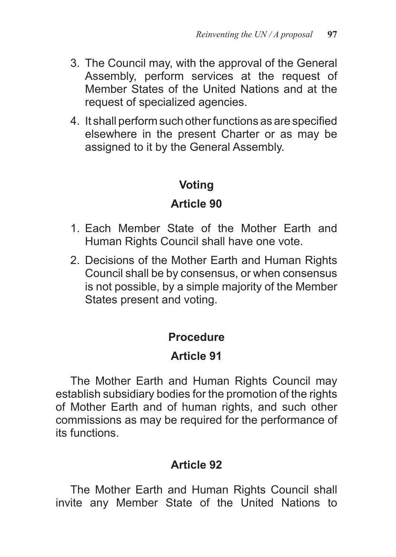- 3. The Council may, with the approval of the General Assembly, perform services at the request of Member States of the United Nations and at the request of specialized agencies.
- 4. It shall perform such other functions as are specified elsewhere in the present Charter or as may be assigned to it by the General Assembly.

### **Voting**

### **Article 90**

- 1. Each Member State of the Mother Earth and Human Rights Council shall have one vote.
- 2. Decisions of the Mother Earth and Human Rights Council shall be by consensus, or when consensus is not possible, by a simple majority of the Member States present and voting.

## **Procedure**

## **Article 91**

The Mother Earth and Human Rights Council may establish subsidiary bodies for the promotion of the rights of Mother Earth and of human rights, and such other commissions as may be required for the performance of its functions.

## **Article 92**

The Mother Earth and Human Rights Council shall invite any Member State of the United Nations to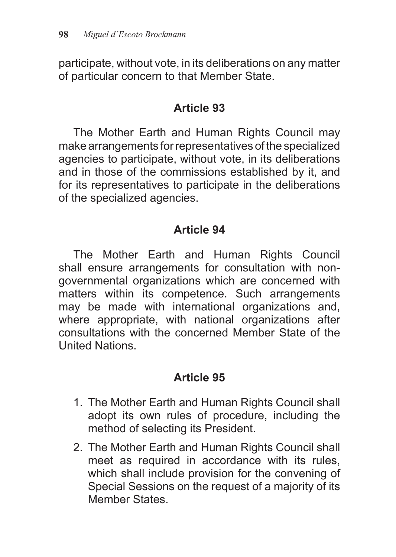participate, without vote, in its deliberations on any matter of particular concern to that Member State.

### **Article 93**

The Mother Earth and Human Rights Council may make arrangements for representatives of the specialized agencies to participate, without vote, in its deliberations and in those of the commissions established by it, and for its representatives to participate in the deliberations of the specialized agencies.

## **Article 94**

The Mother Earth and Human Rights Council shall ensure arrangements for consultation with nongovernmental organizations which are concerned with matters within its competence. Such arrangements may be made with international organizations and, where appropriate, with national organizations after consultations with the concerned Member State of the United Nations.

- 1. The Mother Earth and Human Rights Council shall adopt its own rules of procedure, including the method of selecting its President.
- 2. The Mother Earth and Human Rights Council shall meet as required in accordance with its rules, which shall include provision for the convening of Special Sessions on the request of a majority of its Member States.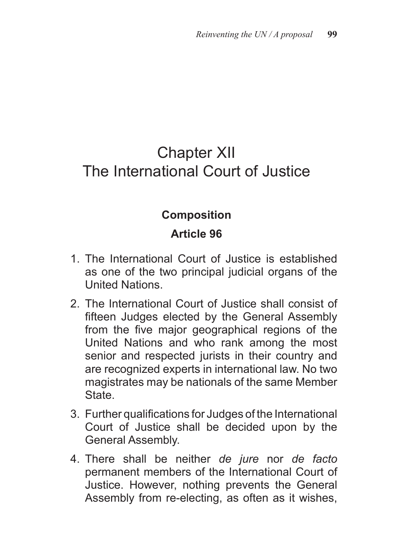## Chapter XII The International Court of Justice

## **Composition**

- 1. The International Court of Justice is established as one of the two principal judicial organs of the United Nations.
- 2. The International Court of Justice shall consist of fifteen Judges elected by the General Assembly from the five major geographical regions of the United Nations and who rank among the most senior and respected jurists in their country and are recognized experts in international law. No two magistrates may be nationals of the same Member State.
- 3. Further qualifications for Judges of the International Court of Justice shall be decided upon by the General Assembly.
- 4. There shall be neither *de jure* nor *de facto*  permanent members of the International Court of Justice. However, nothing prevents the General Assembly from re-electing, as often as it wishes,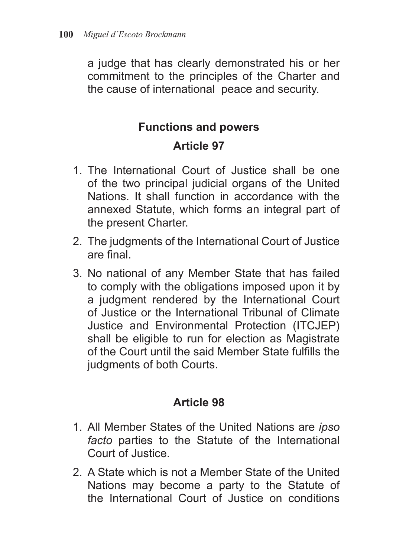a judge that has clearly demonstrated his or her commitment to the principles of the Charter and the cause of international peace and security.

## **Functions and powers**

## **Article 97**

- 1. The International Court of Justice shall be one of the two principal judicial organs of the United Nations. It shall function in accordance with the annexed Statute, which forms an integral part of the present Charter.
- 2. The judgments of the International Court of Justice are final.
- 3. No national of any Member State that has failed to comply with the obligations imposed upon it by a judgment rendered by the International Court of Justice or the International Tribunal of Climate Justice and Environmental Protection (ITCJEP) shall be eligible to run for election as Magistrate of the Court until the said Member State fulfills the judgments of both Courts.

- 1. All Member States of the United Nations are *ipso facto* parties to the Statute of the International Court of Justice.
- 2. A State which is not a Member State of the United Nations may become a party to the Statute of the International Court of Justice on conditions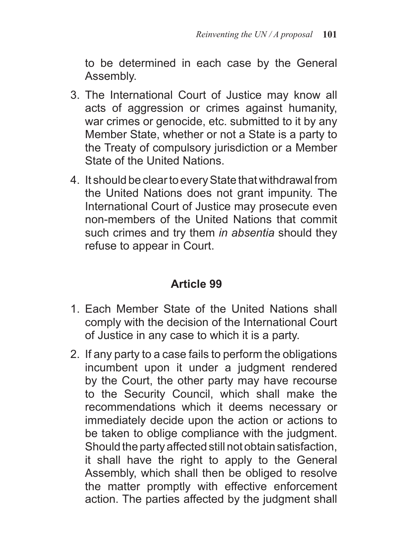to be determined in each case by the General Assembly.

- 3. The International Court of Justice may know all acts of aggression or crimes against humanity, war crimes or genocide, etc. submitted to it by any Member State, whether or not a State is a party to the Treaty of compulsory jurisdiction or a Member State of the United Nations.
- 4. It should be clear to every State that withdrawal from the United Nations does not grant impunity. The International Court of Justice may prosecute even non-members of the United Nations that commit such crimes and try them *in absentia* should they refuse to appear in Court.

- 1. Each Member State of the United Nations shall comply with the decision of the International Court of Justice in any case to which it is a party.
- 2. If any party to a case fails to perform the obligations incumbent upon it under a judgment rendered by the Court, the other party may have recourse to the Security Council, which shall make the recommendations which it deems necessary or immediately decide upon the action or actions to be taken to oblige compliance with the judgment. Should the party affected still not obtain satisfaction, it shall have the right to apply to the General Assembly, which shall then be obliged to resolve the matter promptly with effective enforcement action. The parties affected by the judgment shall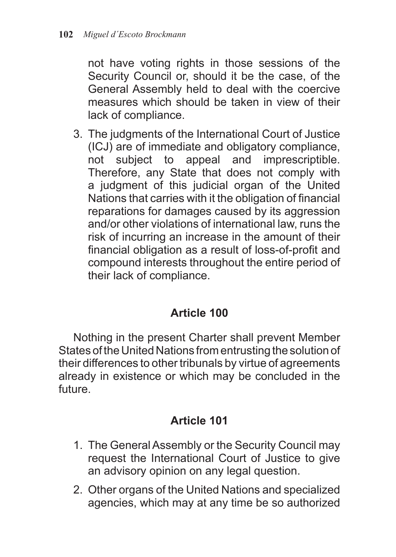not have voting rights in those sessions of the Security Council or, should it be the case, of the General Assembly held to deal with the coercive measures which should be taken in view of their lack of compliance.

3. The judgments of the International Court of Justice (ICJ) are of immediate and obligatory compliance, not subject to appeal and imprescriptible. Therefore, any State that does not comply with a judgment of this judicial organ of the United Nations that carries with it the obligation of financial reparations for damages caused by its aggression and/or other violations of international law, runs the risk of incurring an increase in the amount of their financial obligation as a result of loss-of-profit and compound interests throughout the entire period of their lack of compliance.

### **Article 100**

Nothing in the present Charter shall prevent Member States of the United Nations from entrusting the solution of their differences to other tribunals by virtue of agreements already in existence or which may be concluded in the future.

- 1. The General Assembly or the Security Council may request the International Court of Justice to give an advisory opinion on any legal question.
- 2. Other organs of the United Nations and specialized agencies, which may at any time be so authorized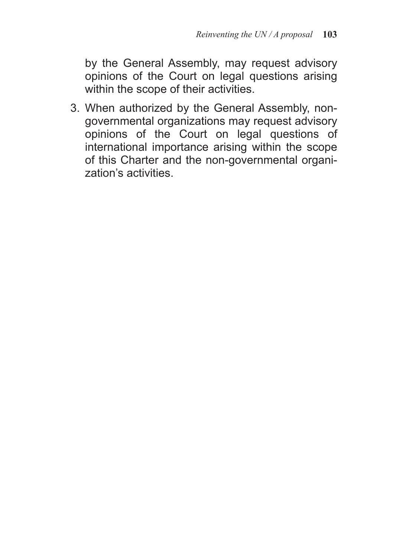by the General Assembly, may request advisory opinions of the Court on legal questions arising within the scope of their activities.

3. When authorized by the General Assembly, nongovernmental organizations may request advisory opinions of the Court on legal questions of international importance arising within the scope of this Charter and the non-governmental organization's activities.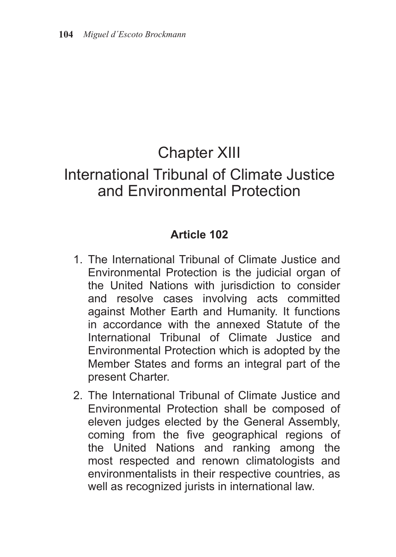## Chapter XIII

## International Tribunal of Climate Justice and Environmental Protection

- 1. The International Tribunal of Climate Justice and Environmental Protection is the judicial organ of the United Nations with jurisdiction to consider and resolve cases involving acts committed against Mother Earth and Humanity. It functions in accordance with the annexed Statute of the International Tribunal of Climate Justice and Environmental Protection which is adopted by the Member States and forms an integral part of the present Charter.
- 2. The International Tribunal of Climate Justice and Environmental Protection shall be composed of eleven judges elected by the General Assembly, coming from the five geographical regions of the United Nations and ranking among the most respected and renown climatologists and environmentalists in their respective countries, as well as recognized jurists in international law.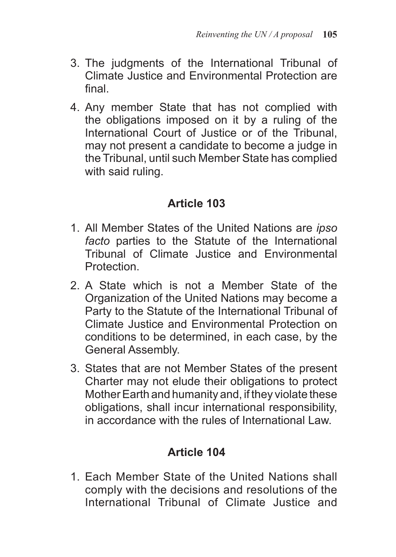- 3. The judgments of the International Tribunal of Climate Justice and Environmental Protection are final.
- 4. Any member State that has not complied with the obligations imposed on it by a ruling of the International Court of Justice or of the Tribunal, may not present a candidate to become a judge in the Tribunal, until such Member State has complied with said ruling.

- 1. All Member States of the United Nations are *ipso facto* parties to the Statute of the International Tribunal of Climate Justice and Environmental **Protection**
- 2. A State which is not a Member State of the Organization of the United Nations may become a Party to the Statute of the International Tribunal of Climate Justice and Environmental Protection on conditions to be determined, in each case, by the General Assembly.
- 3. States that are not Member States of the present Charter may not elude their obligations to protect Mother Earth and humanity and, if they violate these obligations, shall incur international responsibility, in accordance with the rules of International Law.

## **Article 104**

1. Each Member State of the United Nations shall comply with the decisions and resolutions of the International Tribunal of Climate Justice and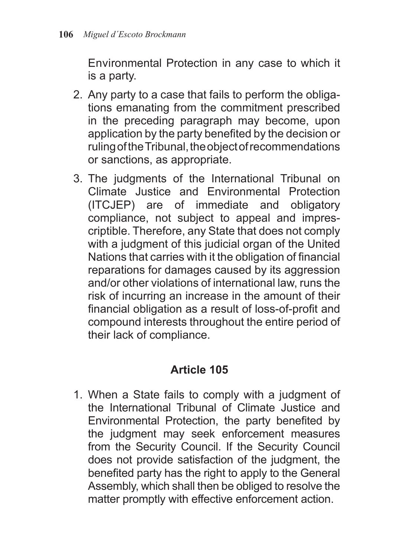Environmental Protection in any case to which it is a party.

- 2. Any party to a case that fails to perform the obligations emanating from the commitment prescribed in the preceding paragraph may become, upon application by the party benefited by the decision or ruling of the Tribunal, the object of recommendations or sanctions, as appropriate.
- 3. The judgments of the International Tribunal on Climate Justice and Environmental Protection (ITCJEP) are of immediate and obligatory compliance, not subject to appeal and imprescriptible. Therefore, any State that does not comply with a judgment of this judicial organ of the United Nations that carries with it the obligation of financial reparations for damages caused by its aggression and/or other violations of international law, runs the risk of incurring an increase in the amount of their financial obligation as a result of loss-of-profit and compound interests throughout the entire period of their lack of compliance.

### **Article 105**

1. When a State fails to comply with a judgment of the International Tribunal of Climate Justice and Environmental Protection, the party benefited by the judgment may seek enforcement measures from the Security Council. If the Security Council does not provide satisfaction of the judgment, the benefited party has the right to apply to the General Assembly, which shall then be obliged to resolve the matter promptly with effective enforcement action.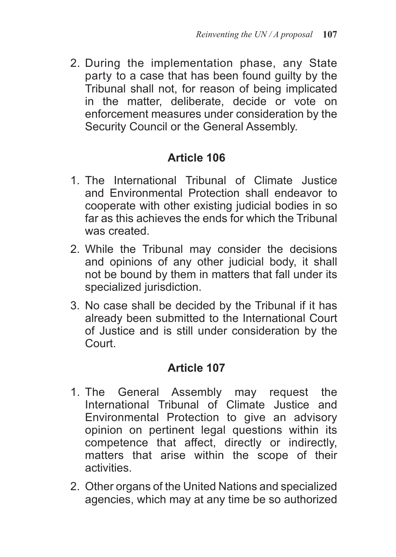2. During the implementation phase, any State party to a case that has been found guilty by the Tribunal shall not, for reason of being implicated in the matter, deliberate, decide or vote on enforcement measures under consideration by the Security Council or the General Assembly.

## **Article 106**

- 1. The International Tribunal of Climate Justice and Environmental Protection shall endeavor to cooperate with other existing judicial bodies in so far as this achieves the ends for which the Tribunal was created.
- 2. While the Tribunal may consider the decisions and opinions of any other judicial body, it shall not be bound by them in matters that fall under its specialized jurisdiction.
- 3. No case shall be decided by the Tribunal if it has already been submitted to the International Court of Justice and is still under consideration by the Court.

- 1. The General Assembly may request the International Tribunal of Climate Justice and Environmental Protection to give an advisory opinion on pertinent legal questions within its competence that affect, directly or indirectly, matters that arise within the scope of their activities.
- 2. Other organs of the United Nations and specialized agencies, which may at any time be so authorized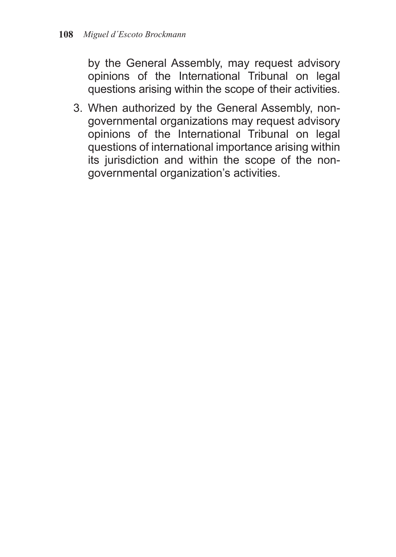by the General Assembly, may request advisory opinions of the International Tribunal on legal questions arising within the scope of their activities.

3. When authorized by the General Assembly, nongovernmental organizations may request advisory opinions of the International Tribunal on legal questions of international importance arising within its jurisdiction and within the scope of the nongovernmental organization's activities.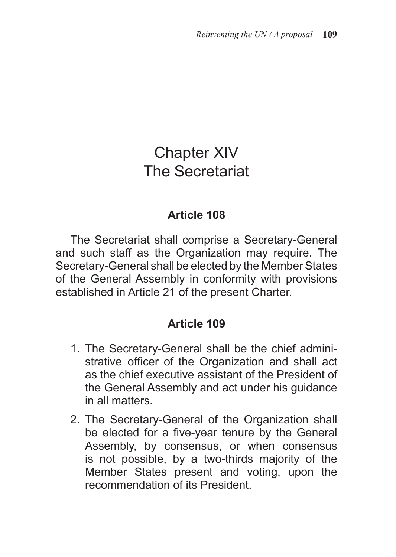# Chapter XIV The Secretariat

#### **Article 108**

The Secretariat shall comprise a Secretary-General and such staff as the Organization may require. The Secretary-General shall be elected by the Member States of the General Assembly in conformity with provisions established in Article 21 of the present Charter.

- 1. The Secretary-General shall be the chief administrative officer of the Organization and shall act as the chief executive assistant of the President of the General Assembly and act under his guidance in all matters.
- 2. The Secretary-General of the Organization shall be elected for a five-year tenure by the General Assembly, by consensus, or when consensus is not possible, by a two-thirds majority of the Member States present and voting, upon the recommendation of its President.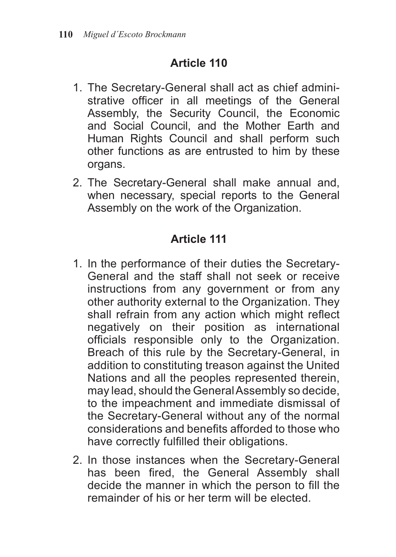- 1. The Secretary-General shall act as chief administrative officer in all meetings of the General Assembly, the Security Council, the Economic and Social Council, and the Mother Earth and Human Rights Council and shall perform such other functions as are entrusted to him by these organs.
- 2. The Secretary-General shall make annual and, when necessary, special reports to the General Assembly on the work of the Organization.

- 1. In the performance of their duties the Secretary-General and the staff shall not seek or receive instructions from any government or from any other authority external to the Organization. They shall refrain from any action which might reflect negatively on their position as international officials responsible only to the Organization. Breach of this rule by the Secretary-General, in addition to constituting treason against the United Nations and all the peoples represented therein, may lead, should the General Assembly so decide, to the impeachment and immediate dismissal of the Secretary-General without any of the normal considerations and benefits afforded to those who have correctly fulfilled their obligations.
- 2. In those instances when the Secretary-General has been fired, the General Assembly shall decide the manner in which the person to fill the remainder of his or her term will be elected.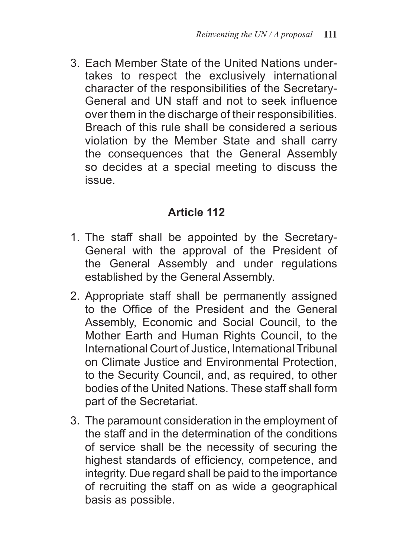3. Each Member State of the United Nations undertakes to respect the exclusively international character of the responsibilities of the Secretary-General and UN staff and not to seek influence over them in the discharge of their responsibilities. Breach of this rule shall be considered a serious violation by the Member State and shall carry the consequences that the General Assembly so decides at a special meeting to discuss the issue.

- 1. The staff shall be appointed by the Secretary-General with the approval of the President of the General Assembly and under regulations established by the General Assembly.
- 2. Appropriate staff shall be permanently assigned to the Office of the President and the General Assembly, Economic and Social Council, to the Mother Earth and Human Rights Council, to the International Court of Justice, International Tribunal on Climate Justice and Environmental Protection, to the Security Council, and, as required, to other bodies of the United Nations. These staff shall form part of the Secretariat.
- 3. The paramount consideration in the employment of the staff and in the determination of the conditions of service shall be the necessity of securing the highest standards of efficiency, competence, and integrity. Due regard shall be paid to the importance of recruiting the staff on as wide a geographical basis as possible.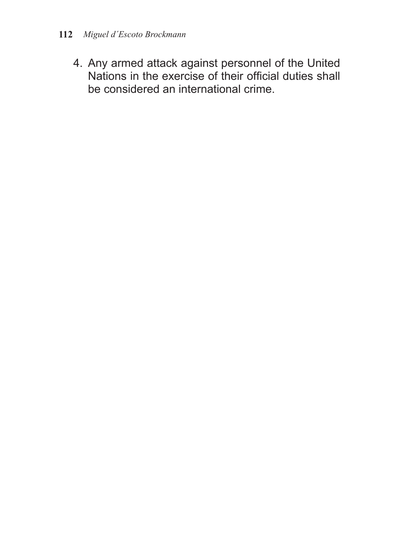4. Any armed attack against personnel of the United Nations in the exercise of their official duties shall be considered an international crime.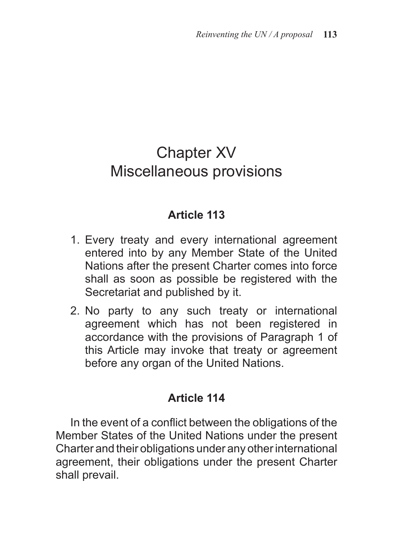# Chapter XV Miscellaneous provisions

#### **Article 113**

- 1. Every treaty and every international agreement entered into by any Member State of the United Nations after the present Charter comes into force shall as soon as possible be registered with the Secretariat and published by it.
- 2. No party to any such treaty or international agreement which has not been registered in accordance with the provisions of Paragraph 1 of this Article may invoke that treaty or agreement before any organ of the United Nations.

#### **Article 114**

In the event of a conflict between the obligations of the Member States of the United Nations under the present Charter and their obligations under any other international agreement, their obligations under the present Charter shall prevail.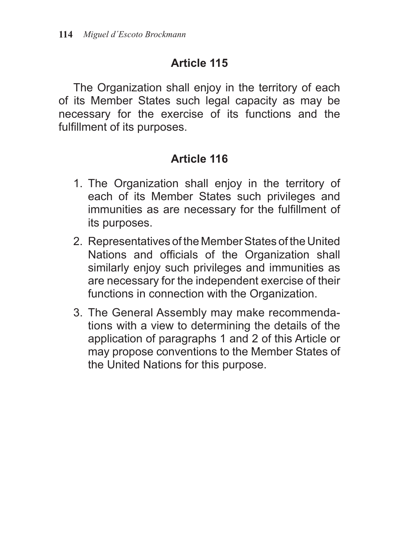The Organization shall enjoy in the territory of each of its Member States such legal capacity as may be necessary for the exercise of its functions and the fulfillment of its purposes.

- 1. The Organization shall enjoy in the territory of each of its Member States such privileges and immunities as are necessary for the fulfillment of its purposes.
- 2. Representatives of the Member States of the United Nations and officials of the Organization shall similarly enjoy such privileges and immunities as are necessary for the independent exercise of their functions in connection with the Organization.
- 3. The General Assembly may make recommendations with a view to determining the details of the application of paragraphs 1 and 2 of this Article or may propose conventions to the Member States of the United Nations for this purpose.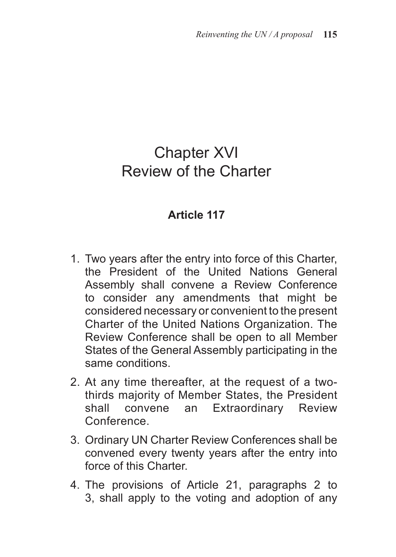# Chapter XVI Review of the Charter

- 1. Two years after the entry into force of this Charter, the President of the United Nations General Assembly shall convene a Review Conference to consider any amendments that might be considered necessary or convenient to the present Charter of the United Nations Organization. The Review Conference shall be open to all Member States of the General Assembly participating in the same conditions.
- 2. At any time thereafter, at the request of a twothirds majority of Member States, the President shall convene an Extraordinary Review **Conference**
- 3. Ordinary UN Charter Review Conferences shall be convened every twenty years after the entry into force of this Charter.
- 4. The provisions of Article 21, paragraphs 2 to 3, shall apply to the voting and adoption of any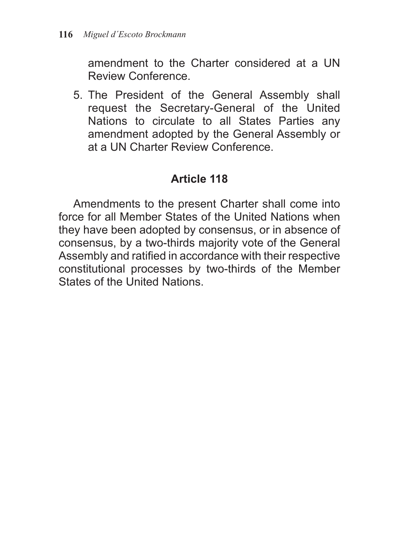amendment to the Charter considered at a UN Review Conference.

5. The President of the General Assembly shall request the Secretary-General of the United Nations to circulate to all States Parties any amendment adopted by the General Assembly or at a UN Charter Review Conference.

#### **Article 118**

Amendments to the present Charter shall come into force for all Member States of the United Nations when they have been adopted by consensus, or in absence of consensus, by a two-thirds majority vote of the General Assembly and ratified in accordance with their respective constitutional processes by two-thirds of the Member States of the United Nations.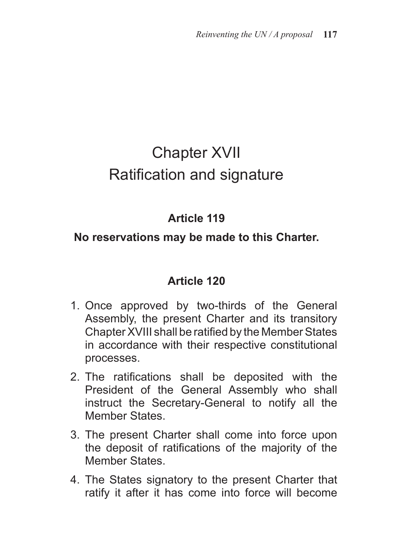# Chapter XVII Ratification and signature

# **Article 119**

#### **No reservations may be made to this Charter.**

- 1. Once approved by two-thirds of the General Assembly, the present Charter and its transitory Chapter XVIII shall be ratified by the Member States in accordance with their respective constitutional processes.
- 2. The ratifications shall be deposited with the President of the General Assembly who shall instruct the Secretary-General to notify all the Member States.
- 3. The present Charter shall come into force upon the deposit of ratifications of the majority of the Member States.
- 4. The States signatory to the present Charter that ratify it after it has come into force will become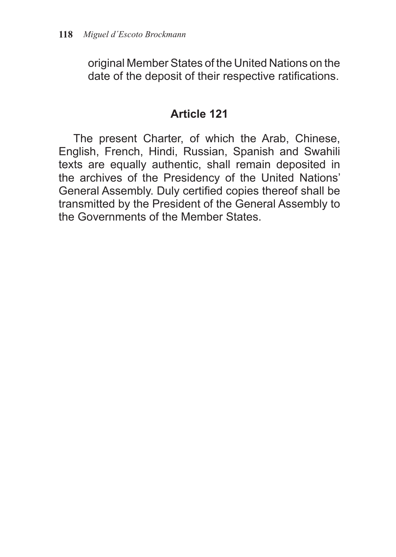original Member States of the United Nations on the date of the deposit of their respective ratifications.

#### **Article 121**

The present Charter, of which the Arab, Chinese, English, French, Hindi, Russian, Spanish and Swahili texts are equally authentic, shall remain deposited in the archives of the Presidency of the United Nations' General Assembly. Duly certified copies thereof shall be transmitted by the President of the General Assembly to the Governments of the Member States.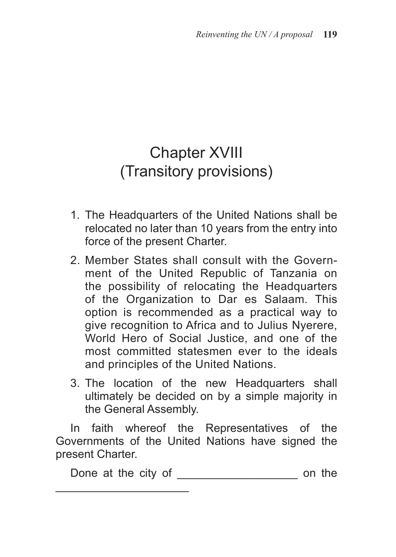# Chapter XVIII (Transitory provisions)

- 1. The Headquarters of the United Nations shall be relocated no later than 10 years from the entry into force of the present Charter.
- 2. Member States shall consult with the Government of the United Republic of Tanzania on the possibility of relocating the Headquarters of the Organization to Dar es Salaam. This option is recommended as a practical way to give recognition to Africa and to Julius Nyerere, World Hero of Social Justice, and one of the most committed statesmen ever to the ideals and principles of the United Nations.
- 3. The location of the new Headquarters shall ultimately be decided on by a simple majority in the General Assembly.

In faith whereof the Representatives of the Governments of the United Nations have signed the present Charter.

\_\_\_\_\_\_\_\_\_\_\_\_\_\_\_\_\_\_\_\_\_

Done at the city of \_\_\_\_\_\_\_\_\_\_\_\_\_\_\_\_\_\_\_ on the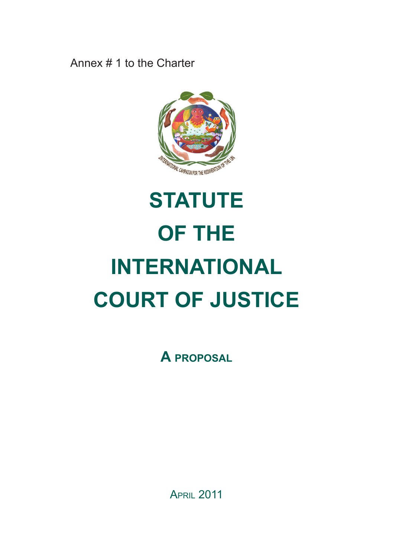Annex # 1 to the Charter



# **STATUTE OF THE INTERNATIONAL COURT OF JUSTICE**

**A proposal**

**APRIL 2011**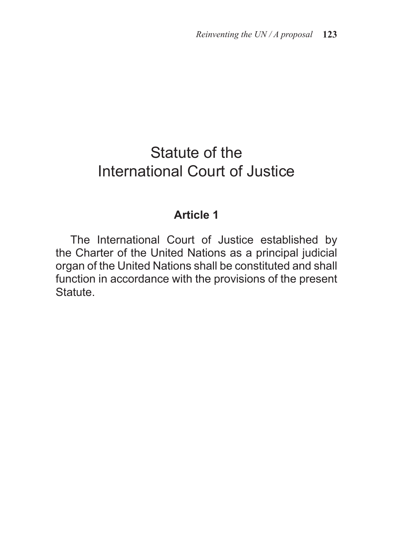# Statute of the International Court of Justice

#### **Article 1**

The International Court of Justice established by the Charter of the United Nations as a principal judicial organ of the United Nations shall be constituted and shall function in accordance with the provisions of the present Statute.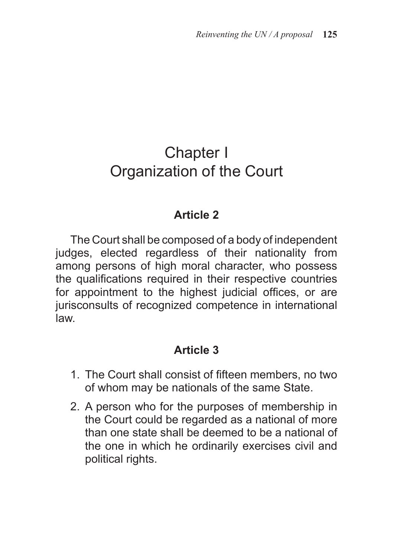# Chapter I Organization of the Court

#### **Article 2**

The Court shall be composed of a body of independent judges, elected regardless of their nationality from among persons of high moral character, who possess the qualifications required in their respective countries for appointment to the highest judicial offices, or are jurisconsults of recognized competence in international law.

- 1. The Court shall consist of fifteen members, no two of whom may be nationals of the same State.
- 2. A person who for the purposes of membership in the Court could be regarded as a national of more than one state shall be deemed to be a national of the one in which he ordinarily exercises civil and political rights.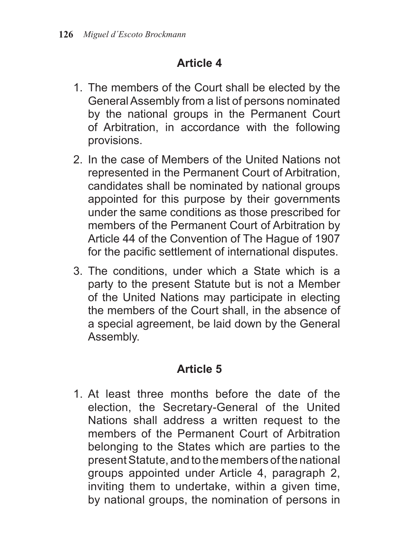- 1. The members of the Court shall be elected by the General Assembly from a list of persons nominated by the national groups in the Permanent Court of Arbitration, in accordance with the following provisions.
- 2. In the case of Members of the United Nations not represented in the Permanent Court of Arbitration, candidates shall be nominated by national groups appointed for this purpose by their governments under the same conditions as those prescribed for members of the Permanent Court of Arbitration by Article 44 of the Convention of The Hague of 1907 for the pacific settlement of international disputes.
- 3. The conditions, under which a State which is a party to the present Statute but is not a Member of the United Nations may participate in electing the members of the Court shall, in the absence of a special agreement, be laid down by the General Assembly.

# **Article 5**

1. At least three months before the date of the election, the Secretary-General of the United Nations shall address a written request to the members of the Permanent Court of Arbitration belonging to the States which are parties to the present Statute, and to the members of the national groups appointed under Article 4, paragraph 2, inviting them to undertake, within a given time, by national groups, the nomination of persons in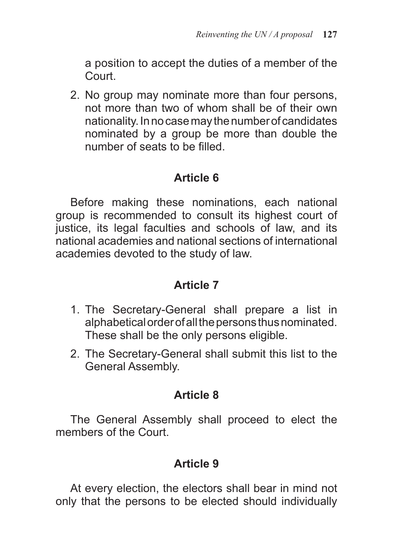a position to accept the duties of a member of the Court.

2. No group may nominate more than four persons, not more than two of whom shall be of their own nationality. In no case may the number of candidates nominated by a group be more than double the number of seats to be filled.

#### **Article 6**

Before making these nominations, each national group is recommended to consult its highest court of justice, its legal faculties and schools of law, and its national academies and national sections of international academies devoted to the study of law.

#### **Article 7**

- 1. The Secretary-General shall prepare a list in alphabetical order of all the persons thus nominated. These shall be the only persons eligible.
- 2. The Secretary-General shall submit this list to the General Assembly.

# **Article 8**

The General Assembly shall proceed to elect the members of the Court.

# **Article 9**

At every election, the electors shall bear in mind not only that the persons to be elected should individually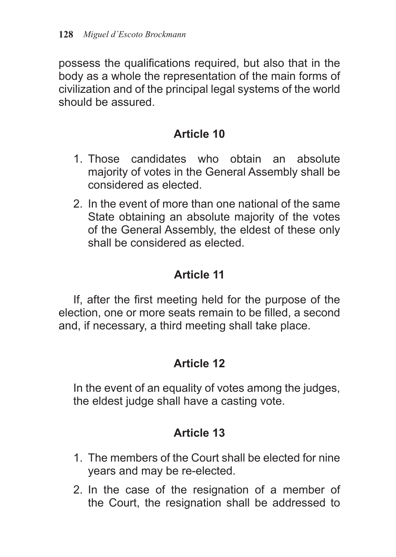possess the qualifications required, but also that in the body as a whole the representation of the main forms of civilization and of the principal legal systems of the world should be assured.

## **Article 10**

- 1. Those candidates who obtain an absolute majority of votes in the General Assembly shall be considered as elected.
- 2. In the event of more than one national of the same State obtaining an absolute majority of the votes of the General Assembly, the eldest of these only shall be considered as elected.

# **Article 11**

If, after the first meeting held for the purpose of the election, one or more seats remain to be filled, a second and, if necessary, a third meeting shall take place.

# **Article 12**

In the event of an equality of votes among the judges, the eldest judge shall have a casting vote.

- 1. The members of the Court shall be elected for nine years and may be re-elected.
- 2. In the case of the resignation of a member of the Court, the resignation shall be addressed to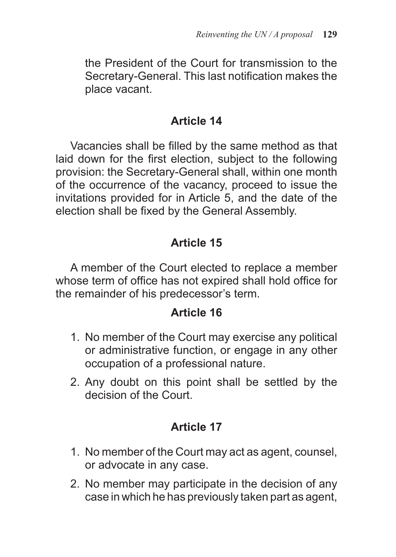the President of the Court for transmission to the Secretary-General. This last notification makes the place vacant.

#### **Article 14**

Vacancies shall be filled by the same method as that laid down for the first election, subject to the following provision: the Secretary-General shall, within one month of the occurrence of the vacancy, proceed to issue the invitations provided for in Article 5, and the date of the election shall be fixed by the General Assembly.

### **Article 15**

A member of the Court elected to replace a member whose term of office has not expired shall hold office for the remainder of his predecessor's term.

#### **Article 16**

- 1. No member of the Court may exercise any political or administrative function, or engage in any other occupation of a professional nature.
- 2. Any doubt on this point shall be settled by the decision of the Court.

- 1. No member of the Court may act as agent, counsel, or advocate in any case.
- 2. No member may participate in the decision of any case in which he has previously taken part as agent,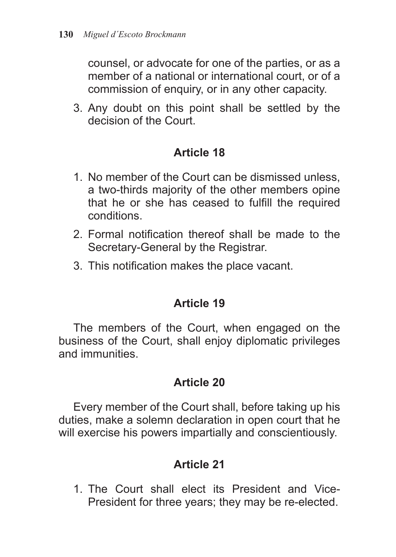counsel, or advocate for one of the parties, or as a member of a national or international court, or of a commission of enquiry, or in any other capacity.

3. Any doubt on this point shall be settled by the decision of the Court.

#### **Article 18**

- 1. No member of the Court can be dismissed unless, a two-thirds majority of the other members opine that he or she has ceased to fulfill the required conditions.
- 2. Formal notification thereof shall be made to the Secretary-General by the Registrar.
- 3. This notification makes the place vacant.

#### **Article 19**

The members of the Court, when engaged on the business of the Court, shall enjoy diplomatic privileges and immunities.

#### **Article 20**

Every member of the Court shall, before taking up his duties, make a solemn declaration in open court that he will exercise his powers impartially and conscientiously.

# **Article 21**

1. The Court shall elect its President and Vice-President for three years; they may be re-elected.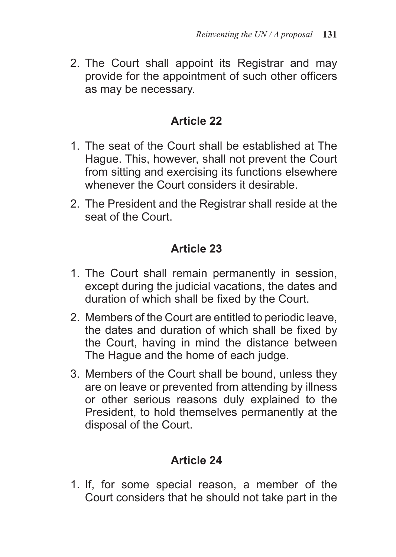2. The Court shall appoint its Registrar and may provide for the appointment of such other officers as may be necessary.

#### **Article 22**

- 1. The seat of the Court shall be established at The Hague. This, however, shall not prevent the Court from sitting and exercising its functions elsewhere whenever the Court considers it desirable.
- 2. The President and the Registrar shall reside at the seat of the Court.

#### **Article 23**

- 1. The Court shall remain permanently in session, except during the judicial vacations, the dates and duration of which shall be fixed by the Court.
- 2. Members of the Court are entitled to periodic leave, the dates and duration of which shall be fixed by the Court, having in mind the distance between The Hague and the home of each judge.
- 3. Members of the Court shall be bound, unless they are on leave or prevented from attending by illness or other serious reasons duly explained to the President, to hold themselves permanently at the disposal of the Court.

# **Article 24**

1. If, for some special reason, a member of the Court considers that he should not take part in the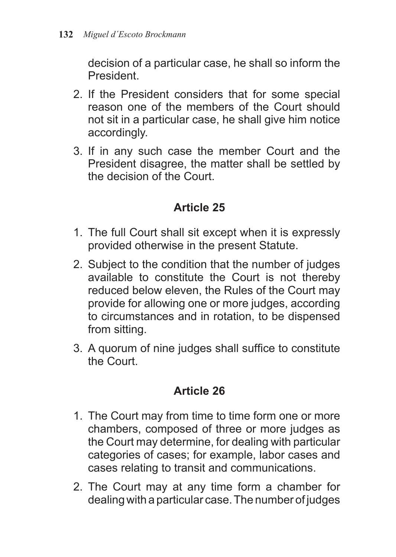decision of a particular case, he shall so inform the President.

- 2. If the President considers that for some special reason one of the members of the Court should not sit in a particular case, he shall give him notice accordingly.
- 3. If in any such case the member Court and the President disagree, the matter shall be settled by the decision of the Court.

# **Article 25**

- 1. The full Court shall sit except when it is expressly provided otherwise in the present Statute.
- 2. Subject to the condition that the number of judges available to constitute the Court is not thereby reduced below eleven, the Rules of the Court may provide for allowing one or more judges, according to circumstances and in rotation, to be dispensed from sitting.
- 3. A quorum of nine judges shall suffice to constitute the Court.

- 1. The Court may from time to time form one or more chambers, composed of three or more judges as the Court may determine, for dealing with particular categories of cases; for example, labor cases and cases relating to transit and communications.
- 2. The Court may at any time form a chamber for dealing with a particular case. The number of judges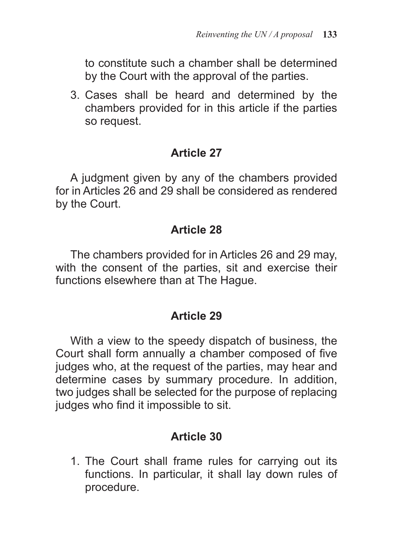to constitute such a chamber shall be determined by the Court with the approval of the parties.

3. Cases shall be heard and determined by the chambers provided for in this article if the parties so request.

#### **Article 27**

A judgment given by any of the chambers provided for in Articles 26 and 29 shall be considered as rendered by the Court.

#### **Article 28**

The chambers provided for in Articles 26 and 29 may, with the consent of the parties, sit and exercise their functions elsewhere than at The Hague.

#### **Article 29**

With a view to the speedy dispatch of business, the Court shall form annually a chamber composed of five judges who, at the request of the parties, may hear and determine cases by summary procedure. In addition, two judges shall be selected for the purpose of replacing judges who find it impossible to sit.

#### **Article 30**

1. The Court shall frame rules for carrying out its functions. In particular, it shall lay down rules of procedure.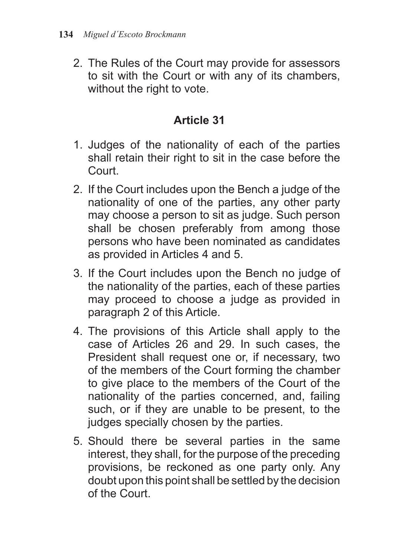2. The Rules of the Court may provide for assessors to sit with the Court or with any of its chambers, without the right to vote.

- 1. Judges of the nationality of each of the parties shall retain their right to sit in the case before the Court.
- 2. If the Court includes upon the Bench a judge of the nationality of one of the parties, any other party may choose a person to sit as judge. Such person shall be chosen preferably from among those persons who have been nominated as candidates as provided in Articles 4 and 5.
- 3. If the Court includes upon the Bench no judge of the nationality of the parties, each of these parties may proceed to choose a judge as provided in paragraph 2 of this Article.
- 4. The provisions of this Article shall apply to the case of Articles 26 and 29. In such cases, the President shall request one or, if necessary, two of the members of the Court forming the chamber to give place to the members of the Court of the nationality of the parties concerned, and, failing such, or if they are unable to be present, to the judges specially chosen by the parties.
- 5. Should there be several parties in the same interest, they shall, for the purpose of the preceding provisions, be reckoned as one party only. Any doubt upon this point shall be settled by the decision of the Court.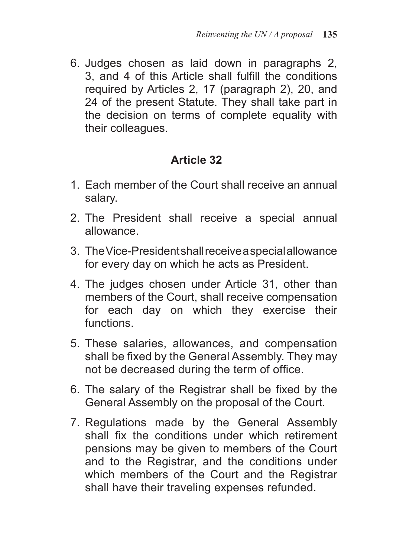6. Judges chosen as laid down in paragraphs 2, 3, and 4 of this Article shall fulfill the conditions required by Articles 2, 17 (paragraph 2), 20, and 24 of the present Statute. They shall take part in the decision on terms of complete equality with their colleagues.

- 1. Each member of the Court shall receive an annual salary.
- 2. The President shall receive a special annual allowance.
- 3. The Vice-President shall receive a special allowance for every day on which he acts as President.
- 4. The judges chosen under Article 31, other than members of the Court, shall receive compensation for each day on which they exercise their functions.
- 5. These salaries, allowances, and compensation shall be fixed by the General Assembly. They may not be decreased during the term of office.
- 6. The salary of the Registrar shall be fixed by the General Assembly on the proposal of the Court.
- 7. Regulations made by the General Assembly shall fix the conditions under which retirement pensions may be given to members of the Court and to the Registrar, and the conditions under which members of the Court and the Registrar shall have their traveling expenses refunded.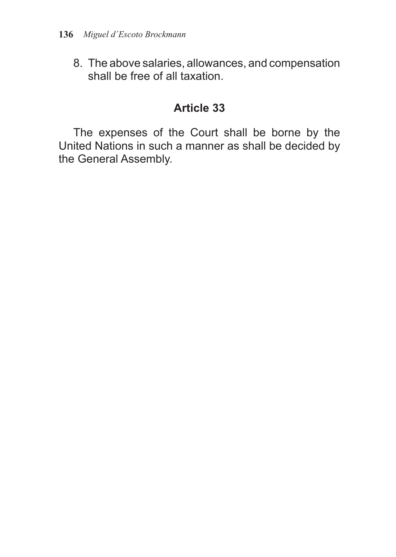8. The above salaries, allowances, and compensation shall be free of all taxation.

#### **Article 33**

The expenses of the Court shall be borne by the United Nations in such a manner as shall be decided by the General Assembly.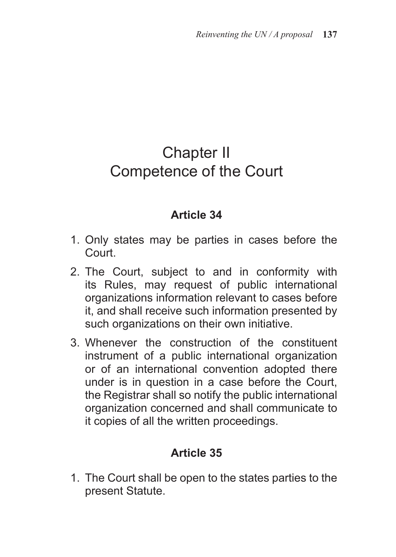# Chapter II Competence of the Court

#### **Article 34**

- 1. Only states may be parties in cases before the Court.
- 2. The Court, subject to and in conformity with its Rules, may request of public international organizations information relevant to cases before it, and shall receive such information presented by such organizations on their own initiative.
- 3. Whenever the construction of the constituent instrument of a public international organization or of an international convention adopted there under is in question in a case before the Court, the Registrar shall so notify the public international organization concerned and shall communicate to it copies of all the written proceedings.

#### **Article 35**

1. The Court shall be open to the states parties to the present Statute.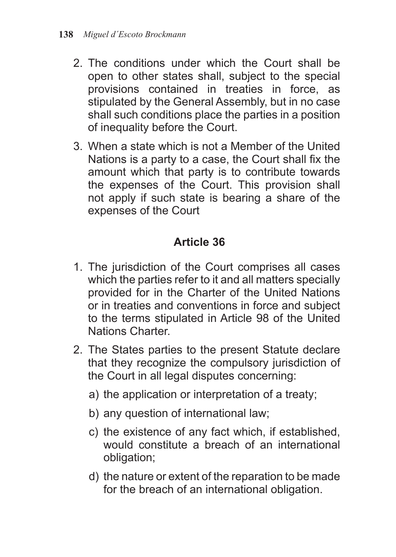- 2. The conditions under which the Court shall be open to other states shall, subject to the special provisions contained in treaties in force, as stipulated by the General Assembly, but in no case shall such conditions place the parties in a position of inequality before the Court.
- 3. When a state which is not a Member of the United Nations is a party to a case, the Court shall fix the amount which that party is to contribute towards the expenses of the Court. This provision shall not apply if such state is bearing a share of the expenses of the Court

- 1. The jurisdiction of the Court comprises all cases which the parties refer to it and all matters specially provided for in the Charter of the United Nations or in treaties and conventions in force and subject to the terms stipulated in Article 98 of the United Nations Charter.
- 2. The States parties to the present Statute declare that they recognize the compulsory jurisdiction of the Court in all legal disputes concerning:
	- a) the application or interpretation of a treaty;
	- b) any question of international law;
	- c) the existence of any fact which, if established, would constitute a breach of an international obligation;
	- d) the nature or extent of the reparation to be made for the breach of an international obligation.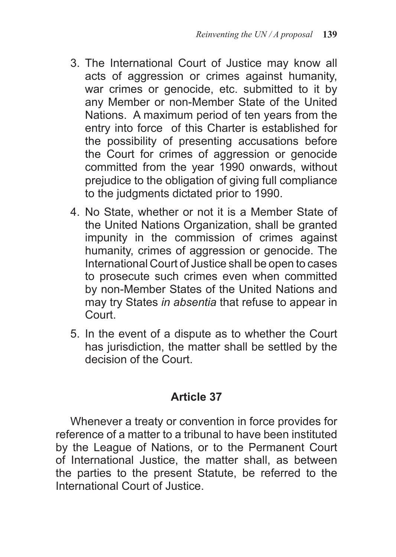- 3. The International Court of Justice may know all acts of aggression or crimes against humanity, war crimes or genocide, etc. submitted to it by any Member or non-Member State of the United Nations. A maximum period of ten years from the entry into force of this Charter is established for the possibility of presenting accusations before the Court for crimes of aggression or genocide committed from the year 1990 onwards, without prejudice to the obligation of giving full compliance to the judgments dictated prior to 1990.
- 4. No State, whether or not it is a Member State of the United Nations Organization, shall be granted impunity in the commission of crimes against humanity, crimes of aggression or genocide. The International Court of Justice shall be open to cases to prosecute such crimes even when committed by non-Member States of the United Nations and may try States *in absentia* that refuse to appear in Court.
- 5. In the event of a dispute as to whether the Court has jurisdiction, the matter shall be settled by the decision of the Court.

Whenever a treaty or convention in force provides for reference of a matter to a tribunal to have been instituted by the League of Nations, or to the Permanent Court of International Justice, the matter shall, as between the parties to the present Statute, be referred to the International Court of Justice.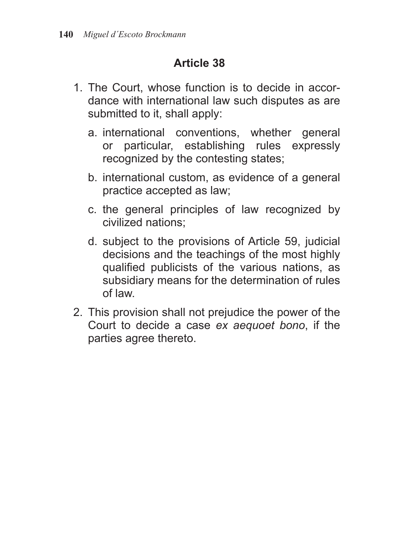- 1. The Court, whose function is to decide in accordance with international law such disputes as are submitted to it, shall apply:
	- a. international conventions, whether general or particular, establishing rules expressly recognized by the contesting states;
	- b. international custom, as evidence of a general practice accepted as law;
	- c. the general principles of law recognized by civilized nations;
	- d. subject to the provisions of Article 59, judicial decisions and the teachings of the most highly qualified publicists of the various nations, as subsidiary means for the determination of rules of law.
- 2. This provision shall not prejudice the power of the Court to decide a case *ex aequoet bono*, if the parties agree thereto.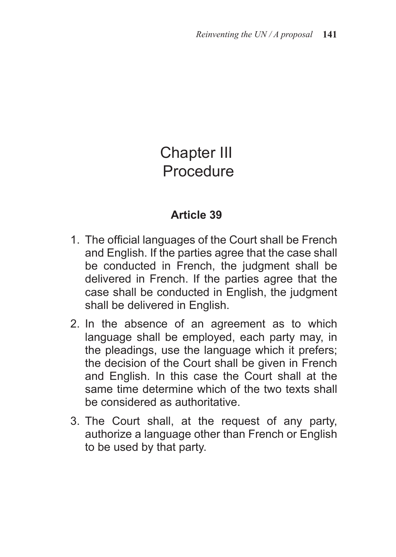# Chapter III **Procedure**

- 1. The official languages of the Court shall be French and English. If the parties agree that the case shall be conducted in French, the judgment shall be delivered in French. If the parties agree that the case shall be conducted in English, the judgment shall be delivered in English.
- 2. In the absence of an agreement as to which language shall be employed, each party may, in the pleadings, use the language which it prefers; the decision of the Court shall be given in French and English. In this case the Court shall at the same time determine which of the two texts shall be considered as authoritative.
- 3. The Court shall, at the request of any party, authorize a language other than French or English to be used by that party.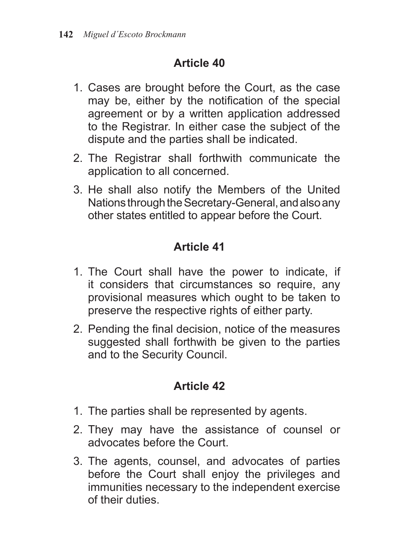- 1. Cases are brought before the Court, as the case may be, either by the notification of the special agreement or by a written application addressed to the Registrar. In either case the subject of the dispute and the parties shall be indicated.
- 2. The Registrar shall forthwith communicate the application to all concerned.
- 3. He shall also notify the Members of the United Nations through the Secretary-General, and also any other states entitled to appear before the Court.

# **Article 41**

- 1. The Court shall have the power to indicate, if it considers that circumstances so require, any provisional measures which ought to be taken to preserve the respective rights of either party.
- 2. Pending the final decision, notice of the measures suggested shall forthwith be given to the parties and to the Security Council.

- 1. The parties shall be represented by agents.
- 2. They may have the assistance of counsel or advocates before the Court.
- 3. The agents, counsel, and advocates of parties before the Court shall enjoy the privileges and immunities necessary to the independent exercise of their duties.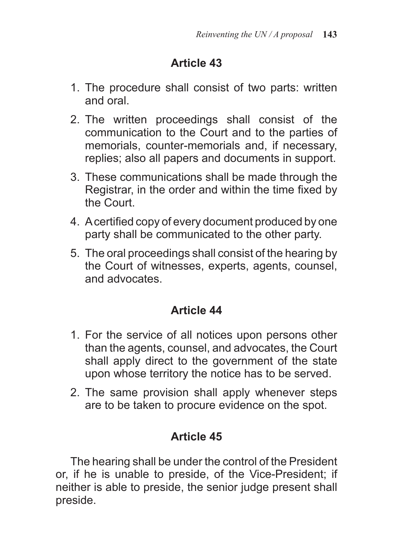- 1. The procedure shall consist of two parts: written and oral.
- 2. The written proceedings shall consist of the communication to the Court and to the parties of memorials, counter-memorials and, if necessary, replies; also all papers and documents in support.
- 3. These communications shall be made through the Registrar, in the order and within the time fixed by the Court.
- 4. A certified copy of every document produced by one party shall be communicated to the other party.
- 5. The oral proceedings shall consist of the hearing by the Court of witnesses, experts, agents, counsel, and advocates.

# **Article 44**

- 1. For the service of all notices upon persons other than the agents, counsel, and advocates, the Court shall apply direct to the government of the state upon whose territory the notice has to be served.
- 2. The same provision shall apply whenever steps are to be taken to procure evidence on the spot.

# **Article 45**

The hearing shall be under the control of the President or, if he is unable to preside, of the Vice-President; if neither is able to preside, the senior judge present shall preside.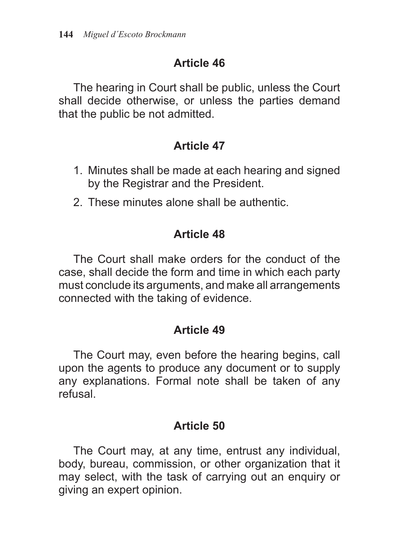The hearing in Court shall be public, unless the Court shall decide otherwise, or unless the parties demand that the public be not admitted.

#### **Article 47**

- 1. Minutes shall be made at each hearing and signed by the Registrar and the President.
- 2. These minutes alone shall be authentic.

### **Article 48**

The Court shall make orders for the conduct of the case, shall decide the form and time in which each party must conclude its arguments, and make all arrangements connected with the taking of evidence.

#### **Article 49**

The Court may, even before the hearing begins, call upon the agents to produce any document or to supply any explanations. Formal note shall be taken of any refusal.

#### **Article 50**

The Court may, at any time, entrust any individual, body, bureau, commission, or other organization that it may select, with the task of carrying out an enquiry or giving an expert opinion.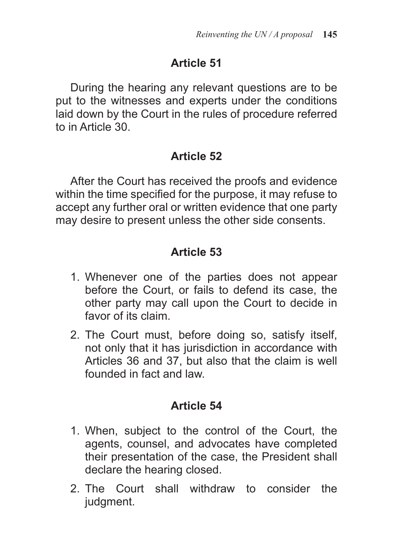During the hearing any relevant questions are to be put to the witnesses and experts under the conditions laid down by the Court in the rules of procedure referred to in Article 30.

## **Article 52**

After the Court has received the proofs and evidence within the time specified for the purpose, it may refuse to accept any further oral or written evidence that one party may desire to present unless the other side consents.

# **Article 53**

- 1. Whenever one of the parties does not appear before the Court, or fails to defend its case, the other party may call upon the Court to decide in favor of its claim.
- 2. The Court must, before doing so, satisfy itself, not only that it has jurisdiction in accordance with Articles 36 and 37, but also that the claim is well founded in fact and law.

## **Article 54**

- 1. When, subject to the control of the Court, the agents, counsel, and advocates have completed their presentation of the case, the President shall declare the hearing closed.
- 2. The Court shall withdraw to consider the judgment.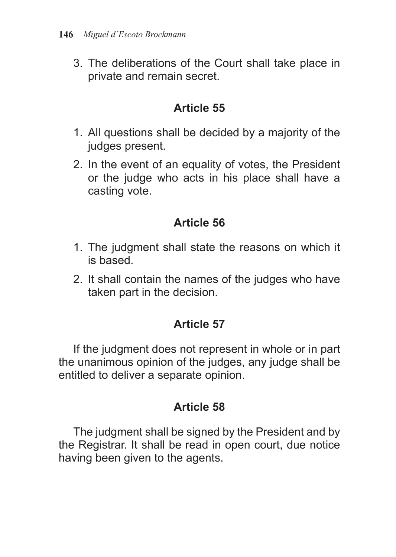3. The deliberations of the Court shall take place in private and remain secret.

#### **Article 55**

- 1. All questions shall be decided by a majority of the judges present.
- 2. In the event of an equality of votes, the President or the judge who acts in his place shall have a casting vote.

# **Article 56**

- 1. The judgment shall state the reasons on which it is based.
- 2. It shall contain the names of the judges who have taken part in the decision.

## **Article 57**

If the judgment does not represent in whole or in part the unanimous opinion of the judges, any judge shall be entitled to deliver a separate opinion.

## **Article 58**

The judgment shall be signed by the President and by the Registrar. It shall be read in open court, due notice having been given to the agents.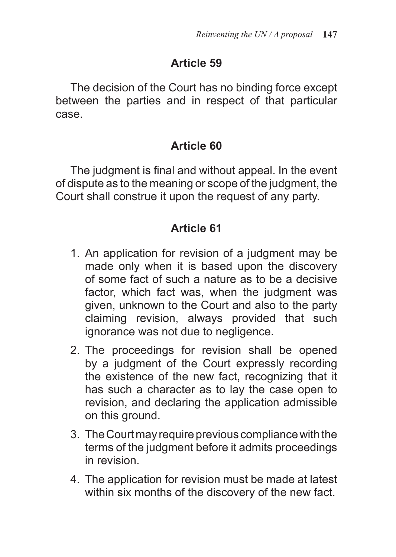The decision of the Court has no binding force except between the parties and in respect of that particular case.

## **Article 60**

The judgment is final and without appeal. In the event of dispute as to the meaning or scope of the judgment, the Court shall construe it upon the request of any party.

## **Article 61**

- 1. An application for revision of a judgment may be made only when it is based upon the discovery of some fact of such a nature as to be a decisive factor, which fact was, when the judgment was given, unknown to the Court and also to the party claiming revision, always provided that such ignorance was not due to negligence.
- 2. The proceedings for revision shall be opened by a judgment of the Court expressly recording the existence of the new fact, recognizing that it has such a character as to lay the case open to revision, and declaring the application admissible on this ground.
- 3. The Court may require previous compliance with the terms of the judgment before it admits proceedings in revision.
- 4. The application for revision must be made at latest within six months of the discovery of the new fact.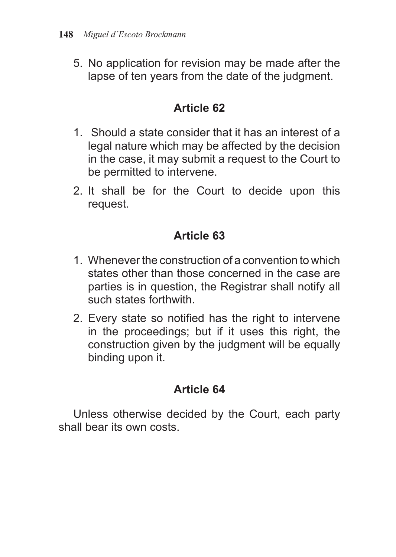5. No application for revision may be made after the lapse of ten years from the date of the judgment.

#### **Article 62**

- 1. Should a state consider that it has an interest of a legal nature which may be affected by the decision in the case, it may submit a request to the Court to be permitted to intervene.
- 2. It shall be for the Court to decide upon this request.

## **Article 63**

- 1. Whenever the construction of a convention to which states other than those concerned in the case are parties is in question, the Registrar shall notify all such states forthwith.
- 2. Every state so notified has the right to intervene in the proceedings; but if it uses this right, the construction given by the judgment will be equally binding upon it.

#### **Article 64**

Unless otherwise decided by the Court, each party shall bear its own costs.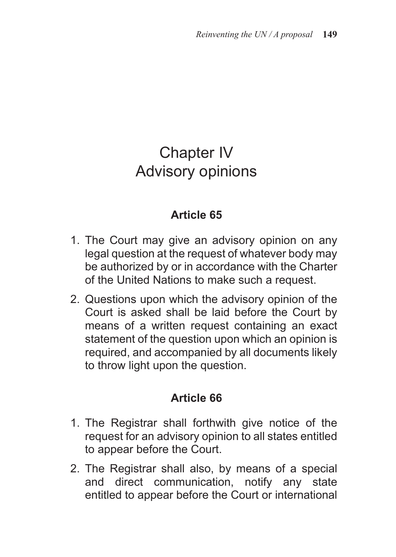# Chapter IV Advisory opinions

#### **Article 65**

- 1. The Court may give an advisory opinion on any legal question at the request of whatever body may be authorized by or in accordance with the Charter of the United Nations to make such a request.
- 2. Questions upon which the advisory opinion of the Court is asked shall be laid before the Court by means of a written request containing an exact statement of the question upon which an opinion is required, and accompanied by all documents likely to throw light upon the question.

#### **Article 66**

- 1. The Registrar shall forthwith give notice of the request for an advisory opinion to all states entitled to appear before the Court.
- 2. The Registrar shall also, by means of a special and direct communication, notify any state entitled to appear before the Court or international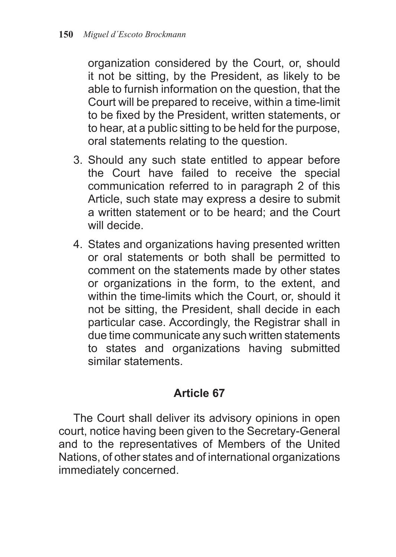organization considered by the Court, or, should it not be sitting, by the President, as likely to be able to furnish information on the question, that the Court will be prepared to receive, within a time-limit to be fixed by the President, written statements, or to hear, at a public sitting to be held for the purpose, oral statements relating to the question.

- 3. Should any such state entitled to appear before the Court have failed to receive the special communication referred to in paragraph 2 of this Article, such state may express a desire to submit a written statement or to be heard; and the Court will decide.
- 4. States and organizations having presented written or oral statements or both shall be permitted to comment on the statements made by other states or organizations in the form, to the extent, and within the time-limits which the Court, or, should it not be sitting, the President, shall decide in each particular case. Accordingly, the Registrar shall in due time communicate any such written statements to states and organizations having submitted similar statements.

## **Article 67**

The Court shall deliver its advisory opinions in open court, notice having been given to the Secretary-General and to the representatives of Members of the United Nations, of other states and of international organizations immediately concerned.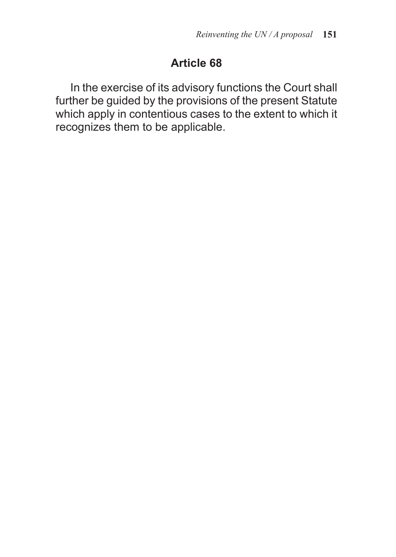In the exercise of its advisory functions the Court shall further be guided by the provisions of the present Statute which apply in contentious cases to the extent to which it recognizes them to be applicable.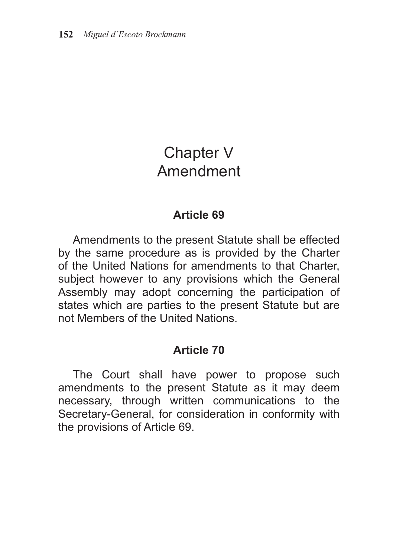# Chapter V Amendment

#### **Article 69**

Amendments to the present Statute shall be effected by the same procedure as is provided by the Charter of the United Nations for amendments to that Charter, subject however to any provisions which the General Assembly may adopt concerning the participation of states which are parties to the present Statute but are not Members of the United Nations.

#### **Article 70**

The Court shall have power to propose such amendments to the present Statute as it may deem necessary, through written communications to the Secretary-General, for consideration in conformity with the provisions of Article 69.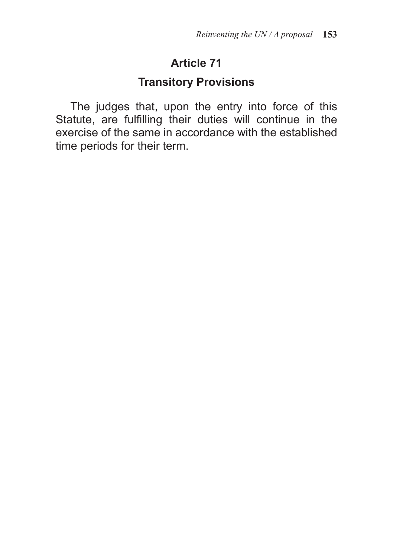#### **Transitory Provisions**

The judges that, upon the entry into force of this Statute, are fulfilling their duties will continue in the exercise of the same in accordance with the established time periods for their term.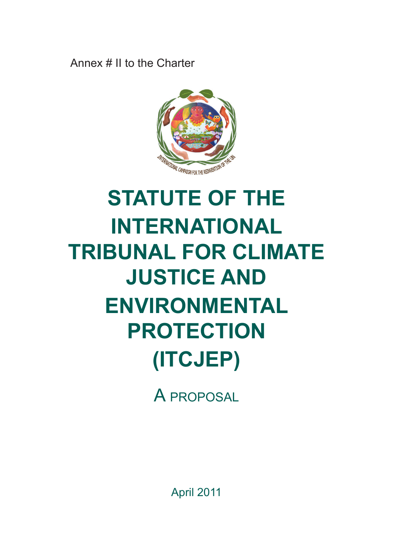Annex # II to the Charter



# **Statute of the International Tribunal for Climate Justice and Environmental Protection (ITCJEP)**

A proposal

April 2011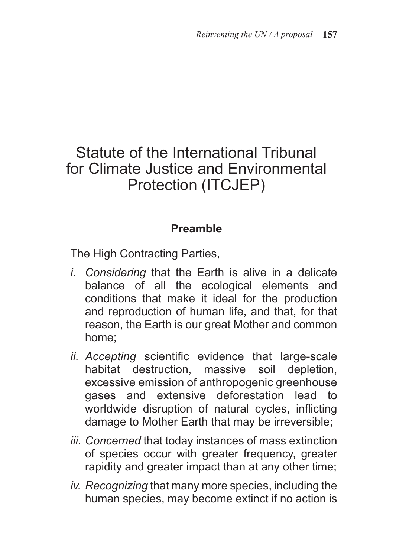# Statute of the International Tribunal for Climate Justice and Environmental Protection (ITCJEP)

#### **Preamble**

The High Contracting Parties,

- *i. Considering* that the Earth is alive in a delicate balance of all the ecological elements and conditions that make it ideal for the production and reproduction of human life, and that, for that reason, the Earth is our great Mother and common home;
- *ii. Accepting* scientific evidence that large-scale habitat destruction, massive soil depletion, excessive emission of anthropogenic greenhouse gases and extensive deforestation lead to worldwide disruption of natural cycles, inflicting damage to Mother Earth that may be irreversible;
- *iii. Concerned* that today instances of mass extinction of species occur with greater frequency, greater rapidity and greater impact than at any other time;
- *iv. Recognizing* that many more species, including the human species, may become extinct if no action is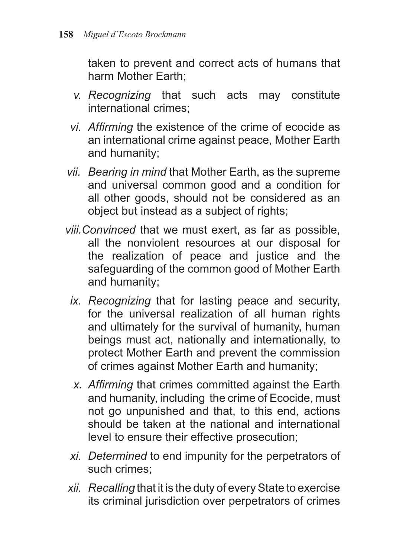taken to prevent and correct acts of humans that harm Mother Earth;

- *v. Recognizing* that such acts may constitute international crimes;
- *vi. Affirming* the existence of the crime of ecocide as an international crime against peace, Mother Earth and humanity;
- *vii. Bearing in mind* that Mother Earth, as the supreme and universal common good and a condition for all other goods, should not be considered as an object but instead as a subject of rights;
- *viii.Convinced* that we must exert, as far as possible, all the nonviolent resources at our disposal for the realization of peace and justice and the safeguarding of the common good of Mother Earth and humanity;
	- *ix. Recognizing* that for lasting peace and security, for the universal realization of all human rights and ultimately for the survival of humanity, human beings must act, nationally and internationally, to protect Mother Earth and prevent the commission of crimes against Mother Earth and humanity;
	- *x. Affirming* that crimes committed against the Earth and humanity, including the crime of Ecocide, must not go unpunished and that, to this end, actions should be taken at the national and international level to ensure their effective prosecution;
	- *xi. Determined* to end impunity for the perpetrators of such crimes;
- *xii. Recalling* that it is the duty of every State to exercise its criminal jurisdiction over perpetrators of crimes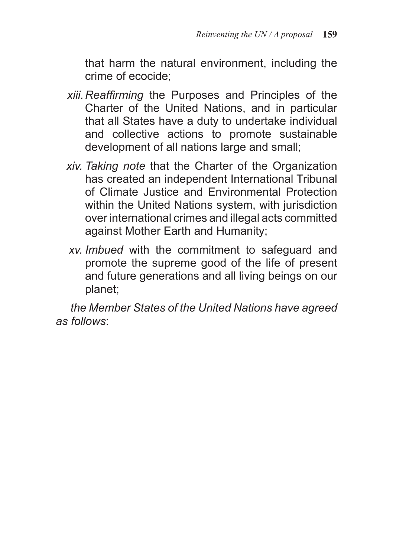that harm the natural environment, including the crime of ecocide;

- *xiii. Reaffirming* the Purposes and Principles of the Charter of the United Nations, and in particular that all States have a duty to undertake individual and collective actions to promote sustainable development of all nations large and small;
- *xiv. Taking note* that the Charter of the Organization has created an independent International Tribunal of Climate Justice and Environmental Protection within the United Nations system, with jurisdiction over international crimes and illegal acts committed against Mother Earth and Humanity;
- *xv. Imbued* with the commitment to safeguard and promote the supreme good of the life of present and future generations and all living beings on our planet;

*the Member States of the United Nations have agreed as follows*: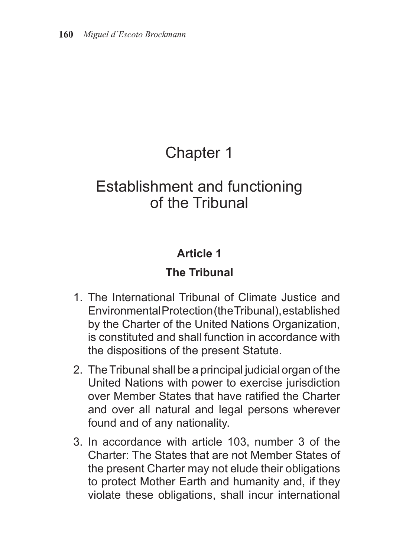# Chapter 1

# Establishment and functioning of the Tribunal

# **Article 1**

# **The Tribunal**

- 1. The International Tribunal of Climate Justice and Environmental Protection (the Tribunal), established by the Charter of the United Nations Organization, is constituted and shall function in accordance with the dispositions of the present Statute.
- 2. The Tribunal shall be a principal judicial organ of the United Nations with power to exercise jurisdiction over Member States that have ratified the Charter and over all natural and legal persons wherever found and of any nationality.
- 3. In accordance with article 103, number 3 of the Charter: The States that are not Member States of the present Charter may not elude their obligations to protect Mother Earth and humanity and, if they violate these obligations, shall incur international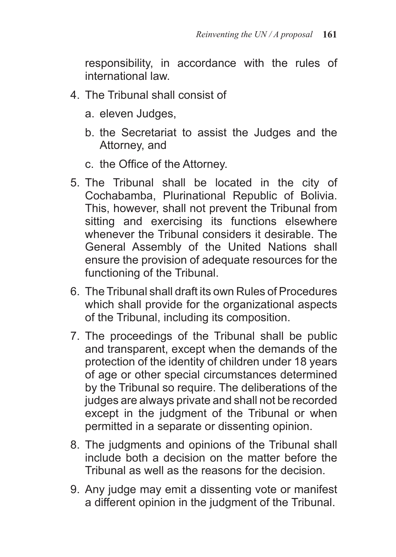responsibility, in accordance with the rules of international law.

- 4. The Tribunal shall consist of
	- a. eleven Judges,
	- b. the Secretariat to assist the Judges and the Attorney, and
	- c. the Office of the Attorney.
- 5. The Tribunal shall be located in the city of Cochabamba, Plurinational Republic of Bolivia. This, however, shall not prevent the Tribunal from sitting and exercising its functions elsewhere whenever the Tribunal considers it desirable. The General Assembly of the United Nations shall ensure the provision of adequate resources for the functioning of the Tribunal.
- 6. The Tribunal shall draft its own Rules of Procedures which shall provide for the organizational aspects of the Tribunal, including its composition.
- 7. The proceedings of the Tribunal shall be public and transparent, except when the demands of the protection of the identity of children under 18 years of age or other special circumstances determined by the Tribunal so require. The deliberations of the judges are always private and shall not be recorded except in the judgment of the Tribunal or when permitted in a separate or dissenting opinion.
- 8. The judgments and opinions of the Tribunal shall include both a decision on the matter before the Tribunal as well as the reasons for the decision.
- 9. Any judge may emit a dissenting vote or manifest a different opinion in the judgment of the Tribunal.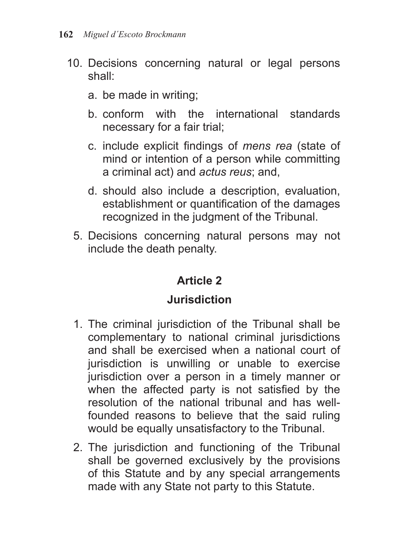- 10. Decisions concerning natural or legal persons shall:
	- a. be made in writing;
	- b. conform with the international standards necessary for a fair trial;
	- c. include explicit findings of *mens rea* (state of mind or intention of a person while committing a criminal act) and *actus reus*; and,
	- d. should also include a description, evaluation, establishment or quantification of the damages recognized in the judgment of the Tribunal.
	- 5. Decisions concerning natural persons may not include the death penalty.

## **Jurisdiction**

- 1. The criminal jurisdiction of the Tribunal shall be complementary to national criminal jurisdictions and shall be exercised when a national court of jurisdiction is unwilling or unable to exercise jurisdiction over a person in a timely manner or when the affected party is not satisfied by the resolution of the national tribunal and has wellfounded reasons to believe that the said ruling would be equally unsatisfactory to the Tribunal.
- 2. The jurisdiction and functioning of the Tribunal shall be governed exclusively by the provisions of this Statute and by any special arrangements made with any State not party to this Statute.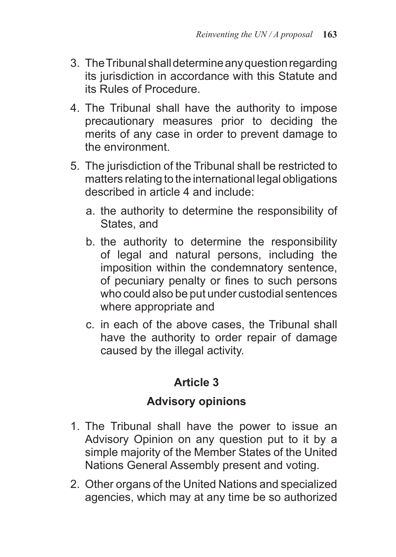- 3. The Tribunal shall determine any question regarding its jurisdiction in accordance with this Statute and its Rules of Procedure.
- 4. The Tribunal shall have the authority to impose precautionary measures prior to deciding the merits of any case in order to prevent damage to the environment.
- 5. The jurisdiction of the Tribunal shall be restricted to matters relating to the international legal obligations described in article 4 and include:
	- a. the authority to determine the responsibility of States, and
	- b. the authority to determine the responsibility of legal and natural persons, including the imposition within the condemnatory sentence, of pecuniary penalty or fines to such persons who could also be put under custodial sentences where appropriate and
	- c. in each of the above cases, the Tribunal shall have the authority to order repair of damage caused by the illegal activity.

#### **Advisory opinions**

- 1. The Tribunal shall have the power to issue an Advisory Opinion on any question put to it by a simple majority of the Member States of the United Nations General Assembly present and voting.
- 2. Other organs of the United Nations and specialized agencies, which may at any time be so authorized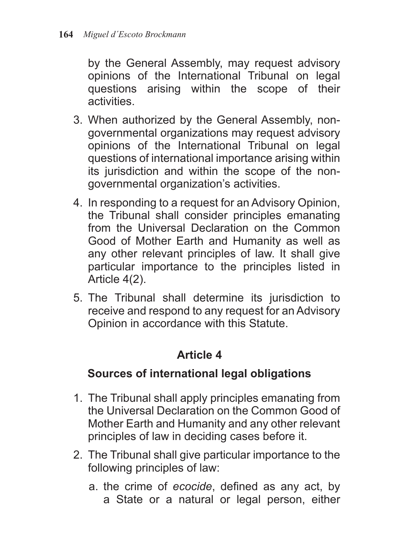by the General Assembly, may request advisory opinions of the International Tribunal on legal questions arising within the scope of their activities.

- 3. When authorized by the General Assembly, nongovernmental organizations may request advisory opinions of the International Tribunal on legal questions of international importance arising within its jurisdiction and within the scope of the nongovernmental organization's activities.
- 4. In responding to a request for an Advisory Opinion, the Tribunal shall consider principles emanating from the Universal Declaration on the Common Good of Mother Earth and Humanity as well as any other relevant principles of law. It shall give particular importance to the principles listed in Article 4(2).
- 5. The Tribunal shall determine its jurisdiction to receive and respond to any request for an Advisory Opinion in accordance with this Statute.

## **Article 4**

#### **Sources of international legal obligations**

- 1. The Tribunal shall apply principles emanating from the Universal Declaration on the Common Good of Mother Earth and Humanity and any other relevant principles of law in deciding cases before it.
- 2. The Tribunal shall give particular importance to the following principles of law:
	- a. the crime of *ecocide*, defined as any act, by a State or a natural or legal person, either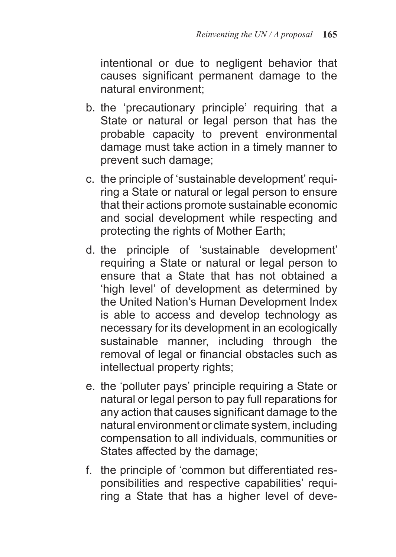intentional or due to negligent behavior that causes significant permanent damage to the natural environment;

- b. the 'precautionary principle' requiring that a State or natural or legal person that has the probable capacity to prevent environmental damage must take action in a timely manner to prevent such damage;
- c. the principle of 'sustainable development' requiring a State or natural or legal person to ensure that their actions promote sustainable economic and social development while respecting and protecting the rights of Mother Earth;
- d. the principle of 'sustainable development' requiring a State or natural or legal person to ensure that a State that has not obtained a 'high level' of development as determined by the United Nation's Human Development Index is able to access and develop technology as necessary for its development in an ecologically sustainable manner, including through the removal of legal or financial obstacles such as intellectual property rights;
- e. the 'polluter pays' principle requiring a State or natural or legal person to pay full reparations for any action that causes significant damage to the natural environment or climate system, including compensation to all individuals, communities or States affected by the damage;
- f. the principle of 'common but differentiated responsibilities and respective capabilities' requiring a State that has a higher level of deve-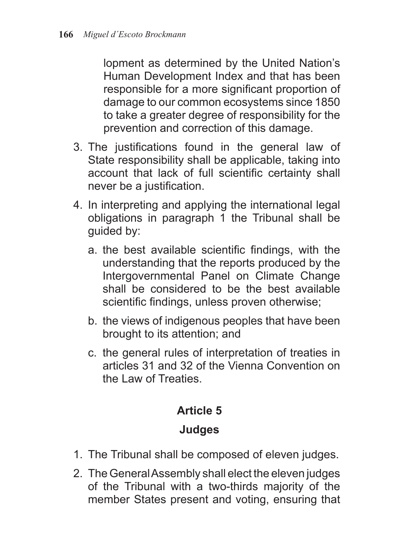lopment as determined by the United Nation's Human Development Index and that has been responsible for a more significant proportion of damage to our common ecosystems since 1850 to take a greater degree of responsibility for the prevention and correction of this damage.

- 3. The justifications found in the general law of State responsibility shall be applicable, taking into account that lack of full scientific certainty shall never be a justification.
- 4. In interpreting and applying the international legal obligations in paragraph 1 the Tribunal shall be guided by:
	- a. the best available scientific findings, with the understanding that the reports produced by the Intergovernmental Panel on Climate Change shall be considered to be the best available scientific findings, unless proven otherwise;
	- b. the views of indigenous peoples that have been brought to its attention; and
	- c. the general rules of interpretation of treaties in articles 31 and 32 of the Vienna Convention on the Law of Treaties.

# **Article 5**

## **Judges**

- 1. The Tribunal shall be composed of eleven judges.
- 2. The General Assembly shall elect the eleven judges of the Tribunal with a two-thirds majority of the member States present and voting, ensuring that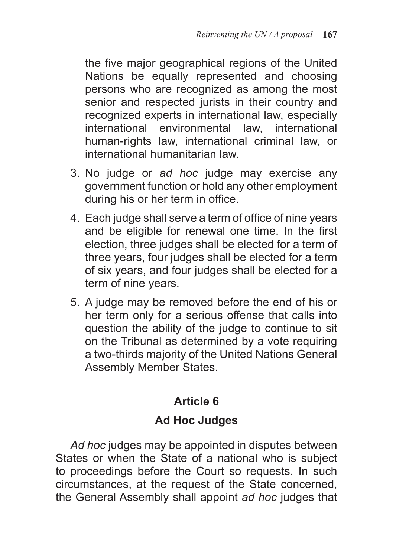the five major geographical regions of the United Nations be equally represented and choosing persons who are recognized as among the most senior and respected jurists in their country and recognized experts in international law, especially international environmental law, international human-rights law, international criminal law, or international humanitarian law.

- 3. No judge or *ad hoc* judge may exercise any government function or hold any other employment during his or her term in office.
- 4. Each judge shall serve a term of office of nine years and be eligible for renewal one time. In the first election, three judges shall be elected for a term of three years, four judges shall be elected for a term of six years, and four judges shall be elected for a term of nine years.
- 5. A judge may be removed before the end of his or her term only for a serious offense that calls into question the ability of the judge to continue to sit on the Tribunal as determined by a vote requiring a two-thirds majority of the United Nations General Assembly Member States.

## **Article 6**

## **Ad Hoc Judges**

*Ad hoc* judges may be appointed in disputes between States or when the State of a national who is subject to proceedings before the Court so requests. In such circumstances, at the request of the State concerned, the General Assembly shall appoint *ad hoc* judges that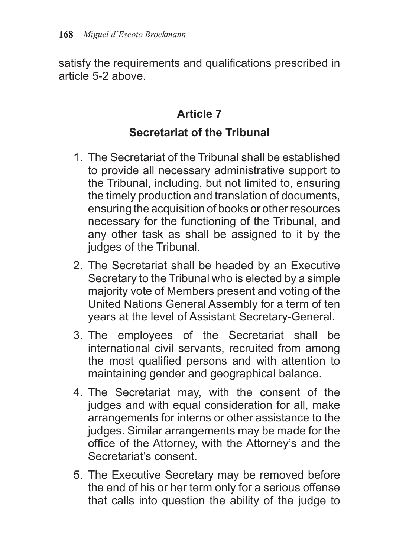satisfy the requirements and qualifications prescribed in article 5-2 above.

# **Article 7**

#### **Secretariat of the Tribunal**

- 1. The Secretariat of the Tribunal shall be established to provide all necessary administrative support to the Tribunal, including, but not limited to, ensuring the timely production and translation of documents, ensuring the acquisition of books or other resources necessary for the functioning of the Tribunal, and any other task as shall be assigned to it by the judges of the Tribunal.
- 2. The Secretariat shall be headed by an Executive Secretary to the Tribunal who is elected by a simple majority vote of Members present and voting of the United Nations General Assembly for a term of ten years at the level of Assistant Secretary-General.
- 3. The employees of the Secretariat shall be international civil servants, recruited from among the most qualified persons and with attention to maintaining gender and geographical balance.
- 4. The Secretariat may, with the consent of the judges and with equal consideration for all, make arrangements for interns or other assistance to the judges. Similar arrangements may be made for the office of the Attorney, with the Attorney's and the Secretariat's consent.
- 5. The Executive Secretary may be removed before the end of his or her term only for a serious offense that calls into question the ability of the judge to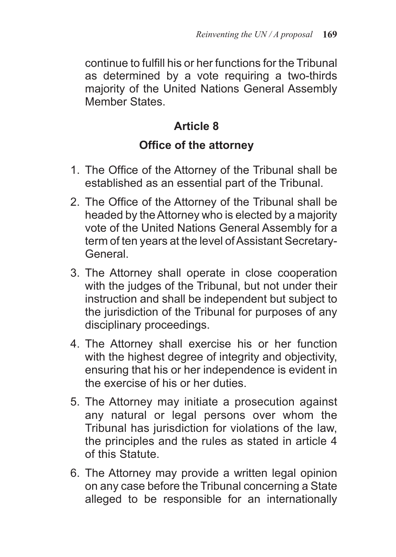continue to fulfill his or her functions for the Tribunal as determined by a vote requiring a two-thirds majority of the United Nations General Assembly Member States.

## **Article 8**

#### **Office of the attorney**

- 1. The Office of the Attorney of the Tribunal shall be established as an essential part of the Tribunal.
- 2. The Office of the Attorney of the Tribunal shall be headed by the Attorney who is elected by a majority vote of the United Nations General Assembly for a term of ten years at the level of Assistant Secretary-General.
- 3. The Attorney shall operate in close cooperation with the judges of the Tribunal, but not under their instruction and shall be independent but subject to the jurisdiction of the Tribunal for purposes of any disciplinary proceedings.
- 4. The Attorney shall exercise his or her function with the highest degree of integrity and objectivity, ensuring that his or her independence is evident in the exercise of his or her duties.
- 5. The Attorney may initiate a prosecution against any natural or legal persons over whom the Tribunal has jurisdiction for violations of the law, the principles and the rules as stated in article 4 of this Statute.
- 6. The Attorney may provide a written legal opinion on any case before the Tribunal concerning a State alleged to be responsible for an internationally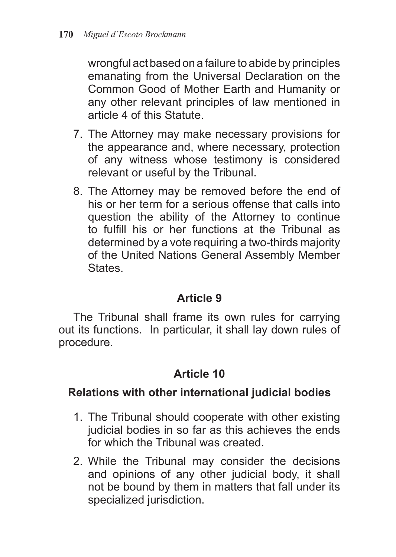wrongful act based on a failure to abide by principles emanating from the Universal Declaration on the Common Good of Mother Earth and Humanity or any other relevant principles of law mentioned in article 4 of this Statute.

- 7. The Attorney may make necessary provisions for the appearance and, where necessary, protection of any witness whose testimony is considered relevant or useful by the Tribunal.
- 8. The Attorney may be removed before the end of his or her term for a serious offense that calls into question the ability of the Attorney to continue to fulfill his or her functions at the Tribunal as determined by a vote requiring a two-thirds majority of the United Nations General Assembly Member **States**

#### **Article 9**

The Tribunal shall frame its own rules for carrying out its functions. In particular, it shall lay down rules of procedure.

## **Article 10**

#### **Relations with other international judicial bodies**

- 1. The Tribunal should cooperate with other existing judicial bodies in so far as this achieves the ends for which the Tribunal was created.
- 2. While the Tribunal may consider the decisions and opinions of any other judicial body, it shall not be bound by them in matters that fall under its specialized jurisdiction.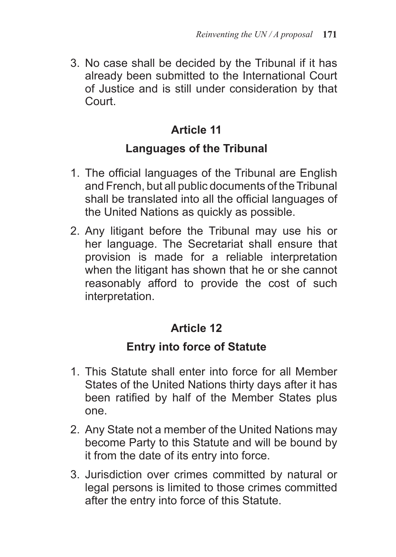3. No case shall be decided by the Tribunal if it has already been submitted to the International Court of Justice and is still under consideration by that Court.

# **Article 11**

#### **Languages of the Tribunal**

- 1. The official languages of the Tribunal are English and French, but all public documents of the Tribunal shall be translated into all the official languages of the United Nations as quickly as possible.
- 2. Any litigant before the Tribunal may use his or her language. The Secretariat shall ensure that provision is made for a reliable interpretation when the litigant has shown that he or she cannot reasonably afford to provide the cost of such interpretation.

## **Article 12**

## **Entry into force of Statute**

- 1. This Statute shall enter into force for all Member States of the United Nations thirty days after it has been ratified by half of the Member States plus one.
- 2. Any State not a member of the United Nations may become Party to this Statute and will be bound by it from the date of its entry into force.
- 3. Jurisdiction over crimes committed by natural or legal persons is limited to those crimes committed after the entry into force of this Statute.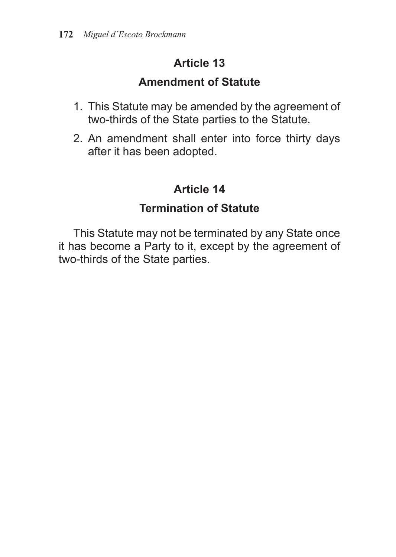#### **Amendment of Statute**

- 1. This Statute may be amended by the agreement of two-thirds of the State parties to the Statute.
- 2. An amendment shall enter into force thirty days after it has been adopted.

# **Article 14**

# **Termination of Statute**

This Statute may not be terminated by any State once it has become a Party to it, except by the agreement of two-thirds of the State parties.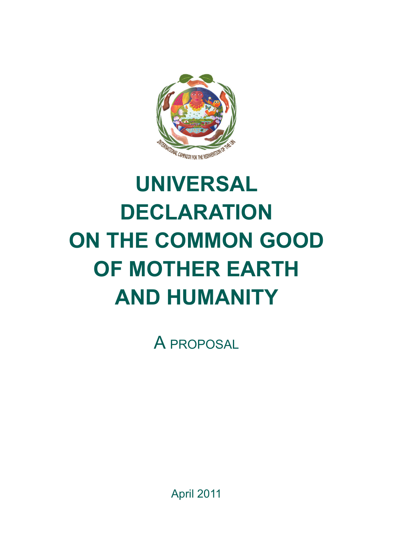

# **Universal declaration on the common Good of Mother Earth and Humanity**

A proposal

April 2011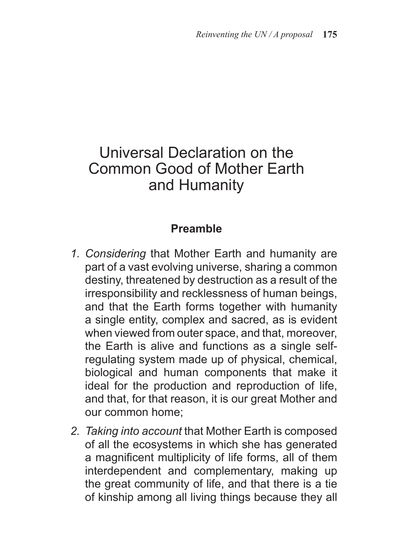# Universal Declaration on the Common Good of Mother Earth and Humanity

#### **Preamble**

- *1. Considering* that Mother Earth and humanity are part of a vast evolving universe, sharing a common destiny, threatened by destruction as a result of the irresponsibility and recklessness of human beings, and that the Earth forms together with humanity a single entity, complex and sacred, as is evident when viewed from outer space, and that, moreover, the Earth is alive and functions as a single selfregulating system made up of physical, chemical, biological and human components that make it ideal for the production and reproduction of life, and that, for that reason, it is our great Mother and our common home;
- *2. Taking into account* that Mother Earth is composed of all the ecosystems in which she has generated a magnificent multiplicity of life forms, all of them interdependent and complementary, making up the great community of life, and that there is a tie of kinship among all living things because they all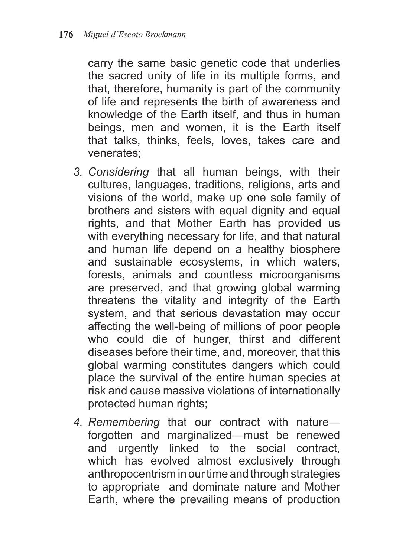carry the same basic genetic code that underlies the sacred unity of life in its multiple forms, and that, therefore, humanity is part of the community of life and represents the birth of awareness and knowledge of the Earth itself, and thus in human beings, men and women, it is the Earth itself that talks, thinks, feels, loves, takes care and venerates;

- *3. Considering* that all human beings, with their cultures, languages, traditions, religions, arts and visions of the world, make up one sole family of brothers and sisters with equal dignity and equal rights, and that Mother Earth has provided us with everything necessary for life, and that natural and human life depend on a healthy biosphere and sustainable ecosystems, in which waters, forests, animals and countless microorganisms are preserved, and that growing global warming threatens the vitality and integrity of the Earth system, and that serious devastation may occur affecting the well-being of millions of poor people who could die of hunger, thirst and different diseases before their time, and, moreover, that this global warming constitutes dangers which could place the survival of the entire human species at risk and cause massive violations of internationally protected human rights;
- *4. Remembering* that our contract with nature forgotten and marginalized—must be renewed and urgently linked to the social contract, which has evolved almost exclusively through anthropocentrism in our time and through strategies to appropriate and dominate nature and Mother Earth, where the prevailing means of production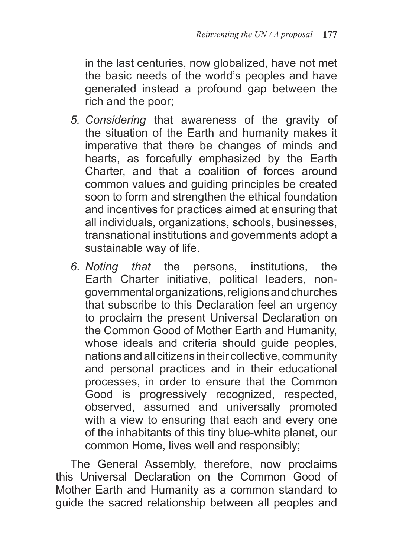in the last centuries, now globalized, have not met the basic needs of the world's peoples and have generated instead a profound gap between the rich and the poor;

- *5. Considering* that awareness of the gravity of the situation of the Earth and humanity makes it imperative that there be changes of minds and hearts, as forcefully emphasized by the Earth Charter, and that a coalition of forces around common values and guiding principles be created soon to form and strengthen the ethical foundation and incentives for practices aimed at ensuring that all individuals, organizations, schools, businesses, transnational institutions and governments adopt a sustainable way of life.
- *6. Noting that* the persons, institutions, the Earth Charter initiative, political leaders, nongovernmental organizations, religions and churches that subscribe to this Declaration feel an urgency to proclaim the present Universal Declaration on the Common Good of Mother Earth and Humanity, whose ideals and criteria should guide peoples, nations and all citizens in their collective, community and personal practices and in their educational processes, in order to ensure that the Common Good is progressively recognized, respected, observed, assumed and universally promoted with a view to ensuring that each and every one of the inhabitants of this tiny blue-white planet, our common Home, lives well and responsibly;

The General Assembly, therefore, now proclaims this Universal Declaration on the Common Good of Mother Earth and Humanity as a common standard to guide the sacred relationship between all peoples and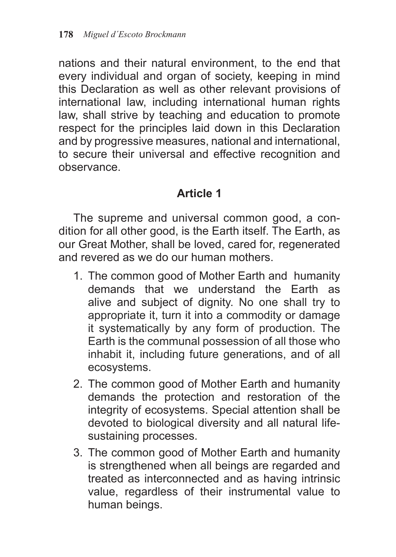nations and their natural environment, to the end that every individual and organ of society, keeping in mind this Declaration as well as other relevant provisions of international law, including international human rights law, shall strive by teaching and education to promote respect for the principles laid down in this Declaration and by progressive measures, national and international, to secure their universal and effective recognition and observance.

#### **Article 1**

The supreme and universal common good, a condition for all other good, is the Earth itself. The Earth, as our Great Mother, shall be loved, cared for, regenerated and revered as we do our human mothers.

- 1. The common good of Mother Earth and humanity demands that we understand the Earth as alive and subject of dignity. No one shall try to appropriate it, turn it into a commodity or damage it systematically by any form of production. The Earth is the communal possession of all those who inhabit it, including future generations, and of all ecosystems.
- 2. The common good of Mother Earth and humanity demands the protection and restoration of the integrity of ecosystems. Special attention shall be devoted to biological diversity and all natural lifesustaining processes.
- 3. The common good of Mother Earth and humanity is strengthened when all beings are regarded and treated as interconnected and as having intrinsic value, regardless of their instrumental value to human beings.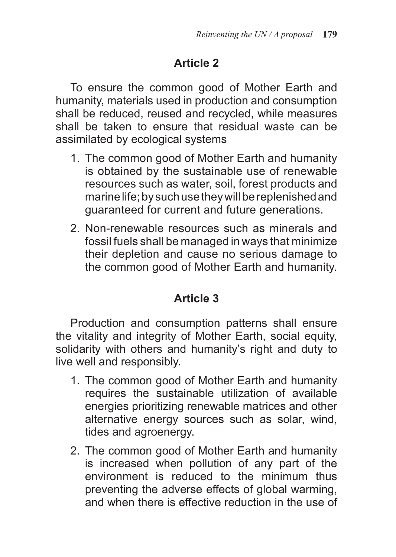To ensure the common good of Mother Earth and humanity, materials used in production and consumption shall be reduced, reused and recycled, while measures shall be taken to ensure that residual waste can be assimilated by ecological systems

- 1. The common good of Mother Earth and humanity is obtained by the sustainable use of renewable resources such as water, soil, forest products and marine life; by such use they will be replenished and guaranteed for current and future generations.
- 2. Non-renewable resources such as minerals and fossil fuels shall be managed in ways that minimize their depletion and cause no serious damage to the common good of Mother Earth and humanity.

## **Article 3**

Production and consumption patterns shall ensure the vitality and integrity of Mother Earth, social equity, solidarity with others and humanity's right and duty to live well and responsibly.

- 1. The common good of Mother Earth and humanity requires the sustainable utilization of available energies prioritizing renewable matrices and other alternative energy sources such as solar, wind, tides and agroenergy.
- 2. The common good of Mother Earth and humanity is increased when pollution of any part of the environment is reduced to the minimum thus preventing the adverse effects of global warming, and when there is effective reduction in the use of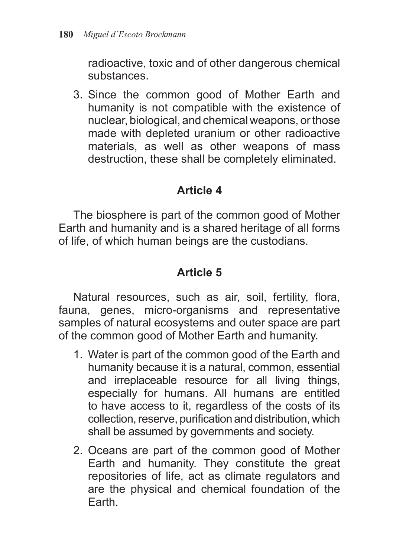radioactive, toxic and of other dangerous chemical substances.

3. Since the common good of Mother Earth and humanity is not compatible with the existence of nuclear, biological, and chemical weapons, or those made with depleted uranium or other radioactive materials, as well as other weapons of mass destruction, these shall be completely eliminated.

## **Article 4**

The biosphere is part of the common good of Mother Earth and humanity and is a shared heritage of all forms of life, of which human beings are the custodians.

## **Article 5**

Natural resources, such as air, soil, fertility, flora, fauna, genes, micro-organisms and representative samples of natural ecosystems and outer space are part of the common good of Mother Earth and humanity.

- 1. Water is part of the common good of the Earth and humanity because it is a natural, common, essential and irreplaceable resource for all living things, especially for humans. All humans are entitled to have access to it, regardless of the costs of its collection, reserve, purification and distribution, which shall be assumed by governments and society.
- 2. Oceans are part of the common good of Mother Earth and humanity. They constitute the great repositories of life, act as climate regulators and are the physical and chemical foundation of the Earth.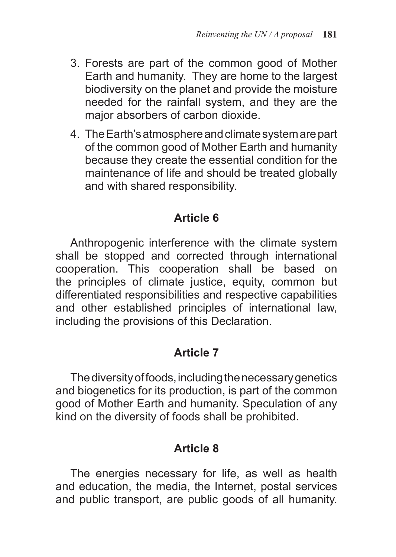- 3. Forests are part of the common good of Mother Earth and humanity. They are home to the largest biodiversity on the planet and provide the moisture needed for the rainfall system, and they are the major absorbers of carbon dioxide.
- 4. The Earth's atmosphere and climate system are part of the common good of Mother Earth and humanity because they create the essential condition for the maintenance of life and should be treated globally and with shared responsibility.

## **Article 6**

Anthropogenic interference with the climate system shall be stopped and corrected through international cooperation. This cooperation shall be based on the principles of climate justice, equity, common but differentiated responsibilities and respective capabilities and other established principles of international law, including the provisions of this Declaration.

# **Article 7**

The diversity of foods, including the necessary genetics and biogenetics for its production, is part of the common good of Mother Earth and humanity. Speculation of any kind on the diversity of foods shall be prohibited.

# **Article 8**

The energies necessary for life, as well as health and education, the media, the Internet, postal services and public transport, are public goods of all humanity.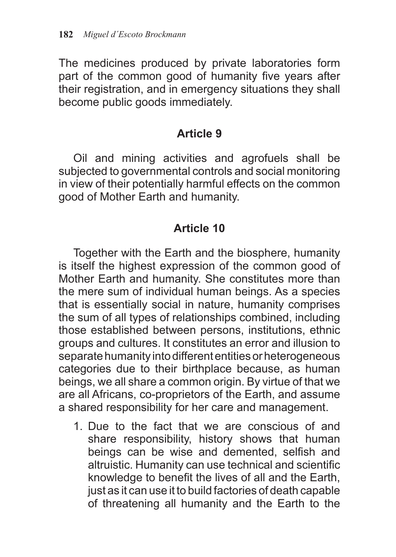The medicines produced by private laboratories form part of the common good of humanity five years after their registration, and in emergency situations they shall become public goods immediately.

## **Article 9**

Oil and mining activities and agrofuels shall be subjected to governmental controls and social monitoring in view of their potentially harmful effects on the common good of Mother Earth and humanity.

# **Article 10**

Together with the Earth and the biosphere, humanity is itself the highest expression of the common good of Mother Earth and humanity. She constitutes more than the mere sum of individual human beings. As a species that is essentially social in nature, humanity comprises the sum of all types of relationships combined, including those established between persons, institutions, ethnic groups and cultures. It constitutes an error and illusion to separate humanity into different entities or heterogeneous categories due to their birthplace because, as human beings, we all share a common origin. By virtue of that we are all Africans, co-proprietors of the Earth, and assume a shared responsibility for her care and management.

1. Due to the fact that we are conscious of and share responsibility, history shows that human beings can be wise and demented, selfish and altruistic. Humanity can use technical and scientific knowledge to benefit the lives of all and the Earth, just as it can use it to build factories of death capable of threatening all humanity and the Earth to the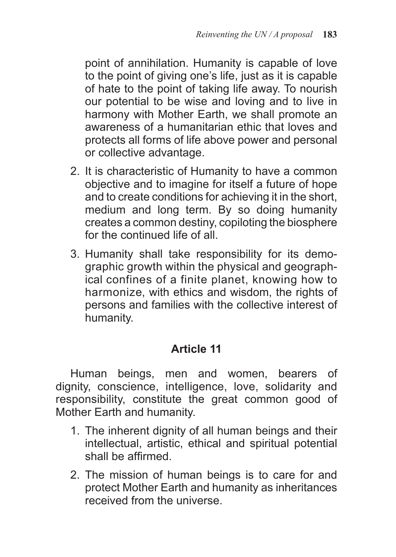point of annihilation. Humanity is capable of love to the point of giving one's life, just as it is capable of hate to the point of taking life away. To nourish our potential to be wise and loving and to live in harmony with Mother Earth, we shall promote an awareness of a humanitarian ethic that loves and protects all forms of life above power and personal or collective advantage.

- 2. It is characteristic of Humanity to have a common objective and to imagine for itself a future of hope and to create conditions for achieving it in the short, medium and long term. By so doing humanity creates a common destiny, copiloting the biosphere for the continued life of all.
- 3. Humanity shall take responsibility for its demographic growth within the physical and geographical confines of a finite planet, knowing how to harmonize, with ethics and wisdom, the rights of persons and families with the collective interest of humanity.

## **Article 11**

Human beings, men and women, bearers of dignity, conscience, intelligence, love, solidarity and responsibility, constitute the great common good of Mother Earth and humanity.

- 1. The inherent dignity of all human beings and their intellectual, artistic, ethical and spiritual potential shall be affirmed.
- 2. The mission of human beings is to care for and protect Mother Earth and humanity as inheritances received from the universe.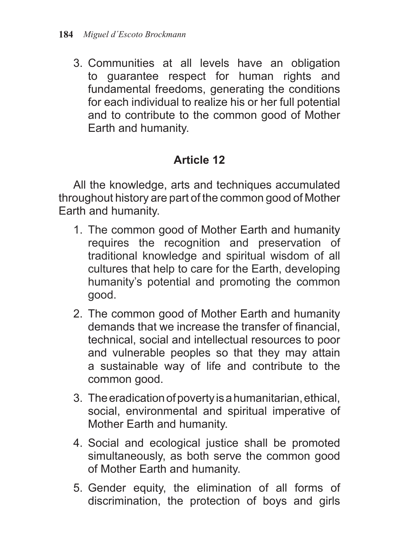3. Communities at all levels have an obligation to guarantee respect for human rights and fundamental freedoms, generating the conditions for each individual to realize his or her full potential and to contribute to the common good of Mother Earth and humanity.

# **Article 12**

All the knowledge, arts and techniques accumulated throughout history are part of the common good of Mother Earth and humanity.

- 1. The common good of Mother Earth and humanity requires the recognition and preservation of traditional knowledge and spiritual wisdom of all cultures that help to care for the Earth, developing humanity's potential and promoting the common good.
- 2. The common good of Mother Earth and humanity demands that we increase the transfer of financial, technical, social and intellectual resources to poor and vulnerable peoples so that they may attain a sustainable way of life and contribute to the common good.
- 3. The eradication of poverty is a humanitarian, ethical, social, environmental and spiritual imperative of Mother Earth and humanity.
- 4. Social and ecological justice shall be promoted simultaneously, as both serve the common good of Mother Earth and humanity.
- 5. Gender equity, the elimination of all forms of discrimination, the protection of boys and girls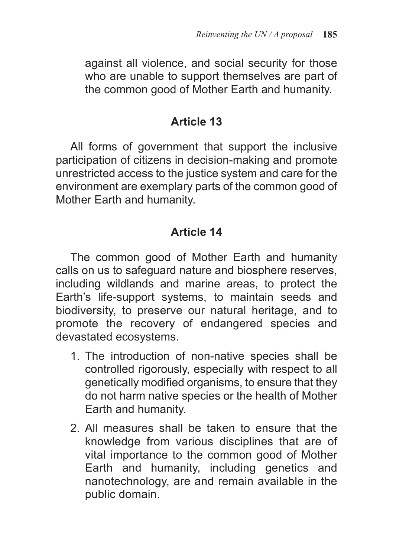against all violence, and social security for those who are unable to support themselves are part of the common good of Mother Earth and humanity.

## **Article 13**

All forms of government that support the inclusive participation of citizens in decision-making and promote unrestricted access to the justice system and care for the environment are exemplary parts of the common good of Mother Earth and humanity.

# **Article 14**

The common good of Mother Earth and humanity calls on us to safeguard nature and biosphere reserves, including wildlands and marine areas, to protect the Earth's life-support systems, to maintain seeds and biodiversity, to preserve our natural heritage, and to promote the recovery of endangered species and devastated ecosystems.

- 1. The introduction of non-native species shall be controlled rigorously, especially with respect to all genetically modified organisms, to ensure that they do not harm native species or the health of Mother Earth and humanity.
- 2. All measures shall be taken to ensure that the knowledge from various disciplines that are of vital importance to the common good of Mother Earth and humanity, including genetics and nanotechnology, are and remain available in the public domain.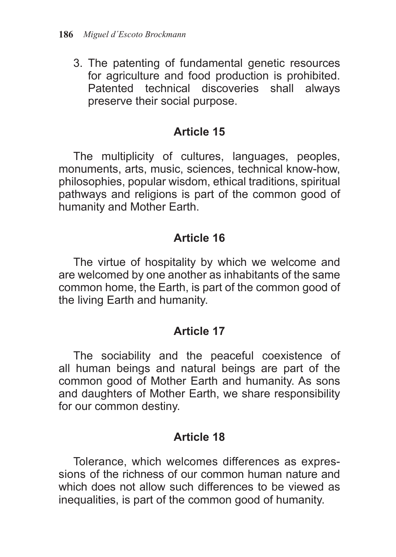3. The patenting of fundamental genetic resources for agriculture and food production is prohibited. Patented technical discoveries shall always preserve their social purpose.

## **Article 15**

The multiplicity of cultures, languages, peoples, monuments, arts, music, sciences, technical know-how, philosophies, popular wisdom, ethical traditions, spiritual pathways and religions is part of the common good of humanity and Mother Earth.

## **Article 16**

The virtue of hospitality by which we welcome and are welcomed by one another as inhabitants of the same common home, the Earth, is part of the common good of the living Earth and humanity.

## **Article 17**

The sociability and the peaceful coexistence of all human beings and natural beings are part of the common good of Mother Earth and humanity. As sons and daughters of Mother Earth, we share responsibility for our common destiny.

## **Article 18**

Tolerance, which welcomes differences as expressions of the richness of our common human nature and which does not allow such differences to be viewed as inequalities, is part of the common good of humanity.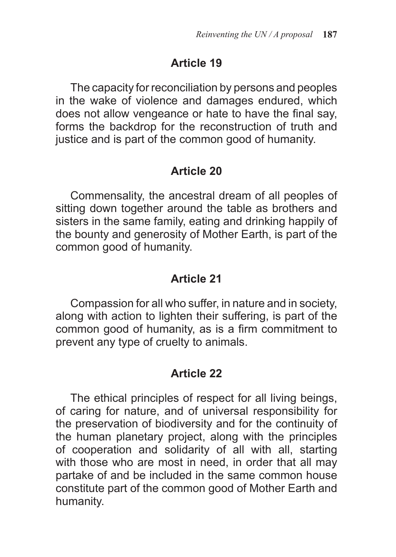## **Article 19**

The capacity for reconciliation by persons and peoples in the wake of violence and damages endured, which does not allow vengeance or hate to have the final say, forms the backdrop for the reconstruction of truth and justice and is part of the common good of humanity.

#### **Article 20**

Commensality, the ancestral dream of all peoples of sitting down together around the table as brothers and sisters in the same family, eating and drinking happily of the bounty and generosity of Mother Earth, is part of the common good of humanity.

### **Article 21**

Compassion for all who suffer, in nature and in society, along with action to lighten their suffering, is part of the common good of humanity, as is a firm commitment to prevent any type of cruelty to animals.

## **Article 22**

The ethical principles of respect for all living beings, of caring for nature, and of universal responsibility for the preservation of biodiversity and for the continuity of the human planetary project, along with the principles of cooperation and solidarity of all with all, starting with those who are most in need, in order that all may partake of and be included in the same common house constitute part of the common good of Mother Earth and humanity.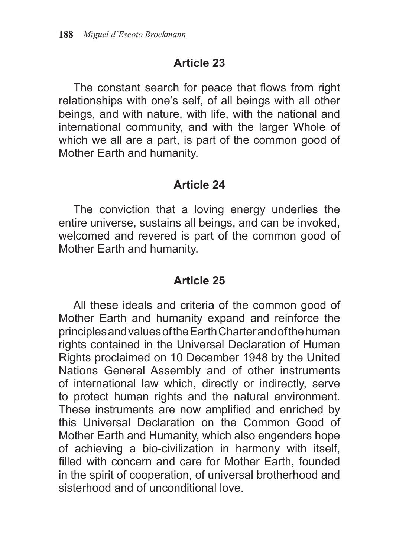## **Article 23**

The constant search for peace that flows from right relationships with one's self, of all beings with all other beings, and with nature, with life, with the national and international community, and with the larger Whole of which we all are a part, is part of the common good of Mother Earth and humanity.

### **Article 24**

The conviction that a loving energy underlies the entire universe, sustains all beings, and can be invoked, welcomed and revered is part of the common good of Mother Earth and humanity.

# **Article 25**

All these ideals and criteria of the common good of Mother Earth and humanity expand and reinforce the principles and values of the Earth Charter and of the human rights contained in the Universal Declaration of Human Rights proclaimed on 10 December 1948 by the United Nations General Assembly and of other instruments of international law which, directly or indirectly, serve to protect human rights and the natural environment. These instruments are now amplified and enriched by this Universal Declaration on the Common Good of Mother Earth and Humanity, which also engenders hope of achieving a bio-civilization in harmony with itself, filled with concern and care for Mother Earth, founded in the spirit of cooperation, of universal brotherhood and sisterhood and of unconditional love.